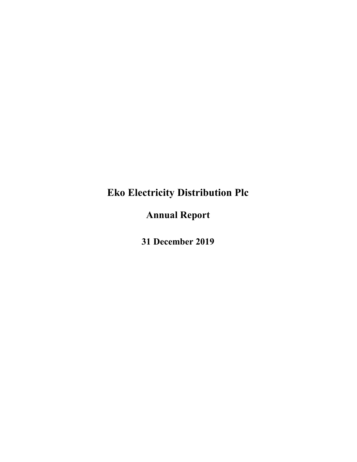# **Eko Electricity Distribution Plc**

**Annual Report**

**31 December 2019**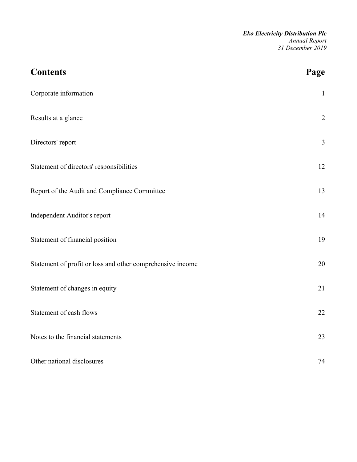| <b>Contents</b>                                            | Page           |
|------------------------------------------------------------|----------------|
| Corporate information                                      | $\mathbf{1}$   |
| Results at a glance                                        | $\sqrt{2}$     |
| Directors' report                                          | $\mathfrak{Z}$ |
| Statement of directors' responsibilities                   | 12             |
| Report of the Audit and Compliance Committee               | 13             |
| Independent Auditor's report                               | 14             |
| Statement of financial position                            | 19             |
| Statement of profit or loss and other comprehensive income | 20             |
| Statement of changes in equity                             | 21             |
| Statement of cash flows                                    | 22             |
| Notes to the financial statements                          | 23             |
| Other national disclosures                                 | 74             |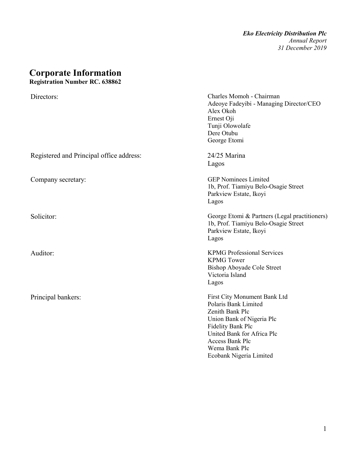# **Corporate Information**

**Registration Number RC. 638862**

| Charles Momoh - Chairman<br>Adeoye Fadeyibi - Managing Director/CEO<br>Alex Okoh<br>Ernest Oji<br>Tunji Olowolafe<br>Dere Otubu<br>George Etomi                                                                               |
|-------------------------------------------------------------------------------------------------------------------------------------------------------------------------------------------------------------------------------|
| 24/25 Marina<br>Lagos                                                                                                                                                                                                         |
| <b>GEP Nominees Limited</b><br>1b, Prof. Tiamiyu Belo-Osagie Street<br>Parkview Estate, Ikoyi<br>Lagos                                                                                                                        |
| George Etomi & Partners (Legal practitioners)<br>1b, Prof. Tiamiyu Belo-Osagie Street<br>Parkview Estate, Ikoyi<br>Lagos                                                                                                      |
| <b>KPMG Professional Services</b><br><b>KPMG</b> Tower<br>Bishop Aboyade Cole Street<br>Victoria Island<br>Lagos                                                                                                              |
| First City Monument Bank Ltd<br>Polaris Bank Limited<br>Zenith Bank Plc<br>Union Bank of Nigeria Plc<br><b>Fidelity Bank Plc</b><br>United Bank for Africa Plc<br>Access Bank Plc<br>Wema Bank Plc<br>Ecobank Nigeria Limited |
|                                                                                                                                                                                                                               |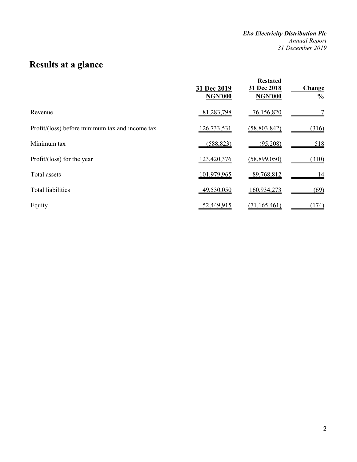# **Results at a glance**

|                                                 | 31 Dec 2019<br><b>NGN'000</b> | <b>Restated</b><br>31 Dec 2018<br><b>NGN'000</b> | <b>Change</b><br>$\frac{6}{6}$ |
|-------------------------------------------------|-------------------------------|--------------------------------------------------|--------------------------------|
| Revenue                                         | 81,283,798                    | 76,156,820                                       |                                |
| Profit/(loss) before minimum tax and income tax | 126,733,531                   | (58,803,842)                                     | (316)                          |
| Minimum tax                                     | (588, 823)                    | (95,208)                                         | 518                            |
| Profit/(loss) for the year                      | 123,420,376                   | (58,899,050)                                     | (310)                          |
| Total assets                                    | 101,979,965                   | 89,768,812                                       | 14                             |
| Total liabilities                               | 49,530,050                    | 160,934,273                                      | (69)                           |
| Equity                                          | 52,449,915                    | (71, 165, 461)                                   | (174)                          |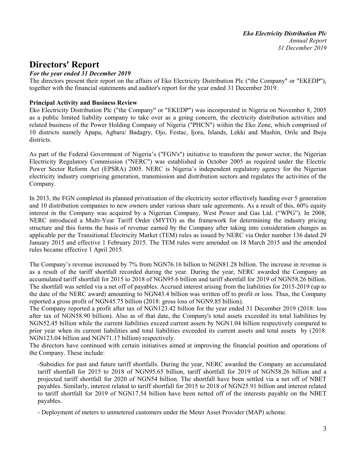# **Directors' Report**

# *For the year ended 31 December 2019*

The directors present their report on the affairs of Eko Electricity Distribution Plc ("the Company" or "EKEDP"), together with the financial statements and auditor's report for the year ended 31 December 2019.

# **Principal Activity and Business Review**

Eko Electricity Distribution Plc ("the Company" or "EKEDP") was incorporated in Nigeria on November 8, 2005 as a public limited liability company to take over as a going concern, the electricity distribution activities and related business of the Power Holding Company of Nigeria ("PHCN") within the Eko Zone, which comprised of 10 districts namely Apapa, Agbara/ Badagry, Ojo, Festac, Ijora, Islands, Lekki and Mushin, Orile and Ibeju districts.

As part of the Federal Government of Nigeria's ("FGN's") initiative to transform the power sector, the Nigerian Electricity Regulatory Commission ("NERC") was established in October 2005 as required under the Electric Power Sector Reform Act (EPSRA) 2005. NERC is Nigeria's independent regulatory agency for the Nigerian electricity industry comprising generation, transmission and distribution sectors and regulates the activities of the Company.

In 2013, the FGN completed its planned privatisation of the electricity sector effectively handing over 5 generation and 10 distribution companies to new owners under various share sale agreements. As a result of this, 60% equity interest in the Company was acquired by a Nigerian Company, West Power and Gas Ltd. ("WPG"). In 2008, NERC introduced a Multi-Year Tariff Order (MYTO) as the framework for determining the industry pricing structure and this forms the basis of revenue earned by the Company after taking into consideration changes as applicable per the Transitional Electricity Market (TEM) rules as issued by NERC via Order number 136 dated 29 January 2015 and effective 1 February 2015. The TEM rules were amended on 18 March 2015 and the amended rules became effective 1 April 2015.

The Company's revenue increased by 7% from NGN76.16 billion to NGN81.28 billion. The increase in revenue is as a result of the tariff shortfall recorded during the year. During the year, NERC awarded the Company an accumulated tariff shortfall for 2015 to 2018 of NGN95.6 billion and tariff shortfall for 2019 of NGN58.26 billion. The shortfall was settled via a net off of payables. Accrued interest arising from the liabilities for 2015-2019 (up to the date of the NERC award) amounting to NGN43.4 billion was written off to profit or loss. Thus, the Company reported a gross profit of NGN45.75 billion (2018: gross loss of NGN9.85 billion).

The Company reported a profit after tax of NGN123.42 billion for the year ended 31 December 2019 (2018: loss after tax of NGN58.90 billion). Also as of that date, the Company's total assets exceeded its total liabilities by NGN52.45 billion while the current liabilities exceed current assets by NGN1.04 billion respectively compared to prior year when its current liabilities and total liabilities exceeded its current assets and total assets by (2018: NGN123.04 billion and NGN71.17 billion) respectively.

The directors have continued with certain initiatives aimed at improving the financial position and operations of the Company. These include:

-Subsidies for past and future tariff shortfalls. During the year, NERC awarded the Company an accumulated tariff shortfall for 2015 to 2018 of NGN95.65 billion, tariff shortfall for 2019 of NGN58.26 billion and a projected tariff shortfall for 2020 of NGN54 billion. The shortfall have been settled via a net off of NBET payables. Similarly, interest related to tariff shortfall for 2015 to 2018 of NGN25.91 billion and interest related to tariff shortfall for 2019 of NGN17.54 billion have been netted off of the interests payable on the NBET payables.

- Deployment of meters to unmetered customers under the Meter Asset Provider (MAP) scheme.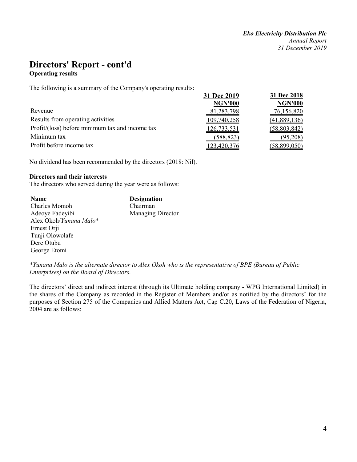# **Directors' Report - cont'd**

# **Operating results**

The following is a summary of the Company's operating results:

| The following is a sammary of the company's operating results. |                |                |
|----------------------------------------------------------------|----------------|----------------|
|                                                                | 31 Dec 2019    | 31 Dec 2018    |
|                                                                | <b>NGN'000</b> | <b>NGN'000</b> |
| Revenue                                                        | 81,283,798     | 76,156,820     |
| Results from operating activities                              | 109,740,258    | (41,889,136)   |
| Profit/(loss) before minimum tax and income tax                | 126,733,531    | (58,803,842)   |
| Minimum tax                                                    | (588,823)      | (95,208)       |
| Profit before income tax                                       | 123,420,376    | (58,899,050)   |
|                                                                |                |                |

No dividend has been recommended by the directors (2018: Nil).

#### **Directors and their interests**

The directors who served during the year were as follows:

| <b>Name</b>            | <b>Designation</b>       |
|------------------------|--------------------------|
| Charles Momoh          | Chairman                 |
| Adeoye Fadeyibi        | <b>Managing Director</b> |
| Alex Okoh/Yunana Malo* |                          |
| Ernest Orji            |                          |
| Tunji Olowolafe        |                          |
| Dere Otubu             |                          |
| George Etomi           |                          |

*\*Yunana Malo is the alternate director to Alex Okoh who is the representative of BPE (Bureau of Public Enterprises) on the Board of Directors.*

The directors' direct and indirect interest (through its Ultimate holding company - WPG International Limited) in the shares of the Company as recorded in the Register of Members and/or as notified by the directors' for the purposes of Section 275 of the Companies and Allied Matters Act, Cap C.20, Laws of the Federation of Nigeria, 2004 are as follows: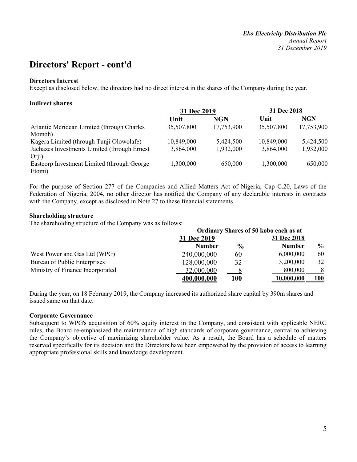# **Directors Interest**

Except as disclosed below, the directors had no direct interest in the shares of the Company during the year.

# **Indirect shares**

|                                              | 31 Dec 2019 |            | 31 Dec 2018 |            |
|----------------------------------------------|-------------|------------|-------------|------------|
|                                              | Unit        | <b>NGN</b> | Unit        | <b>NGN</b> |
| Atlantic Meridean Limited (through Charles   | 35,507,800  | 17,753,900 | 35,507,800  | 17,753,900 |
| Momoh)                                       |             |            |             |            |
| Kagera Limited (through Tunji Olowolafe)     | 10,849,000  | 5,424,500  | 10,849,000  | 5,424,500  |
| Jachazes Investments Limited (through Ernest | 3,864,000   | 1,932,000  | 3,864,000   | 1,932,000  |
| Orji)                                        |             |            |             |            |
| Eastcorp Investment Limited (through George  | 1,300,000   | 650,000    | 1,300,000   | 650,000    |
| Etomi)                                       |             |            |             |            |

For the purpose of Section 277 of the Companies and Allied Matters Act of Nigeria, Cap C.20, Laws of the Federation of Nigeria, 2004, no other director has notified the Company of any declarable interests in contracts with the Company, except as disclosed in Note 27 to these financial statements.

# **Shareholding structure**

The shareholding structure of the Company was as follows:

|                                  | Ordinary Shares of 50 kobo each as at |               |               |            |
|----------------------------------|---------------------------------------|---------------|---------------|------------|
|                                  | 31 Dec 2019                           |               | 31 Dec 2018   |            |
|                                  | <b>Number</b>                         | $\frac{0}{0}$ | <b>Number</b> | $\%$       |
| West Power and Gas Ltd (WPG)     | 240,000,000                           | 60            | 6,000,000     | 60         |
| Bureau of Public Enterprises     | 128,000,000                           | 32            | 3,200,000     | 32         |
| Ministry of Finance Incorporated | 32,000,000                            |               | 800,000       | 8          |
|                                  | 400,000,000                           | 100           | 10,000,000    | <b>100</b> |

During the year, on 18 February 2019, the Company increased its authorized share capital by 390m shares and issued same on that date.

# **Corporate Governance**

Subsequent to WPG's acquisition of 60% equity interest in the Company, and consistent with applicable NERC rules, the Board re-emphasized the maintenance of high standards of corporate governance, central to achieving the Company's objective of maximizing shareholder value. As a result, the Board has a schedule of matters reserved specifically for its decision and the Directors have been empowered by the provision of access to learning appropriate professional skills and knowledge development.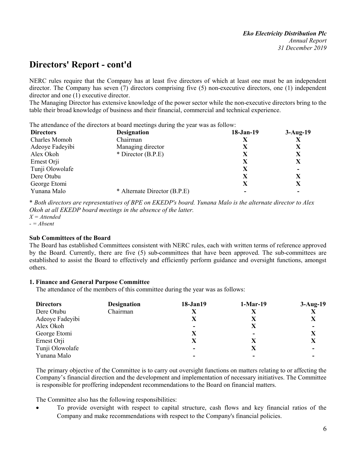NERC rules require that the Company has at least five directors of which at least one must be an independent director. The Company has seven (7) directors comprising five (5) non-executive directors, one (1) independent director and one (1) executive director.

The Managing Director has extensive knowledge of the power sector while the non-executive directors bring to the table their broad knowledge of business and their financial, commercial and technical experience.

The attendance of the directors at board meetings during the year was as follow:

| <b>Directors</b> | <b>Designation</b>           | 18-Jan-19 | $3-Aug-19$ |
|------------------|------------------------------|-----------|------------|
| Charles Momoh    | Chairman                     |           |            |
| Adeoye Fadeyibi  | Managing director            | X         |            |
| Alex Okoh        | $*$ Director (B.P.E)         |           | X          |
| Ernest Orji      |                              |           |            |
| Tunji Olowolafe  |                              | X         |            |
| Dere Otubu       |                              | X         | X          |
| George Etomi     |                              | X         | X          |
| Yunana Malo      | * Alternate Director (B.P.E) |           |            |

\* *Both directors are representatives of BPE on EKEDP's board. Yunana Malo is the alternate director to Alex Okoh at all EKEDP board meetings in the absence of the latter.*

*X = Attended*

*- = Absent*

# **Sub Committees of the Board**

The Board has established Committees consistent with NERC rules, each with written terms of reference approved by the Board. Currently, there are five (5) sub-committees that have been approved. The sub-committees are established to assist the Board to effectively and efficiently perform guidance and oversight functions, amongst others.

# **1. Finance and General Purpose Committee**

The attendance of the members of this committee during the year was as follows:

| <b>Directors</b> | <b>Designation</b> | 18-Jan19 | $1-Mar-19$ | $3-Aug-19$               |
|------------------|--------------------|----------|------------|--------------------------|
| Dere Otubu       | Chairman           | X        | X          | X                        |
| Adeoye Fadeyibi  |                    |          | X          | X                        |
| Alex Okoh        |                    |          | X          | $\blacksquare$           |
| George Etomi     |                    | X        | ۰          | X                        |
| Ernest Orji      |                    |          | X          | X                        |
| Tunji Olowolafe  |                    | -        | X          | $\overline{\phantom{a}}$ |
| Yunana Malo      |                    |          |            |                          |

The primary objective of the Committee is to carry out oversight functions on matters relating to or affecting the Company's financial direction and the development and implementation of necessary initiatives. The Committee is responsible for proffering independent recommendations to the Board on financial matters.

The Committee also has the following responsibilities:

• To provide oversight with respect to capital structure, cash flows and key financial ratios of the Company and make recommendations with respect to the Company's financial policies.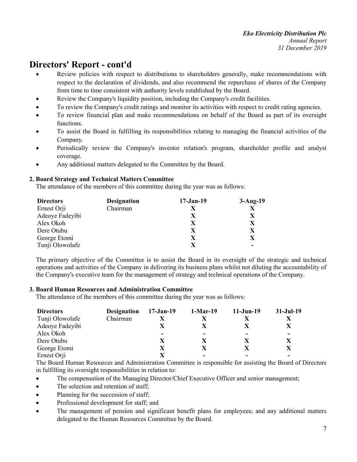- Review policies with respect to distributions to shareholders generally, make recommendations with respect to the declaration of dividends, and also recommend the repurchase of shares of the Company from time to time consistent with authority levels established by the Board.
- Review the Company's liquidity position, including the Company's credit facilities.
- To review the Company's credit ratings and monitor its activities with respect to credit rating agencies.
- To review financial plan and make recommendations on behalf of the Board as part of its oversight functions.
- To assist the Board in fulfilling its responsibilities relating to managing the financial activities of the Company.
- Periodically review the Company's investor relation's program, shareholder profile and analyst coverage.
- Any additional matters delegated to the Committee by the Board.

## **2. Board Strategy and Technical Matters Committee**

The attendance of the members of this committee during the year was as follows:

| <b>Directors</b> | <b>Designation</b> | $17-Jan-19$ | $3-Aug-19$ |
|------------------|--------------------|-------------|------------|
| Ernest Orji      | Chairman           |             | X          |
| Adeoye Fadeyibi  |                    | X           | X          |
| Alex Okoh        |                    | X           | X          |
| Dere Otubu       |                    | X           | X          |
| George Etomi     |                    | X           | X          |
| Tunji Olowolafe  |                    |             | -          |

The primary objective of the Committee is to assist the Board in its oversight of the strategic and technical operations and activities of the Company in delivering its business plans whilst not diluting the accountability of the Company's executive team for the management of strategy and technical operations of the Company.

## **3. Board Human Resources and Administration Committee**

The attendance of the members of this committee during the year was as follows:

| <b>Directors</b> | <b>Designation</b> | $17 - Jan - 19$ | $1-Mar-19$ | $11-Jun-19$ | 31-Jul-19 |
|------------------|--------------------|-----------------|------------|-------------|-----------|
| Tunji Olowolafe  | Chairman           |                 |            |             |           |
| Adeoye Fadeyibi  |                    |                 |            |             |           |
| Alex Okoh        |                    | -               | -          | -           | ۰         |
| Dere Otubu       |                    |                 |            |             |           |
| George Etomi     |                    |                 |            |             |           |
| Ernest Orji      |                    |                 | -          |             |           |

The Board Human Resources and Administration Committee is responsible for assisting the Board of Directors in fulfilling its oversight responsibilities in relation to:

- The compensation of the Managing Director/Chief Executive Officer and senior management;
- The selection and retention of staff;
- Planning for the succession of staff;
- Professional development for staff; and
- The management of pension and significant benefit plans for employees; and any additional matters delegated to the Human Resources Committee by the Board.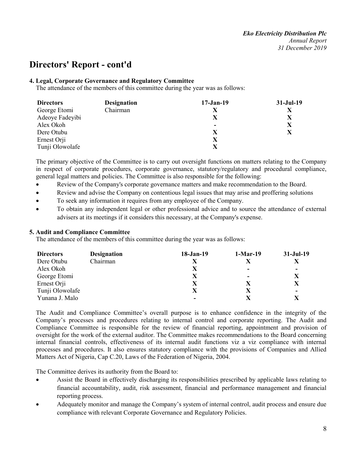# **4. Legal, Corporate Governance and Regulatory Committee**

The attendance of the members of this committee during the year was as follows:

| <b>Directors</b> | <b>Designation</b> | $17-Jan-19$ | $31-Jul-19$ |
|------------------|--------------------|-------------|-------------|
| George Etomi     | Chairman           | X           |             |
| Adeoye Fadeyibi  |                    | X           |             |
| Alex Okoh        |                    | ٠           |             |
| Dere Otubu       |                    | X           |             |
| Ernest Orji      |                    | X           |             |
| Tunji Olowolafe  |                    | X           |             |

The primary objective of the Committee is to carry out oversight functions on matters relating to the Company in respect of corporate procedures, corporate governance, statutory/regulatory and procedural compliance, general legal matters and policies. The Committee is also responsible for the following:

- Review of the Company's corporate governance matters and make recommendation to the Board.
- Review and advise the Company on contentious legal issues that may arise and proffering solutions
- To seek any information it requires from any employee of the Company.
- To obtain any independent legal or other professional advice and to source the attendance of external advisers at its meetings if it considers this necessary, at the Company's expense.

## **5. Audit and Compliance Committee**

The attendance of the members of this committee during the year was as follows:

| <b>Directors</b> | <b>Designation</b> | 18-Jan-19 | $1-Mar-19$ | $31-Jul-19$              |
|------------------|--------------------|-----------|------------|--------------------------|
| Dere Otubu       | Chairman           |           |            |                          |
| Alex Okoh        |                    |           | ۰          | $\overline{\phantom{0}}$ |
| George Etomi     |                    |           |            |                          |
| Ernest Orji      |                    |           | X          |                          |
| Tunji Olowolafe  |                    |           | X          | ۰                        |
| Yunana J. Malo   |                    | ۰         |            |                          |

The Audit and Compliance Committee's overall purpose is to enhance confidence in the integrity of the Company's processes and procedures relating to internal control and corporate reporting. The Audit and Compliance Committee is responsible for the review of financial reporting, appointment and provision of oversight for the work of the external auditor. The Committee makes recommendations to the Board concerning internal financial controls, effectiveness of its internal audit functions viz a viz compliance with internal processes and procedures. It also ensures statutory compliance with the provisions of Companies and Allied Matters Act of Nigeria, Cap C.20, Laws of the Federation of Nigeria, 2004.

The Committee derives its authority from the Board to:

- Assist the Board in effectively discharging its responsibilities prescribed by applicable laws relating to financial accountability, audit, risk assessment, financial and performance management and financial reporting process.
- x Adequately monitor and manage the Company's system of internal control, audit process and ensure due compliance with relevant Corporate Governance and Regulatory Policies.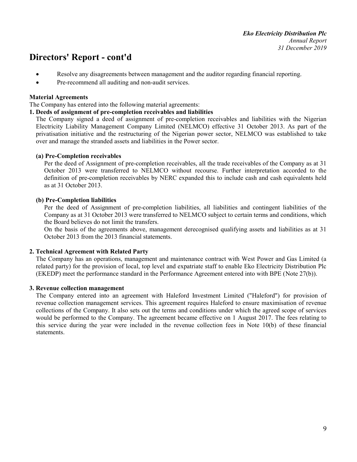- **•** Resolve any disagreements between management and the auditor regarding financial reporting.
- Pre-recommend all auditing and non-audit services.

## **Material Agreements**

The Company has entered into the following material agreements:

#### **1. Deeds of assignment of pre-completion receivables and liabilities**

The Company signed a deed of assignment of pre-completion receivables and liabilities with the Nigerian Electricity Liability Management Company Limited (NELMCO) effective 31 October 2013. As part of the privatisation initiative and the restructuring of the Nigerian power sector, NELMCO was established to take over and manage the stranded assets and liabilities in the Power sector.

## **(a) Pre-Completion receivables**

Per the deed of Assignment of pre-completion receivables, all the trade receivables of the Company as at 31 October 2013 were transferred to NELMCO without recourse. Further interpretation accorded to the definition of pre-completion receivables by NERC expanded this to include cash and cash equivalents held as at 31 October 2013.

# **(b) Pre-Completion liabilities**

Per the deed of Assignment of pre-completion liabilities, all liabilities and contingent liabilities of the Company as at 31 October 2013 were transferred to NELMCO subject to certain terms and conditions, which the Board believes do not limit the transfers.

On the basis of the agreements above, management derecognised qualifying assets and liabilities as at 31 October 2013 from the 2013 financial statements.

## **2. Technical Agreement with Related Party**

The Company has an operations, management and maintenance contract with West Power and Gas Limited (a related party) for the provision of local, top level and expatriate staff to enable Eko Electricity Distribution Plc (EKEDP) meet the performance standard in the Performance Agreement entered into with BPE (Note 27(b)).

## **3. Revenue collection management**

The Company entered into an agreement with Haleford Investment Limited ("Haleford") for provision of revenue collection management services. This agreement requires Haleford to ensure maximisation of revenue collections of the Company. It also sets out the terms and conditions under which the agreed scope of services would be performed to the Company. The agreement became effective on 1 August 2017. The fees relating to this service during the year were included in the revenue collection fees in Note 10(b) of these financial statements.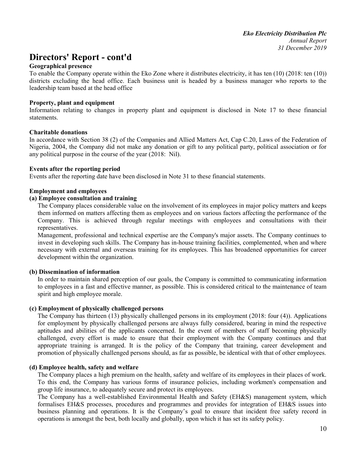# **Geographical presence**

To enable the Company operate within the Eko Zone where it distributes electricity, it has ten (10) (2018: ten (10)) districts excluding the head office. Each business unit is headed by a business manager who reports to the leadership team based at the head office

# **Property, plant and equipment**

Information relating to changes in property plant and equipment is disclosed in Note 17 to these financial statements.

## **Charitable donations**

In accordance with Section 38 (2) of the Companies and Allied Matters Act, Cap C.20, Laws of the Federation of Nigeria, 2004, the Company did not make any donation or gift to any political party, political association or for any political purpose in the course of the year (2018: Nil).

# **Events after the reporting period**

Events after the reporting date have been disclosed in Note 31 to these financial statements.

# **Employment and employees**

## **(a) Employee consultation and training**

The Company places considerable value on the involvement of its employees in major policy matters and keeps them informed on matters affecting them as employees and on various factors affecting the performance of the Company. This is achieved through regular meetings with employees and consultations with their representatives.

Management, professional and technical expertise are the Company's major assets. The Company continues to invest in developing such skills. The Company has in-house training facilities, complemented, when and where necessary with external and overseas training for its employees. This has broadened opportunities for career development within the organization.

## **(b) Dissemination of information**

In order to maintain shared perception of our goals, the Company is committed to communicating information to employees in a fast and effective manner, as possible. This is considered critical to the maintenance of team spirit and high employee morale.

## **(c) Employment of physically challenged persons**

The Company has thirteen (13) physically challenged persons in its employment (2018: four (4)). Applications for employment by physically challenged persons are always fully considered, bearing in mind the respective aptitudes and abilities of the applicants concerned. In the event of members of staff becoming physically challenged, every effort is made to ensure that their employment with the Company continues and that appropriate training is arranged. It is the policy of the Company that training, career development and promotion of physically challenged persons should, as far as possible, be identical with that of other employees.

## **(d) Employee health, safety and welfare**

The Company places a high premium on the health, safety and welfare of its employees in their places of work. To this end, the Company has various forms of insurance policies, including workmen's compensation and group life insurance, to adequately secure and protect its employees.

The Company has a well-established Environmental Health and Safety (EH&S) management system, which formalises EH&S processes, procedures and programmes and provides for integration of EH&S issues into business planning and operations. It is the Company's goal to ensure that incident free safety record in operations is amongst the best, both locally and globally, upon which it has set its safety policy.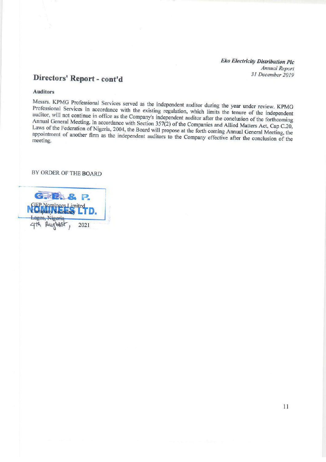# Directors' Report - cont'd

#### **Auditors**

Messrs. KPMG Professional Services served as the independent auditor during the year under review. KPMG Professional Services in accordance with the existing regulation, which limits the tenure of the independent auditor, will not continue in office as the Company's independent auditor after the conclusion of the forthcoming Annual General Meeting. In accordance with Section 357(2) of the Companies and Allied Matters Act, Cap C.20, Laws of the Federation of Nigeria, 2004, the Board will propose at the forth coming Annual General Meeting, the appointment of another firm as the independent auditors to the Company effective after the conclusion of the meeting.

BY ORDER OF THE BOARD

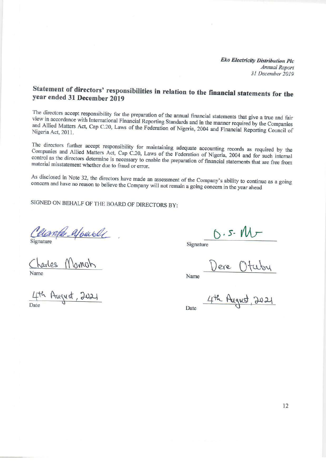# Statement of directors' responsibilities in relation to the financial statements for the year ended 31 December 2019

The directors accept responsibility for the preparation of the annual financial statements that give a true and fair view in accordance with International Financial Reporting Standards and in the manner required by the Companies and Allied Matters Act, Cap C.20, Laws of the Federation of Nigeria, 2004 and Financial Reporting Council of Nigeria Act, 2011.

The directors further accept responsibility for maintaining adequate accounting records as required by the Companies and Allied Matters Act, Cap C.20, Laws of the Federation of Nigeria, 2004 and for such internal control as the directors determine is necessary to enable the preparation of financial statements that are free from material misstatement whether due to fraud or error.

As disclosed in Note 32, the directors have made an assessment of the Company's ability to continue as a going concern and have no reason to believe the Company will not remain a going concern in the year ahead

SIGNED ON BEHALF OF THE BOARD OF DIRECTORS BY:

nfa afomsle

Name

4th August Date

Signature

Name

4th Hugus Date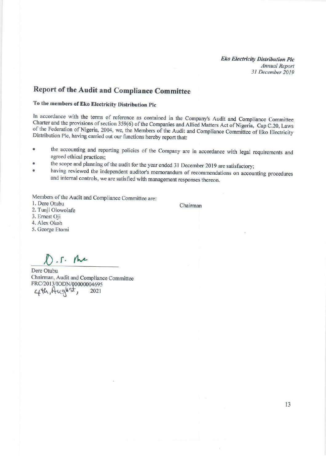# **Report of the Audit and Compliance Committee**

# To the members of Eko Electricity Distribution Plc

In accordance with the terms of reference as contained in the Company's Audit and Compliance Committee Charter and the provisions of section 359(6) of the Companies and Allied Matters Act of Nigeria, Cap C.20, Laws of the Federation of Nigeria, 2004, we, the Members of the Audit and Compliance Committee of Eko Electricity Distribution Plc, having carried out our functions hereby report that:

- the accounting and reporting policies of the Company are in accordance with legal requirements and × agreed ethical practices;
- the scope and planning of the audit for the year ended 31 December 2019 are satisfactory;
- having reviewed the independent auditor's memorandum of recommendations on accounting procedures ä and internal controls, we are satisfied with management responses thereon.

Members of the Audit and Compliance Committee are:

1. Dere Otubu

2. Tunji Olowolafe

3. Ernest Oji

- 4. Alex Okoh
- 5. George Etomi

 $.5.$  The

Dere Otubu Chairman, Audit and Compliance Committee FRC/2013/IODN/00000004695

Chairman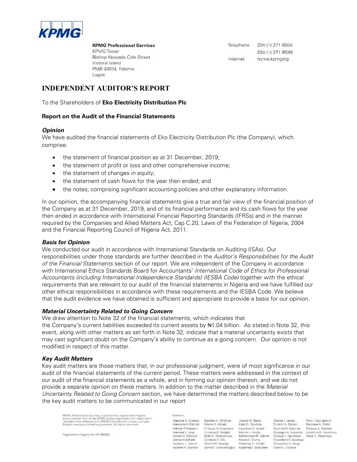

**KPMG Professional Services KPMG Tower Bishop Aboyade Cole Street** Victoria Island PMB 40014, Falomo Lagos

Telephone 234 (1) 271 8955 234 (1) 271 8599 Internet home.kpmg/ng

# **INDEPENDENT AUDITOR'S REPORT**

To the Shareholders of **Eko Electricity Distribution Plc**

#### **Report on the Audit of the Financial Statements**

#### **Opinion**

We have audited the financial statements of Eko Electricity Distribution Plc (the Company), which comprise:

- the statement of financial position as at 31 December, 2019;
- the statement of profit or loss and other comprehensive income;
- the statement of changes in equity;
- the statement of cash flows for the year then ended; and
- the notes, comprising significant accounting policies and other explanatory information.

In our opinion, the accompanying financial statements give a true and fair view of the financial position of the Company as at 31 December, 2019, and of its financial performance and its cash flows for the year then ended in accordance with International Financial Reporting Standards (IFRSs) and in the manner required by the Companies and Allied Matters Act, Cap C.20, Laws of the Federation of Nigeria, 2004 and the Financial Reporting Council of Nigeria Act, 2011.

#### **Basis for Opinion**

We conducted our audit in accordance with International Standards on Auditing (ISAs). Our responsibilities under those standards are further described in the Auditor's Responsibilities for the Audit of the Financial Statements section of our report. We are independent of the Company in accordance with International Ethics Standards Board for Accountants' International Code of Ethics for Professional Accountants (including International Independence Standards) (IESBA Code) together with the ethical requirements that are relevant to our audit of the financial statements in Nigeria and we have fulfilled our other ethical responsibilities in accordance with these requirements and the IESBA Code. We believe that the audit evidence we have obtained is sufficient and appropriate to provide a basis for our opinion.

## **Material Uncertainty Related to Going Concern**

We draw attention to Note 32 of the financial statements, which indicates that

the Company's current liabilities exceeded its current assets by  $\mathbb{H}1.04$  billion. As stated in Note 32, this event, along with other matters as set forth in Note 32, indicate that a material uncertainty exists that may cast significant doubt on the Company's ability to continue as a going concern. Our opinion is not modified in respect of this matter.

#### **Key Audit Matters**

Key audit matters are those matters that, in our professional judgment, were of most significance in our audit of the financial statements of the current period. These matters were addressed in the context of our audit of the financial statements as a whole, and in forming our opinion thereon, and we do not provide a separate opinion on these matters. In addition to the matter described in the Material Uncertainty Related to Going Concern section, we have determined the matters described below to be the key audit matters to be communicated in our report

KPMG Professional Services, a partnership registered in Nigeria<br>and a member firm of the KPMG global organisation of independer<br>member firms affiliated with KPMG International Limited, a private<br>English company limited by dent

Registered in Nigeria No BN 986925

Partners:

Adegoke A. Oyelami Adekunie A. Elebute Bolanie S. Afolabi Adetola P. Adeyemi Adewale K. Ajayi<br>Ajibola O. Olomola Akinverni Ashade Ayobami L. Salami Ibitomi M. Adepoju

Ayodele H. Othihiwa Chibuzor N. Anyanechi Chineme B. Nwigbo<br>Elijah O. Oladunmoye Goodluck C. Obi Ayodele A. Soyinka | Ijeoma T. Emezie-Ezigbo | Oladimeji I. Salaudeen | Oseme J Obaloje

Joseph O. Tegbe Olanike I. James Kabir O. Okuniola Olufemi A. Babem Lawrence C. Amadi Olumide O. Olayinka Martins I. Arogie Chusegun A. Sowande Uzodinma G. Nwankwo<br>Mohammed M. Adama - Olutoyin I. Ogunlowo - Victor U. Onyenkpa Nneka C. Eluma Oluwafemi O. Awotoye Oluwatoyin A. Ghagi Olabimpe S. Afolabi

Tayo I. Ogungbenro Temitope A. Onitiri Tolulope A. Odukale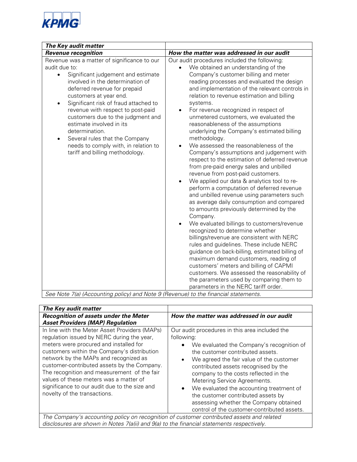

| The Key audit matter                                                                                                                                                                                                                                                                                                                                                                                                                                                                                  |                                                                                                                                                                                                                                                                                                                                                                                                                                                                                                                                                                                                                                                                                                                                                                                                                                                                                                                                                                                                                                                                                                                                                                                                                                                                                                                                                                                                                          |  |  |
|-------------------------------------------------------------------------------------------------------------------------------------------------------------------------------------------------------------------------------------------------------------------------------------------------------------------------------------------------------------------------------------------------------------------------------------------------------------------------------------------------------|--------------------------------------------------------------------------------------------------------------------------------------------------------------------------------------------------------------------------------------------------------------------------------------------------------------------------------------------------------------------------------------------------------------------------------------------------------------------------------------------------------------------------------------------------------------------------------------------------------------------------------------------------------------------------------------------------------------------------------------------------------------------------------------------------------------------------------------------------------------------------------------------------------------------------------------------------------------------------------------------------------------------------------------------------------------------------------------------------------------------------------------------------------------------------------------------------------------------------------------------------------------------------------------------------------------------------------------------------------------------------------------------------------------------------|--|--|
| <b>Revenue recognition</b>                                                                                                                                                                                                                                                                                                                                                                                                                                                                            | How the matter was addressed in our audit                                                                                                                                                                                                                                                                                                                                                                                                                                                                                                                                                                                                                                                                                                                                                                                                                                                                                                                                                                                                                                                                                                                                                                                                                                                                                                                                                                                |  |  |
| Revenue was a matter of significance to our<br>audit due to:<br>Significant judgement and estimate<br>$\bullet$<br>involved in the determination of<br>deferred revenue for prepaid<br>customers at year end.<br>Significant risk of fraud attached to<br>٠<br>revenue with respect to post-paid<br>customers due to the judgment and<br>estimate involved in its<br>determination.<br>Several rules that the Company<br>٠<br>needs to comply with, in relation to<br>tariff and billing methodology. | Our audit procedures included the following:<br>We obtained an understanding of the<br>Company's customer billing and meter<br>reading processes and evaluated the design<br>and implementation of the relevant controls in<br>relation to revenue estimation and billing<br>systems.<br>For revenue recognized in respect of<br>$\bullet$<br>unmetered customers, we evaluated the<br>reasonableness of the assumptions<br>underlying the Company's estimated billing<br>methodology.<br>We assessed the reasonableness of the<br>$\bullet$<br>Company's assumptions and judgement with<br>respect to the estimation of deferred revenue<br>from pre-paid energy sales and unbilled<br>revenue from post-paid customers.<br>We applied our data & analytics tool to re-<br>perform a computation of deferred revenue<br>and unbilled revenue using parameters such<br>as average daily consumption and compared<br>to amounts previously determined by the<br>Company.<br>We evaluated billings to customers/revenue<br>recognized to determine whether<br>billings/revenue are consistent with NERC<br>rules and guidelines. These include NERC<br>guidance on back-billing, estimated billing of<br>maximum demand customers, reading of<br>customers' meters and billing of CAPMI<br>customers. We assessed the reasonability of<br>the parameters used by comparing them to<br>parameters in the NERC tariff order. |  |  |

See Note 7(a) (Accounting policy) and Note 9 (Revenue) to the financial statements.

| The Key audit matter                                                                                                                                                                                                                                                                                                                                                                                                                                   |                                                                                                                                                                                                                                                                                                                                                                                                                                                                                                                              |  |  |
|--------------------------------------------------------------------------------------------------------------------------------------------------------------------------------------------------------------------------------------------------------------------------------------------------------------------------------------------------------------------------------------------------------------------------------------------------------|------------------------------------------------------------------------------------------------------------------------------------------------------------------------------------------------------------------------------------------------------------------------------------------------------------------------------------------------------------------------------------------------------------------------------------------------------------------------------------------------------------------------------|--|--|
| Recognition of assets under the Meter                                                                                                                                                                                                                                                                                                                                                                                                                  | How the matter was addressed in our audit                                                                                                                                                                                                                                                                                                                                                                                                                                                                                    |  |  |
| <b>Asset Providers (MAP) Regulation</b>                                                                                                                                                                                                                                                                                                                                                                                                                |                                                                                                                                                                                                                                                                                                                                                                                                                                                                                                                              |  |  |
| In line with the Meter Asset Providers (MAPs)<br>regulation issued by NERC during the year,<br>meters were procured and installed for<br>customers within the Company's distribution<br>network by the MAPs and recognized as<br>customer-contributed assets by the Company.<br>The recognition and measurement of the fair<br>values of these meters was a matter of<br>significance to our audit due to the size and<br>novelty of the transactions. | Our audit procedures in this area included the<br>following:<br>We evaluated the Company's recognition of<br>$\bullet$<br>the customer contributed assets.<br>We agreed the fair value of the customer<br>$\bullet$<br>contributed assets recognised by the<br>company to the costs reflected in the<br>Metering Service Agreements.<br>We evaluated the accounting treatment of<br>$\bullet$<br>the customer contributed assets by<br>assessing whether the Company obtained<br>control of the customer-contributed assets. |  |  |
| The Company's accounting policy on recognition of customer contributed assets and related                                                                                                                                                                                                                                                                                                                                                              |                                                                                                                                                                                                                                                                                                                                                                                                                                                                                                                              |  |  |

disclosures are shown in Notes 7(a(ii) and 9(a) to the financial statements respectively.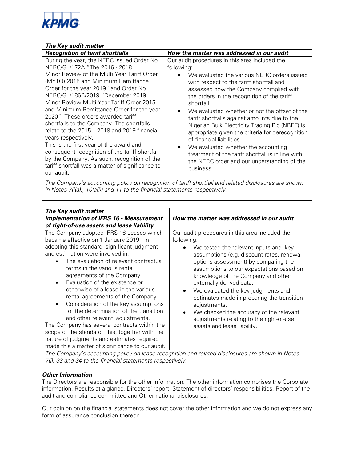

| The Key audit matter                                                                                                                                                                                                                                                                                                                                                                                                                                                                                                                                                                                                                                                                                             |                                                                                                                                                                                                                                                                                                                                                                                                                                                                                                                                                                                                                                                                                                                                                                                                                                                                                                                                                                                               |
|------------------------------------------------------------------------------------------------------------------------------------------------------------------------------------------------------------------------------------------------------------------------------------------------------------------------------------------------------------------------------------------------------------------------------------------------------------------------------------------------------------------------------------------------------------------------------------------------------------------------------------------------------------------------------------------------------------------|-----------------------------------------------------------------------------------------------------------------------------------------------------------------------------------------------------------------------------------------------------------------------------------------------------------------------------------------------------------------------------------------------------------------------------------------------------------------------------------------------------------------------------------------------------------------------------------------------------------------------------------------------------------------------------------------------------------------------------------------------------------------------------------------------------------------------------------------------------------------------------------------------------------------------------------------------------------------------------------------------|
| <b>Recognition of tariff shortfalls</b>                                                                                                                                                                                                                                                                                                                                                                                                                                                                                                                                                                                                                                                                          | How the matter was addressed in our audit                                                                                                                                                                                                                                                                                                                                                                                                                                                                                                                                                                                                                                                                                                                                                                                                                                                                                                                                                     |
| During the year, the NERC issued Order No.<br>NERC/GL/172A "The 2016 - 2018<br>Minor Review of the Multi Year Tariff Order<br>(MYTO) 2015 and Minimum Remittance<br>Order for the year 2019" and Order No.<br>NERC/GL/186B/2019 "December 2019<br>Minor Review Multi Year Tariff Order 2015<br>and Minimum Remittance Order for the year<br>2020". These orders awarded tariff<br>shortfalls to the Company. The shortfalls<br>relate to the 2015 – 2018 and 2019 financial<br>years respectively.<br>This is the first year of the award and<br>consequent recognition of the tariff shortfall<br>by the Company. As such, recognition of the<br>tariff shortfall was a matter of significance to<br>our audit. | Our audit procedures in this area included the<br>following:<br>We evaluated the various NERC orders issued<br>$\bullet$<br>with respect to the tariff shortfall and<br>assessed how the Company complied with<br>the orders in the recognition of the tariff<br>shortfall.<br>We evaluated whether or not the offset of the<br>tariff shortfalls against amounts due to the<br>Nigerian Bulk Electricity Trading Plc (NBET) is<br>appropriate given the criteria for derecognition<br>of financial liabilities.<br>We evaluated whether the accounting<br>treatment of the tariff shortfall is in line with<br>the NERC order and our understanding of the<br>business.<br>$\mathcal{L}$ and $\mathcal{L}$ and $\mathcal{L}$ and $\mathcal{L}$ and $\mathcal{L}$ and $\mathcal{L}$ and $\mathcal{L}$ and $\mathcal{L}$ and $\mathcal{L}$ and $\mathcal{L}$ and $\mathcal{L}$ and $\mathcal{L}$ and $\mathcal{L}$ and $\mathcal{L}$ and $\mathcal{L}$ and $\mathcal{L}$ and $\mathcal{L}$ and |

The Company's accounting policy on recognition of tariff shortfall and related disclosures are shown in Notes 7(i(a)), 10(a(i)) and 11 to the financial statements respectively.

| How the matter was addressed in our audit                                                                                                                                                                                                                                                                                                                                                                                                                                                                                                                                                                               |
|-------------------------------------------------------------------------------------------------------------------------------------------------------------------------------------------------------------------------------------------------------------------------------------------------------------------------------------------------------------------------------------------------------------------------------------------------------------------------------------------------------------------------------------------------------------------------------------------------------------------------|
|                                                                                                                                                                                                                                                                                                                                                                                                                                                                                                                                                                                                                         |
| Our audit procedures in this area included the<br>We tested the relevant inputs and key<br>assumptions (e.g. discount rates, renewal<br>options assessment) by comparing the<br>assumptions to our expectations based on<br>knowledge of the Company and other<br>externally derived data.<br>We evaluated the key judgments and<br>estimates made in preparing the transition<br>adjustments.<br>We checked the accuracy of the relevant<br>adjustments relating to the right-of-use<br>assets and lease liability.<br>The Company's accounting policy on lease recognition and related disclosures are shown in Notes |
|                                                                                                                                                                                                                                                                                                                                                                                                                                                                                                                                                                                                                         |

## **Other Information**

The Directors are responsible for the other information. The other information comprises the Corporate information, Results at a glance, Directors' report, Statement of directors' responsibilities, Report of the audit and compliance committee and Other national disclosures.

Our opinion on the financial statements does not cover the other information and we do not express any form of assurance conclusion thereon.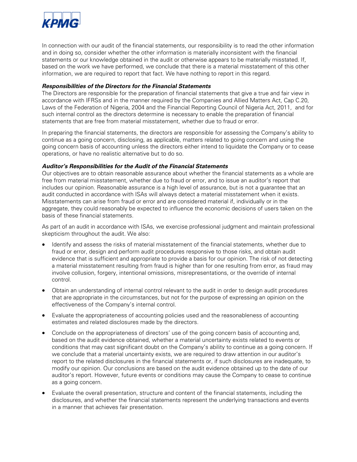

In connection with our audit of the financial statements, our responsibility is to read the other information and in doing so, consider whether the other information is materially inconsistent with the financial statements or our knowledge obtained in the audit or otherwise appears to be materially misstated. If, based on the work we have performed, we conclude that there is a material misstatement of this other information, we are required to report that fact. We have nothing to report in this regard.

#### **Responsibilities of the Directors for the Financial Statements**

The Directors are responsible for the preparation of financial statements that give a true and fair view in accordance with IFRSs and in the manner required by the Companies and Allied Matters Act, Cap C.20, Laws of the Federation of Nigeria, 2004 and the Financial Reporting Council of Nigeria Act, 2011, and for such internal control as the directors determine is necessary to enable the preparation of financial statements that are free from material misstatement, whether due to fraud or error.

In preparing the financial statements, the directors are responsible for assessing the Company's ability to continue as a going concern, disclosing, as applicable, matters related to going concern and using the going concern basis of accounting unless the directors either intend to liquidate the Company or to cease operations, or have no realistic alternative but to do so.

#### **Auditor's Responsibilities for the Audit of the Financial Statements**

Our objectives are to obtain reasonable assurance about whether the financial statements as a whole are free from material misstatement, whether due to fraud or error, and to issue an auditor's report that includes our opinion. Reasonable assurance is a high level of assurance, but is not a guarantee that an audit conducted in accordance with ISAs will always detect a material misstatement when it exists. Misstatements can arise from fraud or error and are considered material if, individually or in the aggregate, they could reasonably be expected to influence the economic decisions of users taken on the basis of these financial statements.

As part of an audit in accordance with ISAs, we exercise professional judgment and maintain professional skepticism throughout the audit. We also:

- Identify and assess the risks of material misstatement of the financial statements, whether due to fraud or error, design and perform audit procedures responsive to those risks, and obtain audit evidence that is sufficient and appropriate to provide a basis for our opinion. The risk of not detecting a material misstatement resulting from fraud is higher than for one resulting from error, as fraud may involve collusion, forgery, intentional omissions, misrepresentations, or the override of internal control.
- Obtain an understanding of internal control relevant to the audit in order to design audit procedures that are appropriate in the circumstances, but not for the purpose of expressing an opinion on the effectiveness of the Company's internal control.
- Evaluate the appropriateness of accounting policies used and the reasonableness of accounting estimates and related disclosures made by the directors.
- Conclude on the appropriateness of directors' use of the going concern basis of accounting and, based on the audit evidence obtained, whether a material uncertainty exists related to events or conditions that may cast significant doubt on the Company's ability to continue as a going concern. If we conclude that a material uncertainty exists, we are required to draw attention in our auditor's report to the related disclosures in the financial statements or, if such disclosures are inadequate, to modify our opinion. Our conclusions are based on the audit evidence obtained up to the date of our auditor's report. However, future events or conditions may cause the Company to cease to continue as a going concern.
- Evaluate the overall presentation, structure and content of the financial statements, including the disclosures, and whether the financial statements represent the underlying transactions and events in a manner that achieves fair presentation.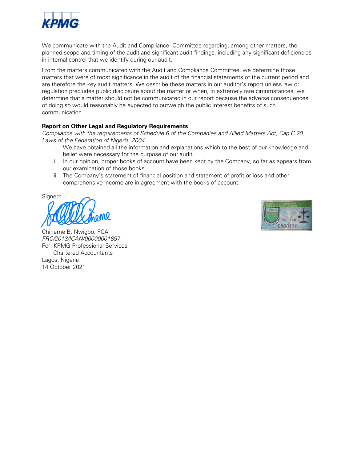

We communicate with the Audit and Compliance Committee regarding, among other matters, the planned scope and timing of the audit and significant audit findings, including any significant deficiencies in internal control that we identify during our audit.

From the matters communicated with the Audit and Compliance Committee, we determine those matters that were of most significance in the audit of the financial statements of the current period and are therefore the key audit matters. We describe these matters in our auditor's report unless law or regulation precludes public disclosure about the matter or when, in extremely rare circumstances, we determine that a matter should not be communicated in our report because the adverse consequences of doing so would reasonably be expected to outweigh the public interest benefits of such communication.

#### **Report on Other Legal and Regulatory Requirements**

Compliance with the requirements of Schedule 6 of the Companies and Allied Matters Act, Cap C.20, Laws of the Federation of Nigeria, 2004

- i. We have obtained all the information and explanations which to the best of our knowledge and belief were necessary for the purpose of our audit.
- ii. In our opinion, proper books of account have been kept by the Company, so far as appears from our examination of those books.
- iii. The Company's statement of financial position and statement of profit or loss and other comprehensive income are in agreement with the books of account.

Signed: backlineme



Chineme B. Nwigbo, FCA FRC/2013/ICAN/00000001897 For: KPMG Professional Services Chartered Accountants Lagos, Nigeria 14 October 2021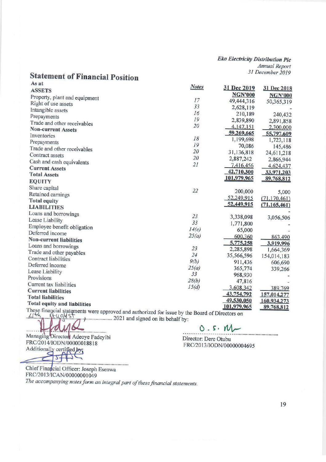| As at                                                      |              |                |                |
|------------------------------------------------------------|--------------|----------------|----------------|
| <b>ASSETS</b>                                              | <b>Notes</b> | 31 Dec 2019    | 31 Dec 2018    |
| Property, plant and equipment                              |              | <b>NGN'000</b> | <b>NGN'000</b> |
| Right of use assets                                        | 17           | 49,444,316     | 50,365,319     |
| Intangible assets                                          | 33           | 2,628,119      |                |
| Prepayments                                                | 16           | 210,189        | 240,432        |
| Trade and other receivables                                | 19           | 2,839,890      | 2,891,858      |
| <b>Non-current Assets</b>                                  | 20           | 4,147,151      | 2,300,000      |
| Inventories                                                |              | 59,269,665     | 55,797,609     |
| Prepayments                                                | 18           | 1,199,698      | 1,723,118      |
| Trade and other receivables                                | 19           | 70,086         | 145,486        |
| Contract assets                                            | 20           | 31,136,818     | 24,611,218     |
| Cash and cash equivalents                                  | 20           | 2,887,242      | 2,866,944      |
| <b>Current Assets</b>                                      | 21           | 7,416,456      | 4,624,437      |
| <b>Total Assets</b>                                        |              | 42,710,300     | 33,971,203     |
| <b>EQUITY</b>                                              |              | 101,979,965    | 89,768,812     |
| Share capital                                              |              |                |                |
| Retained earnings                                          | 22           | 200,000        | 5,000          |
| <b>Total equity</b>                                        |              | 52,249,915     | (71, 170, 461) |
| <b>LIABILITIES</b>                                         |              | 52,449,915     | (71, 165, 461) |
| Loans and borrowings                                       |              |                |                |
| Lease Liability                                            | 23           | 3,338,098      | 3,056,506      |
| Employee benefit obligation                                | 33           | 1,771,800      |                |
| Deferred income                                            | 14(e)        | 65,000         |                |
| <b>Non-current liabilities</b>                             | 25(a)        | 600,360        | 863,490        |
| Loans and borrowings                                       |              | 5,775,258      | 3,919,996      |
| Trade and other payables                                   | 23           | 2,285,898      | 1,664,369      |
| <b>Contract liabilities</b>                                | 24           | 35,566,596     | 154,014,183    |
| Deferred income                                            | 9(b)         | 911,436        | 606,690        |
| Lease Liability                                            | 25(a)<br>33  | 365,774        | 339,266        |
| Provisions                                                 |              | 968,930        |                |
| Current tax liabilities                                    | 28(b)        | 47,816         |                |
| <b>Current liabilities</b>                                 | 15(d)        | 3,608,342      | 389,769        |
| <b>Total liabilities</b>                                   |              | 43,754,792     | 157,014,277    |
| Total equity and liabilities                               |              | 49,530,050     | 160,934,273    |
| These financial statements were<br>$1 - 1 - 1$ $1 - 1 - 1$ |              | 101,979,965    | 89,768,812     |

nts were approved and authorized for issue by the Board of Directors on 

....... ...............

Managing Director Adeoye Fadeyibi FRC/2014/IODN/00000018818 Additionally certified by

**Statement of Financial Position** 

 $0.5. M_{\sim}$ Director: Dere Otubu FRC/2013/IODN/00000004695

Chief Financial Officer: Joseph Esenwa FRC/2013/ICAN/00000001049 The accompanying notes form an integral part of these financial statements.

19

...................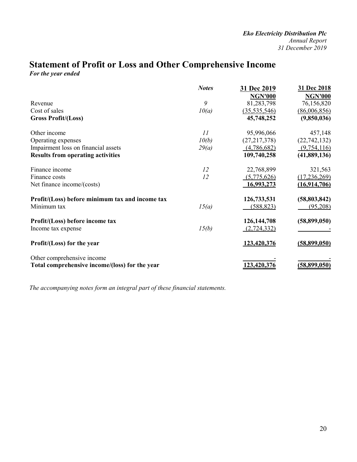# **Statement of Profit or Loss and Other Comprehensive Income**

*For the year ended* 

|                                                 | <b>Notes</b> | 31 Dec 2019    | 31 Dec 2018    |
|-------------------------------------------------|--------------|----------------|----------------|
|                                                 |              | <b>NGN'000</b> | <b>NGN'000</b> |
| Revenue                                         | 9            | 81,283,798     | 76,156,820     |
| Cost of sales                                   | 10(a)        | (35,535,546)   | (86,006,856)   |
| <b>Gross Profit/(Loss)</b>                      |              | 45,748,252     | (9,850,036)    |
| Other income                                    | II           | 95,996,066     | 457,148        |
| Operating expenses                              | 10(b)        | (27, 217, 378) | (22, 742, 132) |
| Impairment loss on financial assets             | 29(a)        | (4,786,682)    | (9,754,116)    |
| <b>Results from operating activities</b>        |              | 109,740,258    | (41,889,136)   |
| Finance income                                  | 12           | 22,768,899     | 321,563        |
| Finance costs                                   | 12           | (5,775,626)    | (17, 236, 269) |
| Net finance income/(costs)                      |              | 16,993,273     | (16,914,706)   |
| Profit/(Loss) before minimum tax and income tax |              | 126,733,531    | (58, 803, 842) |
| Minimum tax                                     | 15(a)        | (588, 823)     | (95,208)       |
| Profit/(Loss) before income tax                 |              | 126,144,708    | (58,899,050)   |
| Income tax expense                              | 15(b)        | (2, 724, 332)  |                |
| Profit/(Loss) for the year                      |              | 123,420,376    | (58,899,050)   |
| Other comprehensive income                      |              |                |                |
| Total comprehensive income/(loss) for the year  |              | 123,420,376    | (58,899,050)   |

*The accompanying notes form an integral part of these financial statements.*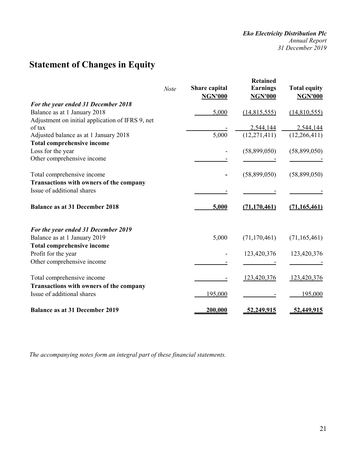# **Statement of Changes in Equity**

|                                                            | <b>Note</b> | Share capital<br><b>NGN'000</b> | <b>Retained</b><br><b>Earnings</b><br><b>NGN'000</b> | <b>Total equity</b><br><b>NGN'000</b> |
|------------------------------------------------------------|-------------|---------------------------------|------------------------------------------------------|---------------------------------------|
| For the year ended 31 December 2018                        |             |                                 |                                                      |                                       |
| Balance as at 1 January 2018                               |             | 5,000                           | (14,815,555)                                         | (14,810,555)                          |
| Adjustment on initial application of IFRS 9, net<br>of tax |             |                                 | 2,544,144                                            | 2,544,144                             |
| Adjusted balance as at 1 January 2018                      |             | 5,000                           | (12, 271, 411)                                       | (12,266,411)                          |
| <b>Total comprehensive income</b>                          |             |                                 |                                                      |                                       |
| Loss for the year                                          |             |                                 | (58,899,050)                                         | (58,899,050)                          |
| Other comprehensive income                                 |             |                                 |                                                      |                                       |
| Total comprehensive income                                 |             |                                 | (58,899,050)                                         | (58,899,050)                          |
| Transactions with owners of the company                    |             |                                 |                                                      |                                       |
| Issue of additional shares                                 |             |                                 |                                                      |                                       |
| <b>Balance as at 31 December 2018</b>                      |             | 5,000                           | (71, 170, 461)                                       | (71, 165, 461)                        |
| For the year ended 31 December 2019                        |             |                                 |                                                      |                                       |
| Balance as at 1 January 2019                               |             | 5,000                           | (71, 170, 461)                                       | (71, 165, 461)                        |
| <b>Total comprehensive income</b>                          |             |                                 |                                                      |                                       |
| Profit for the year                                        |             |                                 | 123,420,376                                          | 123,420,376                           |
| Other comprehensive income                                 |             |                                 |                                                      |                                       |
| Total comprehensive income                                 |             |                                 | 123,420,376                                          | 123,420,376                           |
| Transactions with owners of the company                    |             |                                 |                                                      |                                       |
| Issue of additional shares                                 |             | 195,000                         |                                                      | 195,000                               |
| <b>Balance as at 31 December 2019</b>                      |             | 200,000                         | 52,249,915                                           | 52,449,915                            |

*The accompanying notes form an integral part of these financial statements.*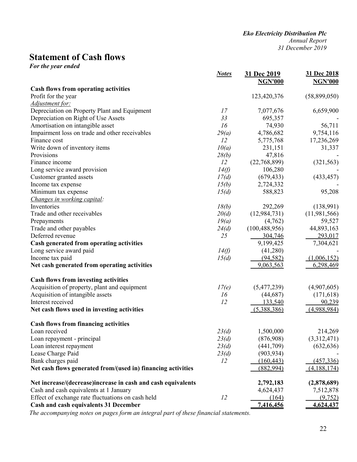# **Statement of Cash flows**

*For the year ended*

|                                                              | <b>Notes</b> | 31 Dec 2019     | 31 Dec 2018    |
|--------------------------------------------------------------|--------------|-----------------|----------------|
|                                                              |              | <b>NGN'000</b>  | <b>NGN'000</b> |
| <b>Cash flows from operating activities</b>                  |              |                 |                |
| Profit for the year                                          |              | 123,420,376     | (58,899,050)   |
| Adjustment for:                                              |              |                 |                |
| Depreciation on Property Plant and Equipment                 | 17           | 7,077,676       | 6,659,900      |
| Depreciation on Right of Use Assets                          | 33           | 695,357         |                |
| Amortisation on intangible asset                             | 16           | 74,930          | 56,711         |
| Impairment loss on trade and other receivables               | 29(a)        | 4,786,682       | 9,754,116      |
| Finance cost                                                 | 12           | 5,775,768       | 17,236,269     |
| Write down of inventory items                                | 10(a)        | 231,151         | 31,337         |
| Provisions                                                   | 28(b)        | 47,816          |                |
| Finance income                                               | 12           | (22,768,899)    | (321, 563)     |
| Long service award provision                                 | 14(f)        | 106,280         |                |
| Customer granted assets                                      | 17(d)        | (679, 433)      | (433, 457)     |
| Income tax expense                                           | 15(b)        | 2,724,332       |                |
| Minimum tax expense                                          | 15(d)        | 588,823         | 95,208         |
| Changes in working capital:                                  |              |                 |                |
| Inventories                                                  | 18(b)        | 292,269         | (138,991)      |
| Trade and other receivables                                  | 20(d)        | (12, 984, 731)  | (11, 981, 566) |
| Prepayments                                                  | 19(a)        | (4,762)         | 59,527         |
| Trade and other payables                                     | 24(d)        | (100, 488, 956) | 44,893,163     |
| Deferred revenue                                             | 25           | 304,746         | 293,017        |
| Cash generated from operating activities                     |              | 9,199,425       | 7,304,621      |
| Long service award paid                                      | 14(f)        | (41,280)        |                |
| Income tax paid                                              | 15(d)        | (94, 582)       | (1,006,152)    |
| Net cash generated from operating activities                 |              | 9,063,563       | 6,298,469      |
|                                                              |              |                 |                |
| <b>Cash flows from investing activities</b>                  |              |                 |                |
| Acquisition of property, plant and equipment                 | 17(e)        | (5,477,239)     | (4,907,605)    |
| Acquisition of intangible assets                             | 16           | (44, 687)       | (171, 618)     |
| Interest received                                            | 12           | 133,540         | 90,239         |
| Net cash flows used in investing activities                  |              | (5,388,386)     | (4,988,984)    |
| <b>Cash flows from financing activities</b>                  |              |                 |                |
| Loan received                                                | 23(d)        | 1,500,000       | 214,269        |
| Loan repayment - principal                                   | 23(d)        | (876,908)       | (3,312,471)    |
| Loan interest repayment                                      | 23(d)        | (441,709)       | (632, 636)     |
| Lease Charge Paid                                            | 23(d)        | (903, 934)      |                |
| Bank charges paid                                            | 12           | (160, 443)      | (457, 336)     |
|                                                              |              | (882,994)       | (4,188,174)    |
| Net cash flows generated from/(used in) financing activities |              |                 |                |
| Net increase/(decrease)increase in cash and cash equivalents |              | 2,792,183       | (2,878,689)    |
| Cash and cash equivalents at 1 January                       |              | 4,624,437       | 7,512,878      |
| Effect of exchange rate fluctuations on cash held            | 12           | (164)           | (9,752)        |
| Cash and cash equivalents 31 December                        |              | 7,416,456       | 4,624,437      |
|                                                              |              |                 |                |

*The accompanying notes on pages form an integral part of these financial statements.*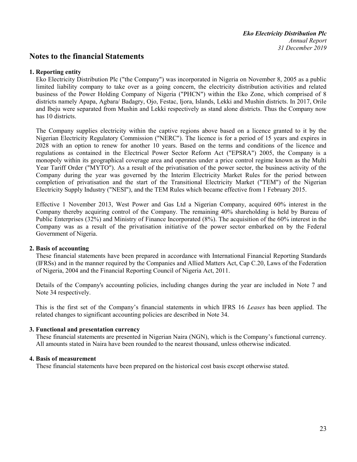# **Notes to the financial Statements**

# **1. Reporting entity**

Eko Electricity Distribution Plc ("the Company") was incorporated in Nigeria on November 8, 2005 as a public limited liability company to take over as a going concern, the electricity distribution activities and related business of the Power Holding Company of Nigeria ("PHCN") within the Eko Zone, which comprised of 8 districts namely Apapa, Agbara/ Badagry, Ojo, Festac, Ijora, Islands, Lekki and Mushin districts. In 2017, Orile and Ibeju were separated from Mushin and Lekki respectively as stand alone districts. Thus the Company now has 10 districts.

The Company supplies electricity within the captive regions above based on a licence granted to it by the Nigerian Electricity Regulatory Commission ("NERC"). The licence is for a period of 15 years and expires in 2028 with an option to renew for another 10 years. Based on the terms and conditions of the licence and regulations as contained in the Electrical Power Sector Reform Act ("EPSRA") 2005, the Company is a monopoly within its geographical coverage area and operates under a price control regime known as the Multi Year Tariff Order ("MYTO"). As a result of the privatisation of the power sector, the business activity of the Company during the year was governed by the Interim Electricity Market Rules for the period between completion of privatisation and the start of the Transitional Electricity Market ("TEM") of the Nigerian Electricity Supply Industry ("NESI"), and the TEM Rules which became effective from 1 February 2015.

Effective 1 November 2013, West Power and Gas Ltd a Nigerian Company, acquired 60% interest in the Company thereby acquiring control of the Company. The remaining 40% shareholding is held by Bureau of Public Enterprises (32%) and Ministry of Finance Incorporated (8%). The acquisition of the 60% interest in the Company was as a result of the privatisation initiative of the power sector embarked on by the Federal Government of Nigeria.

## **2. Basis of accounting**

These financial statements have been prepared in accordance with International Financial Reporting Standards (IFRSs) and in the manner required by the Companies and Allied Matters Act, Cap C.20, Laws of the Federation of Nigeria, 2004 and the Financial Reporting Council of Nigeria Act, 2011.

Details of the Company's accounting policies, including changes during the year are included in Note 7 and Note 34 respectively.

This is the first set of the Company's financial statements in which IFRS 16 *Leases* has been applied. The related changes to significant accounting policies are described in Note 34.

#### **3. Functional and presentation currency**

These financial statements are presented in Nigerian Naira (NGN), which is the Company's functional currency. All amounts stated in Naira have been rounded to the nearest thousand, unless otherwise indicated.

#### **4. Basis of measurement**

These financial statements have been prepared on the historical cost basis except otherwise stated.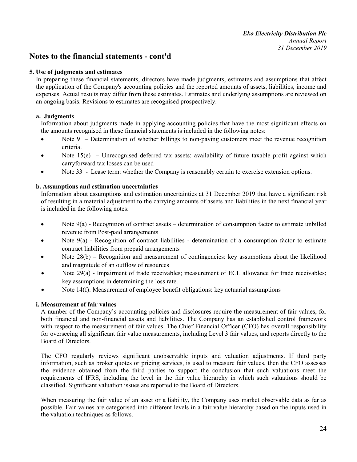# **5. Use of judgments and estimates**

In preparing these financial statements, directors have made judgments, estimates and assumptions that affect the application of the Company's accounting policies and the reported amounts of assets, liabilities, income and expenses. Actual results may differ from these estimates. Estimates and underlying assumptions are reviewed on an ongoing basis. Revisions to estimates are recognised prospectively.

# **a. Judgments**

Information about judgments made in applying accounting policies that have the most significant effects on the amounts recognised in these financial statements is included in the following notes:

- Note  $9$  Determination of whether billings to non-paying customers meet the revenue recognition criteria.
- Note  $15(e)$  Unrecognised deferred tax assets: availability of future taxable profit against which carryforward tax losses can be used
- Note 33 Lease term: whether the Company is reasonably certain to exercise extension options.

# **b. Assumptions and estimation uncertainties**

Information about assumptions and estimation uncertainties at 31 December 2019 that have a significant risk of resulting in a material adjustment to the carrying amounts of assets and liabilities in the next financial year is included in the following notes:

- $\bullet$  Note 9(a) Recognition of contract assets determination of consumption factor to estimate unbilled revenue from Post-paid arrangements
- Note 9(a) Recognition of contract liabilities determination of a consumption factor to estimate contract liabilities from prepaid arrangements
- Note  $28(b)$  Recognition and measurement of contingencies: key assumptions about the likelihood and magnitude of an outflow of resources
- Note 29(a) Impairment of trade receivables; measurement of ECL allowance for trade receivables; key assumptions in determining the loss rate.
- Note 14(f): Measurement of employee benefit obligations: key actuarial assumptions

## **i. Measurement of fair values**

A number of the Company's accounting policies and disclosures require the measurement of fair values, for both financial and non-financial assets and liabilities. The Company has an established control framework with respect to the measurement of fair values. The Chief Financial Officer (CFO) has overall responsibility for overseeing all significant fair value measurements, including Level 3 fair values, and reports directly to the Board of Directors.

The CFO regularly reviews significant unobservable inputs and valuation adjustments. If third party information, such as broker quotes or pricing services, is used to measure fair values, then the CFO assesses the evidence obtained from the third parties to support the conclusion that such valuations meet the requirements of IFRS, including the level in the fair value hierarchy in which such valuations should be classified. Significant valuation issues are reported to the Board of Directors.

When measuring the fair value of an asset or a liability, the Company uses market observable data as far as possible. Fair values are categorised into different levels in a fair value hierarchy based on the inputs used in the valuation techniques as follows.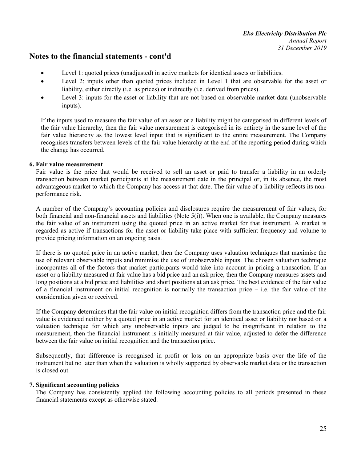- Level 1: quoted prices (unadjusted) in active markets for identical assets or liabilities.
- x Level 2: inputs other than quoted prices included in Level 1 that are observable for the asset or liability, either directly (i.e. as prices) or indirectly (i.e. derived from prices).
- Level 3: inputs for the asset or liability that are not based on observable market data (unobservable inputs).

If the inputs used to measure the fair value of an asset or a liability might be categorised in different levels of the fair value hierarchy, then the fair value measurement is categorised in its entirety in the same level of the fair value hierarchy as the lowest level input that is significant to the entire measurement. The Company recognises transfers between levels of the fair value hierarchy at the end of the reporting period during which the change has occurred.

# **6. Fair value measurement**

Fair value is the price that would be received to sell an asset or paid to transfer a liability in an orderly transaction between market participants at the measurement date in the principal or, in its absence, the most advantageous market to which the Company has access at that date. The fair value of a liability reflects its nonperformance risk.

A number of the Company's accounting policies and disclosures require the measurement of fair values, for both financial and non-financial assets and liabilities (Note 5(i)). When one is available, the Company measures the fair value of an instrument using the quoted price in an active market for that instrument. A market is regarded as active if transactions for the asset or liability take place with sufficient frequency and volume to provide pricing information on an ongoing basis.

If there is no quoted price in an active market, then the Company uses valuation techniques that maximise the use of relevant observable inputs and minimise the use of unobservable inputs. The chosen valuation technique incorporates all of the factors that market participants would take into account in pricing a transaction. If an asset or a liability measured at fair value has a bid price and an ask price, then the Company measures assets and long positions at a bid price and liabilities and short positions at an ask price. The best evidence of the fair value of a financial instrument on initial recognition is normally the transaction price  $-$  i.e. the fair value of the consideration given or received.

If the Company determines that the fair value on initial recognition differs from the transaction price and the fair value is evidenced neither by a quoted price in an active market for an identical asset or liability nor based on a valuation technique for which any unobservable inputs are judged to be insignificant in relation to the measurement, then the financial instrument is initially measured at fair value, adjusted to defer the difference between the fair value on initial recognition and the transaction price.

Subsequently, that difference is recognised in profit or loss on an appropriate basis over the life of the instrument but no later than when the valuation is wholly supported by observable market data or the transaction is closed out.

# **7. Significant accounting policies**

The Company has consistently applied the following accounting policies to all periods presented in these financial statements except as otherwise stated: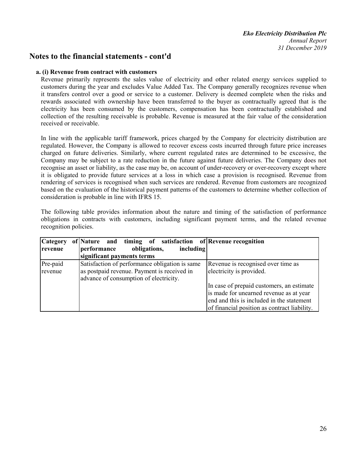# **a. (i) Revenue from contract with customers**

Revenue primarily represents the sales value of electricity and other related energy services supplied to customers during the year and excludes Value Added Tax. The Company generally recognizes revenue when it transfers control over a good or service to a customer. Delivery is deemed complete when the risks and rewards associated with ownership have been transferred to the buyer as contractually agreed that is the electricity has been consumed by the customers, compensation has been contractually established and collection of the resulting receivable is probable. Revenue is measured at the fair value of the consideration received or receivable.

In line with the applicable tariff framework, prices charged by the Company for electricity distribution are regulated. However, the Company is allowed to recover excess costs incurred through future price increases charged on future deliveries. Similarly, where current regulated rates are determined to be excessive, the Company may be subject to a rate reduction in the future against future deliveries. The Company does not recognise an asset or liability, as the case may be, on account of under-recovery or over-recovery except where it is obligated to provide future services at a loss in which case a provision is recognised. Revenue from rendering of services is recognised when such services are rendered. Revenue from customers are recognized based on the evaluation of the historical payment patterns of the customers to determine whether collection of consideration is probable in line with IFRS 15.

The following table provides information about the nature and timing of the satisfaction of performance obligations in contracts with customers, including significant payment terms, and the related revenue recognition policies.

| Category | of Nature and timing of satisfaction of Revenue recognition |                                              |
|----------|-------------------------------------------------------------|----------------------------------------------|
| revenue  | obligations,<br>performance<br>including                    |                                              |
|          | significant payments terms                                  |                                              |
| Pre-paid | Satisfaction of performance obligation is same              | Revenue is recognised over time as           |
| revenue  | as postpaid revenue. Payment is received in                 | electricity is provided.                     |
|          | advance of consumption of electricity.                      |                                              |
|          |                                                             | In case of prepaid customers, an estimate    |
|          |                                                             | is made for unearned revenue as at year      |
|          |                                                             | end and this is included in the statement    |
|          |                                                             | of financial position as contract liability. |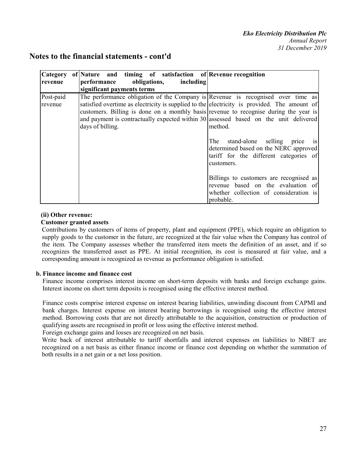| Category<br> revenue | of Nature and timing of satisfaction of Revenue recognition<br>obligations,<br>including<br>performance                                                                                                                                                                                                                                                                             |                                                                                                                                                                                                                                                                                                |
|----------------------|-------------------------------------------------------------------------------------------------------------------------------------------------------------------------------------------------------------------------------------------------------------------------------------------------------------------------------------------------------------------------------------|------------------------------------------------------------------------------------------------------------------------------------------------------------------------------------------------------------------------------------------------------------------------------------------------|
|                      | significant payments terms                                                                                                                                                                                                                                                                                                                                                          |                                                                                                                                                                                                                                                                                                |
| Post-paid<br>revenue | The performance obligation of the Company is Revenue is recognised over time as<br>satisfied overtime as electricity is supplied to the electricity is provided. The amount of<br>customers. Billing is done on a monthly basis revenue to recognise during the year is<br>and payment is contractually expected within 30 assessed based on the unit delivered<br>days of billing. | method.<br>The<br>stand-alone selling price<br>- 1S  <br>determined based on the NERC approved<br>tariff for the different categories of<br>customers.<br>Billings to customers are recognised as<br>revenue based on the evaluation of<br>whether collection of consideration is<br>probable. |

## **(ii) Other revenue:**

## **Customer granted assets**

Contributions by customers of items of property, plant and equipment (PPE), which require an obligation to supply goods to the customer in the future, are recognized at the fair value when the Company has control of the item. The Company assesses whether the transferred item meets the definition of an asset, and if so recognizes the transferred asset as PPE. At initial recognition, its cost is measured at fair value, and a corresponding amount is recognized as revenue as performance obligation is satisfied.

## **b. Finance income and finance cost**

Finance income comprises interest income on short-term deposits with banks and foreign exchange gains. Interest income on short term deposits is recognised using the effective interest method.

Finance costs comprise interest expense on interest bearing liabilities, unwinding discount from CAPMI and bank charges. Interest expense on interest bearing borrowings is recognised using the effective interest method. Borrowing costs that are not directly attributable to the acquisition, construction or production of qualifying assets are recognised in profit or loss using the effective interest method.

Foreign exchange gains and losses are recognized on net basis.

Write back of interest attributable to tariff shortfalls and interest expenses on liabilities to NBET are recognized on a net basis as either finance income or finance cost depending on whether the summation of both results in a net gain or a net loss position.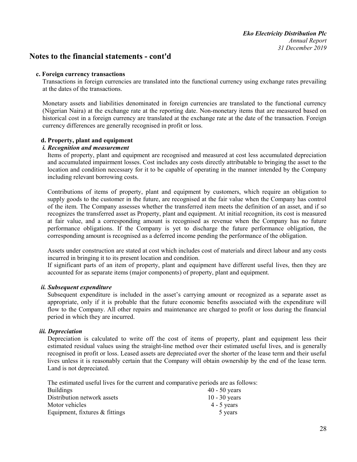# **c. Foreign currency transactions**

Transactions in foreign currencies are translated into the functional currency using exchange rates prevailing at the dates of the transactions.

Monetary assets and liabilities denominated in foreign currencies are translated to the functional currency (Nigerian Naira) at the exchange rate at the reporting date. Non-monetary items that are measured based on historical cost in a foreign currency are translated at the exchange rate at the date of the transaction. Foreign currency differences are generally recognised in profit or loss.

# **d. Property, plant and equipment**

# *i. Recognition and measurement*

Items of property, plant and equipment are recognised and measured at cost less accumulated depreciation and accumulated impairment losses. Cost includes any costs directly attributable to bringing the asset to the location and condition necessary for it to be capable of operating in the manner intended by the Company including relevant borrowing costs.

Contributions of items of property, plant and equipment by customers, which require an obligation to supply goods to the customer in the future, are recognised at the fair value when the Company has control of the item. The Company assesses whether the transferred item meets the definition of an asset, and if so recognizes the transferred asset as Property, plant and equipment. At initial recognition, its cost is measured at fair value, and a corresponding amount is recognised as revenue when the Company has no future performance obligations. If the Company is yet to discharge the future performance obligation, the corresponding amount is recognised as a deferred income pending the performance of the obligation.

Assets under construction are stated at cost which includes cost of materials and direct labour and any costs incurred in bringing it to its present location and condition.

If significant parts of an item of property, plant and equipment have different useful lives, then they are accounted for as separate items (major components) of property, plant and equipment.

## *ii. Subsequent expenditure*

Subsequent expenditure is included in the asset's carrying amount or recognized as a separate asset as appropriate, only if it is probable that the future economic benefits associated with the expenditure will flow to the Company. All other repairs and maintenance are charged to profit or loss during the financial period in which they are incurred.

# *iii. Depreciation*

Depreciation is calculated to write off the cost of items of property, plant and equipment less their estimated residual values using the straight-line method over their estimated useful lives, and is generally recognised in profit or loss. Leased assets are depreciated over the shorter of the lease term and their useful lives unless it is reasonably certain that the Company will obtain ownership by the end of the lease term. Land is not depreciated.

The estimated useful lives for the current and comparative periods are as follows:

| <b>Buildings</b>               | $40 - 50$ years |
|--------------------------------|-----------------|
| Distribution network assets    | $10 - 30$ years |
| Motor vehicles                 | $4 - 5$ years   |
| Equipment, fixtures & fittings | 5 years         |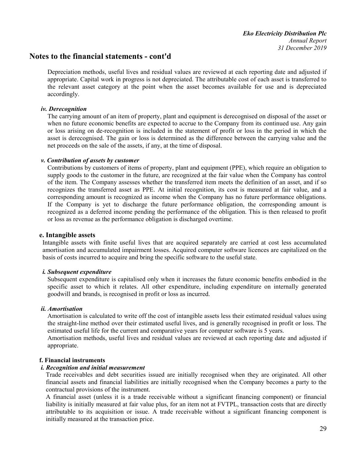Depreciation methods, useful lives and residual values are reviewed at each reporting date and adjusted if appropriate. Capital work in progress is not depreciated. The attributable cost of each asset is transferred to the relevant asset category at the point when the asset becomes available for use and is depreciated accordingly.

# *iv. Derecognition*

The carrying amount of an item of property, plant and equipment is derecognised on disposal of the asset or when no future economic benefits are expected to accrue to the Company from its continued use. Any gain or loss arising on de-recognition is included in the statement of profit or loss in the period in which the asset is derecognised. The gain or loss is determined as the difference between the carrying value and the net proceeds on the sale of the assets, if any, at the time of disposal.

# *v. Contribution of assets by customer*

Contributions by customers of items of property, plant and equipment (PPE), which require an obligation to supply goods to the customer in the future, are recognized at the fair value when the Company has control of the item. The Company assesses whether the transferred item meets the definition of an asset, and if so recognizes the transferred asset as PPE. At initial recognition, its cost is measured at fair value, and a corresponding amount is recognized as income when the Company has no future performance obligations. If the Company is yet to discharge the future performance obligation, the corresponding amount is recognized as a deferred income pending the performance of the obligation. This is then released to profit or loss as revenue as the performance obligation is discharged overtime.

## **e. Intangible assets**

Intangible assets with finite useful lives that are acquired separately are carried at cost less accumulated amortisation and accumulated impairment losses. Acquired computer software licences are capitalized on the basis of costs incurred to acquire and bring the specific software to the useful state.

## *i. Subsequent expenditure*

Subsequent expenditure is capitalised only when it increases the future economic benefits embodied in the specific asset to which it relates. All other expenditure, including expenditure on internally generated goodwill and brands, is recognised in profit or loss as incurred.

## *ii. Amortisation*

Amortisation is calculated to write off the cost of intangible assets less their estimated residual values using the straight-line method over their estimated useful lives, and is generally recognised in profit or loss. The estimated useful life for the current and comparative years for computer software is 5 years.

Amortisation methods, useful lives and residual values are reviewed at each reporting date and adjusted if appropriate.

# **f. Financial instruments**

## *i. Recognition and initial measurement*

Trade receivables and debt securities issued are initially recognised when they are originated. All other financial assets and financial liabilities are initially recognised when the Company becomes a party to the contractual provisions of the instrument.

A financial asset (unless it is a trade receivable without a significant financing component) or financial liability is initially measured at fair value plus, for an item not at FVTPL, transaction costs that are directly attributable to its acquisition or issue. A trade receivable without a significant financing component is initially measured at the transaction price.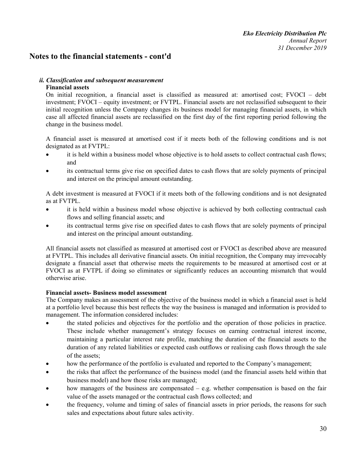# *ii. Classification and subsequent measurement*

# **Financial assets**

On initial recognition, a financial asset is classified as measured at: amortised cost; FVOCI – debt investment; FVOCI – equity investment; or FVTPL. Financial assets are not reclassified subsequent to their initial recognition unless the Company changes its business model for managing financial assets, in which case all affected financial assets are reclassified on the first day of the first reporting period following the change in the business model.

A financial asset is measured at amortised cost if it meets both of the following conditions and is not designated as at FVTPL:

- it is held within a business model whose objective is to hold assets to collect contractual cash flows; and
- its contractual terms give rise on specified dates to cash flows that are solely payments of principal and interest on the principal amount outstanding.

A debt investment is measured at FVOCI if it meets both of the following conditions and is not designated as at FVTPL.

- it is held within a business model whose objective is achieved by both collecting contractual cash flows and selling financial assets; and
- its contractual terms give rise on specified dates to cash flows that are solely payments of principal and interest on the principal amount outstanding.

All financial assets not classified as measured at amortised cost or FVOCI as described above are measured at FVTPL. This includes all derivative financial assets. On initial recognition, the Company may irrevocably designate a financial asset that otherwise meets the requirements to be measured at amortised cost or at FVOCI as at FVTPL if doing so eliminates or significantly reduces an accounting mismatch that would otherwise arise.

## **Financial assets- Business model assessment**

The Company makes an assessment of the objective of the business model in which a financial asset is held at a portfolio level because this best reflects the way the business is managed and information is provided to management. The information considered includes:

- the stated policies and objectives for the portfolio and the operation of those policies in practice. These include whether management's strategy focuses on earning contractual interest income, maintaining a particular interest rate profile, matching the duration of the financial assets to the duration of any related liabilities or expected cash outflows or realising cash flows through the sale of the assets;
- how the performance of the portfolio is evaluated and reported to the Company's management;
- the risks that affect the performance of the business model (and the financial assets held within that business model) and how those risks are managed;
- how managers of the business are compensated  $-$  e.g. whether compensation is based on the fair value of the assets managed or the contractual cash flows collected; and
- the frequency, volume and timing of sales of financial assets in prior periods, the reasons for such sales and expectations about future sales activity.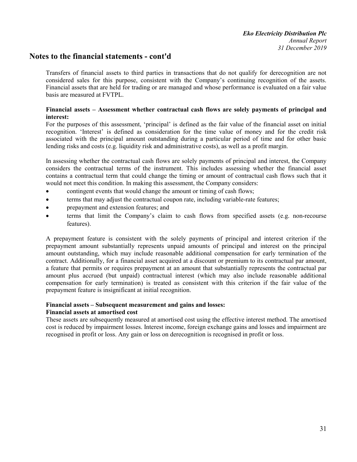Transfers of financial assets to third parties in transactions that do not qualify for derecognition are not considered sales for this purpose, consistent with the Company's continuing recognition of the assets. Financial assets that are held for trading or are managed and whose performance is evaluated on a fair value basis are measured at FVTPL.

# **Financial assets – Assessment whether contractual cash flows are solely payments of principal and interest:**

For the purposes of this assessment, 'principal' is defined as the fair value of the financial asset on initial recognition. 'Interest' is defined as consideration for the time value of money and for the credit risk associated with the principal amount outstanding during a particular period of time and for other basic lending risks and costs (e.g. liquidity risk and administrative costs), as well as a profit margin.

In assessing whether the contractual cash flows are solely payments of principal and interest, the Company considers the contractual terms of the instrument. This includes assessing whether the financial asset contains a contractual term that could change the timing or amount of contractual cash flows such that it would not meet this condition. In making this assessment, the Company considers:

- contingent events that would change the amount or timing of cash flows;
- terms that may adjust the contractual coupon rate, including variable-rate features;
- prepayment and extension features; and
- x terms that limit the Company's claim to cash flows from specified assets (e.g. non-recourse features).

A prepayment feature is consistent with the solely payments of principal and interest criterion if the prepayment amount substantially represents unpaid amounts of principal and interest on the principal amount outstanding, which may include reasonable additional compensation for early termination of the contract. Additionally, for a financial asset acquired at a discount or premium to its contractual par amount, a feature that permits or requires prepayment at an amount that substantially represents the contractual par amount plus accrued (but unpaid) contractual interest (which may also include reasonable additional compensation for early termination) is treated as consistent with this criterion if the fair value of the prepayment feature is insignificant at initial recognition.

#### **Financial assets – Subsequent measurement and gains and losses: Financial assets at amortised cost**

These assets are subsequently measured at amortised cost using the effective interest method. The amortised cost is reduced by impairment losses. Interest income, foreign exchange gains and losses and impairment are recognised in profit or loss. Any gain or loss on derecognition is recognised in profit or loss.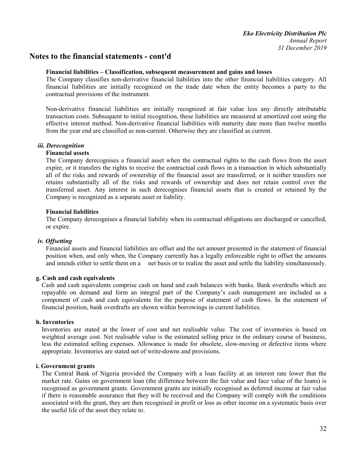## **Financial liabilities – Classification, subsequent measurement and gains and losses**

The Company classifies non-derivative financial liabilities into the other financial liabilities category. All financial liabilities are initially recognized on the trade date when the entity becomes a party to the contractual provisions of the instrument.

Non-derivative financial liabilities are initially recognized at fair value less any directly attributable transaction costs. Subsequent to initial recognition, these liabilities are measured at amortized cost using the effective interest method. Non-derivative financial liabilities with maturity date more than twelve months from the year end are classified as non-current. Otherwise they are classified as current.

## *iii. Derecognition*

#### **Financial assets**

The Company derecognises a financial asset when the contractual rights to the cash flows from the asset expire, or it transfers the rights to receive the contractual cash flows in a transaction in which substantially all of the risks and rewards of ownership of the financial asset are transferred, or it neither transfers nor retains substantially all of the risks and rewards of ownership and does not retain control over the transferred asset. Any interest in such derecognises financial assets that is created or retained by the Company is recognized as a separate asset or liability.

#### **Financial liabilities**

The Company derecognises a financial liability when its contractual obligations are discharged or cancelled, or expire.

## *iv. Offsetting*

Financial assets and financial liabilities are offset and the net amount presented in the statement of financial position when, and only when, the Company currently has a legally enforceable right to offset the amounts and intends either to settle them on a net basis or to realize the asset and settle the liability simultaneously.

## **g. Cash and cash equivalents**

Cash and cash equivalents comprise cash on hand and cash balances with banks. Bank overdrafts which are repayable on demand and form an integral part of the Company's cash management are included as a component of cash and cash equivalents for the purpose of statement of cash flows. In the statement of financial position, bank overdrafts are shown within borrowings in current liabilities.

#### **h. Inventories**

Inventories are stated at the lower of cost and net realisable value. The cost of inventories is based on weighted average cost. Net realisable value is the estimated selling price in the ordinary course of business, less the estimated selling expenses. Allowance is made for obsolete, slow-moving or defective items where appropriate. Inventories are stated net of write-downs and provisions.

## **i. Government grants**

The Central Bank of Nigeria provided the Company with a loan facility at an interest rate lower that the market rate. Gains on government loan (the difference between the fair value and face value of the loans) is recognised as government grants. Government grants are initially recognised as deferred income at fair value if there is reasonable assurance that they will be received and the Company will comply with the conditions associated with the grant, they are then recognised in profit or loss as other income on a systematic basis over the useful life of the asset they relate to.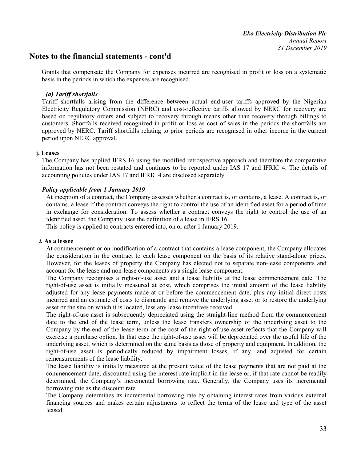Grants that compensate the Company for expenses incurred are recognised in profit or loss on a systematic basis in the periods in which the expenses are recognised.

# *(a) Tariff shortfalls*

Tariff shortfalls arising from the difference between actual end-user tariffs approved by the Nigerian Electricity Regulatory Commission (NERC) and cost-reflective tariffs allowed by NERC for recovery are based on regulatory orders and subject to recovery through means other than recovery through billings to customers. Shortfalls received recognized in profit or loss as cost of sales in the periods the shortfalls are approved by NERC. Tariff shortfalls relating to prior periods are recognised in other income in the current period upon NERC approval.

## **j. Leases**

The Company has applied IFRS 16 using the modified retrospective approach and therefore the comparative information has not been restated and continues to be reported under IAS 17 and IFRIC 4. The details of accounting policies under IAS 17 and IFRIC 4 are disclosed separately.

# *Policy applicable from 1 January 2019*

At inception of a contract, the Company assesses whether a contract is, or contains, a lease. A contract is, or contains, a lease if the contract conveys the right to control the use of an identified asset for a period of time in exchange for consideration. To assess whether a contract conveys the right to control the use of an identified asset, the Company uses the definition of a lease in IFRS 16.

This policy is applied to contracts entered into, on or after 1 January 2019.

## *i.* **As a lessee**

At commencement or on modification of a contract that contains a lease component, the Company allocates the consideration in the contract to each lease component on the basis of its relative stand-alone prices. However, for the leases of property the Company has elected not to separate non-lease components and account for the lease and non-lease components as a single lease component.

The Company recognises a right-of-use asset and a lease liability at the lease commencement date. The right-of-use asset is initially measured at cost, which comprises the initial amount of the lease liability adjusted for any lease payments made at or before the commencement date, plus any initial direct costs incurred and an estimate of costs to dismantle and remove the underlying asset or to restore the underlying asset or the site on which it is located, less any lease incentives received.

The right-of-use asset is subsequently depreciated using the straight-line method from the commencement date to the end of the lease term, unless the lease transfers ownership of the underlying asset to the Company by the end of the lease term or the cost of the right-of-use asset reflects that the Company will exercise a purchase option. In that case the right-of-use asset will be depreciated over the useful life of the underlying asset, which is determined on the same basis as those of property and equipment. In addition, the right-of-use asset is periodically reduced by impairment losses, if any, and adjusted for certain remeasurements of the lease liability.

The lease liability is initially measured at the present value of the lease payments that are not paid at the commencement date, discounted using the interest rate implicit in the lease or, if that rate cannot be readily determined, the Company's incremental borrowing rate. Generally, the Company uses its incremental borrowing rate as the discount rate.

The Company determines its incremental borrowing rate by obtaining interest rates from various external financing sources and makes certain adjustments to reflect the terms of the lease and type of the asset leased.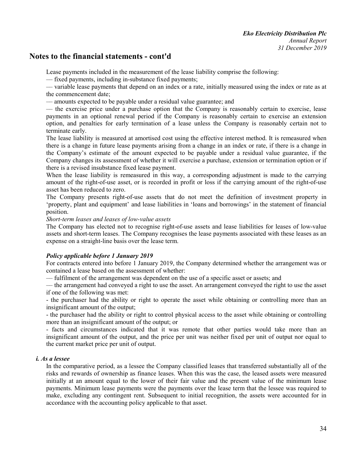Lease payments included in the measurement of the lease liability comprise the following:

–– fixed payments, including in-substance fixed payments;

–– variable lease payments that depend on an index or a rate, initially measured using the index or rate as at the commencement date;

–– amounts expected to be payable under a residual value guarantee; and

–– the exercise price under a purchase option that the Company is reasonably certain to exercise, lease payments in an optional renewal period if the Company is reasonably certain to exercise an extension option, and penalties for early termination of a lease unless the Company is reasonably certain not to terminate early.

The lease liability is measured at amortised cost using the effective interest method. It is remeasured when there is a change in future lease payments arising from a change in an index or rate, if there is a change in the Company's estimate of the amount expected to be payable under a residual value guarantee, if the Company changes its assessment of whether it will exercise a purchase, extension or termination option or if there is a revised insubstance fixed lease payment.

When the lease liability is remeasured in this way, a corresponding adjustment is made to the carrying amount of the right-of-use asset, or is recorded in profit or loss if the carrying amount of the right-of-use asset has been reduced to zero.

The Company presents right-of-use assets that do not meet the definition of investment property in 'property, plant and equipment' and lease liabilities in 'loans and borrowings' in the statement of financial position.

#### *Short-term leases and leases of low-value assets*

The Company has elected not to recognise right-of-use assets and lease liabilities for leases of low-value assets and short-term leases. The Company recognises the lease payments associated with these leases as an expense on a straight-line basis over the lease term.

## *Policy applicable before 1 January 2019*

For contracts entered into before 1 January 2019, the Company determined whether the arrangement was or contained a lease based on the assessment of whether:

–– fulfilment of the arrangement was dependent on the use of a specific asset or assets; and

–– the arrangement had conveyed a right to use the asset. An arrangement conveyed the right to use the asset if one of the following was met:

- the purchaser had the ability or right to operate the asset while obtaining or controlling more than an insignificant amount of the output;

- the purchaser had the ability or right to control physical access to the asset while obtaining or controlling more than an insignificant amount of the output; or

- facts and circumstances indicated that it was remote that other parties would take more than an insignificant amount of the output, and the price per unit was neither fixed per unit of output nor equal to the current market price per unit of output.

## *i. As a lessee*

In the comparative period, as a lessee the Company classified leases that transferred substantially all of the risks and rewards of ownership as finance leases. When this was the case, the leased assets were measured initially at an amount equal to the lower of their fair value and the present value of the minimum lease payments. Minimum lease payments were the payments over the lease term that the lessee was required to make, excluding any contingent rent. Subsequent to initial recognition, the assets were accounted for in accordance with the accounting policy applicable to that asset.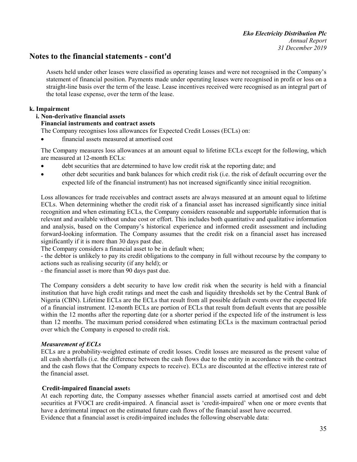Assets held under other leases were classified as operating leases and were not recognised in the Company's statement of financial position. Payments made under operating leases were recognised in profit or loss on a straight-line basis over the term of the lease. Lease incentives received were recognised as an integral part of the total lease expense, over the term of the lease.

## **k. Impairment**

## **i. Non-derivative financial assets**

## **Financial instruments and contract assets**

The Company recognises loss allowances for Expected Credit Losses (ECLs) on:

financial assets measured at amortised cost

The Company measures loss allowances at an amount equal to lifetime ECLs except for the following, which are measured at 12-month ECLs:

- debt securities that are determined to have low credit risk at the reporting date; and
- x other debt securities and bank balances for which credit risk (i.e. the risk of default occurring over the expected life of the financial instrument) has not increased significantly since initial recognition.

Loss allowances for trade receivables and contract assets are always measured at an amount equal to lifetime ECLs. When determining whether the credit risk of a financial asset has increased significantly since initial recognition and when estimating ECLs, the Company considers reasonable and supportable information that is relevant and available without undue cost or effort. This includes both quantitative and qualitative information and analysis, based on the Company's historical experience and informed credit assessment and including forward-looking information. The Company assumes that the credit risk on a financial asset has increased significantly if it is more than 30 days past due.

The Company considers a financial asset to be in default when;

- the debtor is unlikely to pay its credit obligations to the company in full without recourse by the company to actions such as realising security (if any held); or

- the financial asset is more than 90 days past due.

The Company considers a debt security to have low credit risk when the security is held with a financial institution that have high credit ratings and meet the cash and liquidity thresholds set by the Central Bank of Nigeria (CBN). Lifetime ECLs are the ECLs that result from all possible default events over the expected life of a financial instrument. 12-month ECLs are portion of ECLs that result from default events that are possible within the 12 months after the reporting date (or a shorter period if the expected life of the instrument is less than 12 months. The maximum period considered when estimating ECLs is the maximum contractual period over which the Company is exposed to credit risk.

## *Measurement of ECLs*

ECLs are a probability-weighted estimate of credit losses. Credit losses are measured as the present value of all cash shortfalls (i.e. the difference between the cash flows due to the entity in accordance with the contract and the cash flows that the Company expects to receive). ECLs are discounted at the effective interest rate of the financial asset.

## **Credit-impaired financial asset**s

At each reporting date, the Company assesses whether financial assets carried at amortised cost and debt securities at FVOCI are credit-impaired. A financial asset is 'credit-impaired' when one or more events that have a detrimental impact on the estimated future cash flows of the financial asset have occurred. Evidence that a financial asset is credit-impaired includes the following observable data: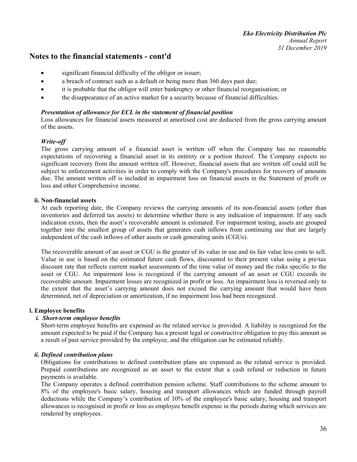- significant financial difficulty of the obligor or issuer;
- a breach of contract such as a default or being more than 360 days past due;
- x it is probable that the obligor will enter bankruptcy or other financial reorganisation; or
- the disappearance of an active market for a security because of financial difficulties.

### *Presentation of allowance for ECL in the statement of financial position*

Loss allowances for financial assets measured at amortised cost are deducted from the gross carrying amount of the assets.

## *Write-off*

The gross carrying amount of a financial asset is written off when the Company has no reasonable expectations of recovering a financial asset in its entirety or a portion thereof. The Company expects no significant recovery from the amount written off. However, financial assets that are written off could still be subject to enforcement activities in order to comply with the Company's procedures for recovery of amounts due. The amount written off is included in impairment loss on financial assets in the Statement of profit or loss and other Comprehensive income.

#### **ii. Non-financial assets**

At each reporting date, the Company reviews the carrying amounts of its non-financial assets (other than inventories and deferred tax assets) to determine whether there is any indication of impairment. If any such indication exists, then the asset's recoverable amount is estimated. For impairment testing, assets are grouped together into the smallest group of assets that generates cash inflows from continuing use that are largely independent of the cash inflows of other assets or cash generating units (CGUs).

The recoverable amount of an asset or CGU is the greater of its value in use and its fair value less costs to sell. Value in use is based on the estimated future cash flows, discounted to their present value using a pre-tax discount rate that reflects current market assessments of the time value of money and the risks specific to the asset or CGU. An impairment loss is recognized if the carrying amount of an asset or CGU exceeds its recoverable amount. Impairment losses are recognized in profit or loss. An impairment loss is reversed only to the extent that the asset's carrying amount does not exceed the carrying amount that would have been determined, net of depreciation or amortization, if no impairment loss had been recognized.

#### **l. Employee benefits**

### *i. Short-term employee benefits*

Short-term employee benefits are expensed as the related service is provided. A liability is recognized for the amount expected to be paid if the Company has a present legal or constructive obligation to pay this amount as a result of past service provided by the employee, and the obligation can be estimated reliably.

#### *ii. Defined contribution plans*

Obligations for contributions to defined contribution plans are expensed as the related service is provided. Prepaid contributions are recognized as an asset to the extent that a cash refund or reduction in future payments is available.

The Company operates a defined contribution pension scheme. Staff contributions to the scheme amount to 8% of the employee's basic salary, housing and transport allowances which are funded through payroll deductions while the Company's contribution of 10% of the employee's basic salary, housing and transport allowances is recognised in profit or loss as employee benefit expense in the periods during which services are rendered by employees.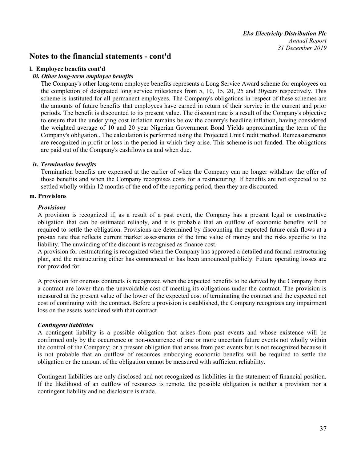## **l. Employee benefits cont'd**

## *iii. Other long-term employee benefits*

The Company's other long-term employee benefits represents a Long Service Award scheme for employees on the completion of designated long service milestones from 5, 10, 15, 20, 25 and 30years respectively. This scheme is instituted for all permanent employees. The Company's obligations in respect of these schemes are the amounts of future benefits that employees have earned in return of their service in the current and prior periods. The benefit is discounted to its present value. The discount rate is a result of the Company's objective to ensure that the underlying cost inflation remains below the country's headline inflation, having considered the weighted average of 10 and 20 year Nigerian Government Bond Yields approximating the term of the Company's obligation.. The calculation is performed using the Projected Unit Credit method. Remeasurements are recognized in profit or loss in the period in which they arise. This scheme is not funded. The obligations are paid out of the Company's cashflows as and when due.

#### *iv. Termination benefits*

Termination benefits are expensed at the earlier of when the Company can no longer withdraw the offer of those benefits and when the Company recognises costs for a restructuring. If benefits are not expected to be settled wholly within 12 months of the end of the reporting period, then they are discounted.

## **m. Provisions**

## *Provisions*

A provision is recognized if, as a result of a past event, the Company has a present legal or constructive obligation that can be estimated reliably, and it is probable that an outflow of economic benefits will be required to settle the obligation. Provisions are determined by discounting the expected future cash flows at a pre-tax rate that reflects current market assessments of the time value of money and the risks specific to the liability. The unwinding of the discount is recognised as finance cost.

A provision for restructuring is recognized when the Company has approved a detailed and formal restructuring plan, and the restructuring either has commenced or has been announced publicly. Future operating losses are not provided for.

A provision for onerous contracts is recognized when the expected benefits to be derived by the Company from a contract are lower than the unavoidable cost of meeting its obligations under the contract. The provision is measured at the present value of the lower of the expected cost of terminating the contract and the expected net cost of continuing with the contract. Before a provision is established, the Company recognizes any impairment loss on the assets associated with that contract

## *Contingent liabilities*

A contingent liability is a possible obligation that arises from past events and whose existence will be confirmed only by the occurrence or non-occurrence of one or more uncertain future events not wholly within the control of the Company; or a present obligation that arises from past events but is not recognized because it is not probable that an outflow of resources embodying economic benefits will be required to settle the obligation or the amount of the obligation cannot be measured with sufficient reliability.

Contingent liabilities are only disclosed and not recognized as liabilities in the statement of financial position. If the likelihood of an outflow of resources is remote, the possible obligation is neither a provision nor a contingent liability and no disclosure is made.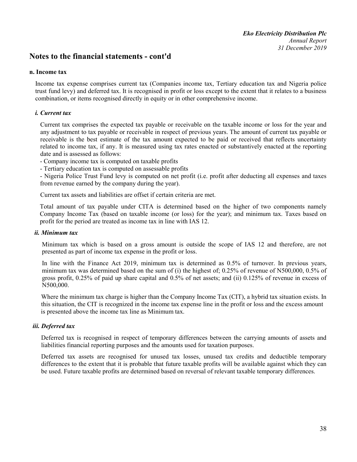#### **n. Income tax**

Income tax expense comprises current tax (Companies income tax, Tertiary education tax and Nigeria police trust fund levy) and deferred tax. It is recognised in profit or loss except to the extent that it relates to a business combination, or items recognised directly in equity or in other comprehensive income.

#### *i. Current tax*

Current tax comprises the expected tax payable or receivable on the taxable income or loss for the year and any adjustment to tax payable or receivable in respect of previous years. The amount of current tax payable or receivable is the best estimate of the tax amount expected to be paid or received that reflects uncertainty related to income tax, if any. It is measured using tax rates enacted or substantively enacted at the reporting date and is assessed as follows:

- Company income tax is computed on taxable profits

- Tertiary education tax is computed on assessable profits

- Nigeria Police Trust Fund levy is computed on net profit (i.e. profit after deducting all expenses and taxes from revenue earned by the company during the year).

Current tax assets and liabilities are offset if certain criteria are met.

Total amount of tax payable under CITA is determined based on the higher of two components namely Company Income Tax (based on taxable income (or loss) for the year); and minimum tax. Taxes based on profit for the period are treated as income tax in line with IAS 12.

#### *ii. Minimum tax*

Minimum tax which is based on a gross amount is outside the scope of IAS 12 and therefore, are not presented as part of income tax expense in the profit or loss.

In line with the Finance Act 2019, minimum tax is determined as 0.5% of turnover. In previous years, minimum tax was determined based on the sum of (i) the highest of; 0.25% of revenue of N500,000, 0.5% of gross profit, 0.25% of paid up share capital and 0.5% of net assets; and (ii) 0.125% of revenue in excess of N500,000.

Where the minimum tax charge is higher than the Company Income Tax (CIT), a hybrid tax situation exists. In this situation, the CIT is recognized in the income tax expense line in the profit or loss and the excess amount is presented above the income tax line as Minimum tax.

#### *iii. Deferred tax*

Deferred tax is recognised in respect of temporary differences between the carrying amounts of assets and liabilities financial reporting purposes and the amounts used for taxation purposes.

Deferred tax assets are recognised for unused tax losses, unused tax credits and deductible temporary differences to the extent that it is probable that future taxable profits will be available against which they can be used. Future taxable profits are determined based on reversal of relevant taxable temporary differences.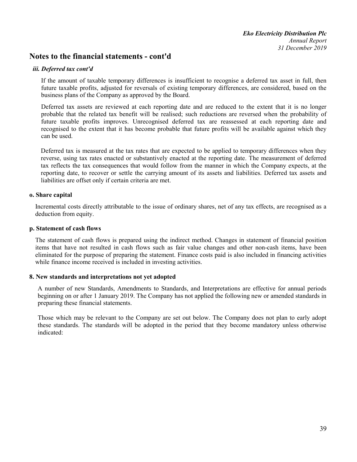#### *iii. Deferred tax cont'd*

If the amount of taxable temporary differences is insufficient to recognise a deferred tax asset in full, then future taxable profits, adjusted for reversals of existing temporary differences, are considered, based on the business plans of the Company as approved by the Board.

Deferred tax assets are reviewed at each reporting date and are reduced to the extent that it is no longer probable that the related tax benefit will be realised; such reductions are reversed when the probability of future taxable profits improves. Unrecognised deferred tax are reassessed at each reporting date and recognised to the extent that it has become probable that future profits will be available against which they can be used.

Deferred tax is measured at the tax rates that are expected to be applied to temporary differences when they reverse, using tax rates enacted or substantively enacted at the reporting date. The measurement of deferred tax reflects the tax consequences that would follow from the manner in which the Company expects, at the reporting date, to recover or settle the carrying amount of its assets and liabilities. Deferred tax assets and liabilities are offset only if certain criteria are met.

#### **o. Share capital**

Incremental costs directly attributable to the issue of ordinary shares, net of any tax effects, are recognised as a deduction from equity.

#### **p. Statement of cash flows**

The statement of cash flows is prepared using the indirect method. Changes in statement of financial position items that have not resulted in cash flows such as fair value changes and other non-cash items, have been eliminated for the purpose of preparing the statement. Finance costs paid is also included in financing activities while finance income received is included in investing activities.

#### **8. New standards and interpretations not yet adopted**

A number of new Standards, Amendments to Standards, and Interpretations are effective for annual periods beginning on or after 1 January 2019. The Company has not applied the following new or amended standards in preparing these financial statements.

Those which may be relevant to the Company are set out below. The Company does not plan to early adopt these standards. The standards will be adopted in the period that they become mandatory unless otherwise indicated: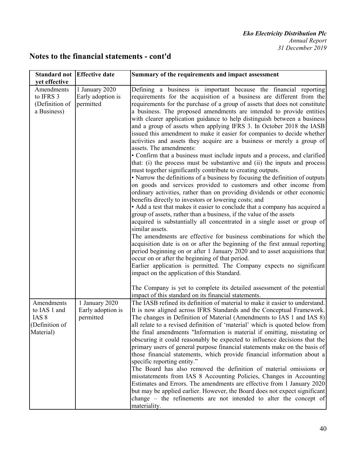|                  | Standard not Effective date | Summary of the requirements and impact assessment                            |
|------------------|-----------------------------|------------------------------------------------------------------------------|
| yet effective    |                             |                                                                              |
| Amendments       | 1 January 2020              | Defining a business is important because the financial reporting             |
| to IFRS 3        | Early adoption is           | requirements for the acquisition of a business are different from the        |
| (Definition of   | permitted                   | requirements for the purchase of a group of assets that does not constitute  |
| a Business)      |                             | a business. The proposed amendments are intended to provide entities         |
|                  |                             | with clearer application guidance to help distinguish between a business     |
|                  |                             | and a group of assets when applying IFRS 3. In October 2018 the IASB         |
|                  |                             | issued this amendment to make it easier for companies to decide whether      |
|                  |                             | activities and assets they acquire are a business or merely a group of       |
|                  |                             | assets. The amendments:                                                      |
|                  |                             | • Confirm that a business must include inputs and a process, and clarified   |
|                  |                             | that: (i) the process must be substantive and (ii) the inputs and process    |
|                  |                             | must together significantly contribute to creating outputs.                  |
|                  |                             | • Narrow the definitions of a business by focusing the definition of outputs |
|                  |                             | on goods and services provided to customers and other income from            |
|                  |                             | ordinary activities, rather than on providing dividends or other economic    |
|                  |                             | benefits directly to investors or lowering costs; and                        |
|                  |                             | • Add a test that makes it easier to conclude that a company has acquired a  |
|                  |                             | group of assets, rather than a business, if the value of the assets          |
|                  |                             | acquired is substantially all concentrated in a single asset or group of     |
|                  |                             | similar assets.                                                              |
|                  |                             | The amendments are effective for business combinations for which the         |
|                  |                             | acquisition date is on or after the beginning of the first annual reporting  |
|                  |                             | period beginning on or after 1 January 2020 and to asset acquisitions that   |
|                  |                             | occur on or after the beginning of that period.                              |
|                  |                             | Earlier application is permitted. The Company expects no significant         |
|                  |                             | impact on the application of this Standard.                                  |
|                  |                             | The Company is yet to complete its detailed assessment of the potential      |
|                  |                             | impact of this standard on its financial statements.                         |
| Amendments       | 1 January 2020              | The IASB refined its definition of material to make it easier to understand. |
| to IAS 1 and     | Early adoption is           | It is now aligned across IFRS Standards and the Conceptual Framework.        |
| IAS <sub>8</sub> | permitted                   | The changes in Definition of Material (Amendments to IAS 1 and IAS 8)        |
| (Definition of   |                             | all relate to a revised definition of 'material' which is quoted below from  |
| Material)        |                             | the final amendments "Information is material if omitting, misstating or     |
|                  |                             | obscuring it could reasonably be expected to influence decisions that the    |
|                  |                             | primary users of general purpose financial statements make on the basis of   |
|                  |                             | those financial statements, which provide financial information about a      |
|                  |                             | specific reporting entity."                                                  |
|                  |                             | The Board has also removed the definition of material omissions or           |
|                  |                             | misstatements from IAS 8 Accounting Policies, Changes in Accounting          |
|                  |                             | Estimates and Errors. The amendments are effective from 1 January 2020       |
|                  |                             | but may be applied earlier. However, the Board does not expect significant   |
|                  |                             | change – the refinements are not intended to alter the concept of            |
|                  |                             | materiality.                                                                 |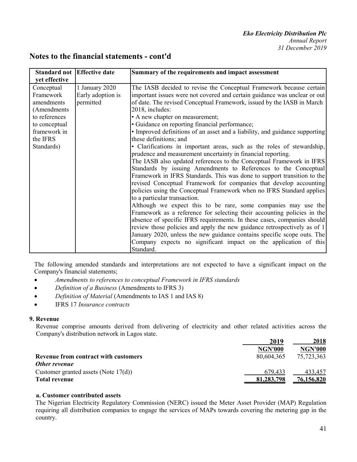|               | <b>Standard not Effective date</b> | Summary of the requirements and impact assessment                           |
|---------------|------------------------------------|-----------------------------------------------------------------------------|
| yet effective |                                    |                                                                             |
| Conceptual    | 1 January 2020                     | The IASB decided to revise the Conceptual Framework because certain         |
| Framework     | Early adoption is                  | important issues were not covered and certain guidance was unclear or out   |
| amendments    | permitted                          | of date. The revised Conceptual Framework, issued by the IASB in March      |
| (Amendments)  |                                    | 2018, includes:                                                             |
| to references |                                    | • A new chapter on measurement;                                             |
| to conceptual |                                    | • Guidance on reporting financial performance;                              |
| framework in  |                                    | • Improved definitions of an asset and a liability, and guidance supporting |
| the IFRS      |                                    | these definitions; and                                                      |
| Standards)    |                                    | • Clarifications in important areas, such as the roles of stewardship,      |
|               |                                    | prudence and measurement uncertainty in financial reporting.                |
|               |                                    | The IASB also updated references to the Conceptual Framework in IFRS        |
|               |                                    | Standards by issuing Amendments to References to the Conceptual             |
|               |                                    | Framework in IFRS Standards. This was done to support transition to the     |
|               |                                    | revised Conceptual Framework for companies that develop accounting          |
|               |                                    | policies using the Conceptual Framework when no IFRS Standard applies       |
|               |                                    | to a particular transaction.                                                |
|               |                                    | Although we expect this to be rare, some companies may use the              |
|               |                                    | Framework as a reference for selecting their accounting policies in the     |
|               |                                    | absence of specific IFRS requirements. In these cases, companies should     |
|               |                                    | review those policies and apply the new guidance retrospectively as of 1    |
|               |                                    | January 2020, unless the new guidance contains specific scope outs. The     |
|               |                                    | Company expects no significant impact on the application of this            |
|               |                                    | Standard.                                                                   |

The following amended standards and interpretations are not expected to have a significant impact on the Company's financial statements;

- x *Amendments to references to conceptual Framework in IFRS standards*
- **•** *Definition of a Business* (Amendments to IFRS 3)
- *Definition of Material* (Amendments to IAS 1 and IAS 8)
- x IFRS 17 *Insurance contracts*

#### **9. Revenue**

Revenue comprise amounts derived from delivering of electricity and other related activities across the Company's distribution network in Lagos state.

|                                         | 2019           | 2018           |
|-----------------------------------------|----------------|----------------|
|                                         | <b>NGN'000</b> | <b>NGN'000</b> |
| Revenue from contract with customers    | 80,604,365     | 75,723,363     |
| <b>Other revenue</b>                    |                |                |
| Customer granted assets (Note $17(d)$ ) | 679.433        | 433,457        |
| <b>Total revenue</b>                    | 81,283,798     | 76,156,820     |

#### **a. Customer contributed assets**

The Nigerian Electricity Regulatory Commission (NERC) issued the Meter Asset Provider (MAP) Regulation requiring all distribution companies to engage the services of MAPs towards covering the metering gap in the country.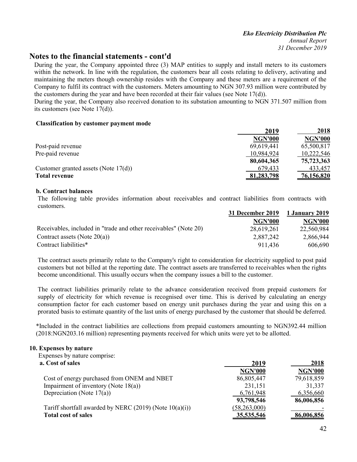During the year, the Company appointed three (3) MAP entities to supply and install meters to its customers within the network. In line with the regulation, the customers bear all costs relating to delivery, activating and maintaining the meters though ownership resides with the Company and these meters are a requirement of the Company to fulfil its contract with the customers. Meters amounting to NGN 307.93 million were contributed by the customers during the year and have been recorded at their fair values (see Note  $17(d)$ ).

During the year, the Company also received donation to its substation amounting to NGN 371.507 million from its customers (see Note 17(d)).

#### **Classification by customer payment mode**

|                                         | 2019           | 2018           |
|-----------------------------------------|----------------|----------------|
|                                         | <b>NGN'000</b> | <b>NGN'000</b> |
| Post-paid revenue                       | 69,619,441     | 65,500,817     |
| Pre-paid revenue                        | 10,984,924     | 10,222,546     |
|                                         | 80,604,365     | 75,723,363     |
| Customer granted assets (Note $17(d)$ ) | 679.433        | 433,457        |
| <b>Total revenue</b>                    | 81,283,798     | 76,156,820     |

#### **b. Contract balances**

The following table provides information about receivables and contract liabilities from contracts with customers.

|                                                                  | <b>31 December 2019</b> | <b>1 January 2019</b> |
|------------------------------------------------------------------|-------------------------|-----------------------|
|                                                                  | <b>NGN'000</b>          | <b>NGN'000</b>        |
| Receivables, included in "trade and other receivables" (Note 20) | 28,619,261              | 22,560,984            |
| Contract assets (Note $20(a)$ )                                  | 2,887,242               | 2,866,944             |
| Contract liabilities*                                            | 911.436                 | 606,690               |

The contract assets primarily relate to the Company's right to consideration for electricity supplied to post paid customers but not billed at the reporting date. The contract assets are transferred to receivables when the rights become unconditional. This usually occurs when the company issues a bill to the customer.

The contract liabilities primarily relate to the advance consideration received from prepaid customers for supply of electricity for which revenue is recognised over time. This is derived by calculating an energy consumption factor for each customer based on energy unit purchases during the year and using this on a prorated basis to estimate quantity of the last units of energy purchased by the customer that should be deferred.

\*Included in the contract liabilities are collections from prepaid customers amounting to NGN392.44 million (2018:NGN203.16 million) representing payments received for which units were yet to be allotted.

#### **10. Expenses by nature**

# Expenses by nature comprise: **a. Cost of sales 2019 2018 NGN'000 NGN'000** Cost of energy purchased from ONEM and NBET 86,805,447 79,618,859 Impairment of inventory (Note  $18(a)$ ) 231,151 31,337 Depreciation (Note 17(a)) 6,761,948 6,356,660 **93,798,546 86,006,856** Tariff shortfall awarded by NERC  $(2019)$  (Note  $10(a)(i)$ ) (58,263,000) **Total cost of sales** 35,535,546 **86,006,856**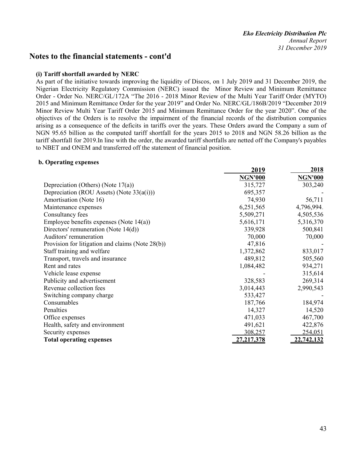### **(i) Tariff shortfall awarded by NERC**

As part of the initiative towards improving the liquidity of Discos, on 1 July 2019 and 31 December 2019, the Nigerian Electricity Regulatory Commission (NERC) issued the Minor Review and Minimum Remittance Order - Order No. NERC/GL/172A "The 2016 - 2018 Minor Review of the Multi Year Tariff Order (MYTO) 2015 and Minimum Remittance Order for the year 2019" and Order No. NERC/GL/186B/2019 "December 2019 Minor Review Multi Year Tariff Order 2015 and Minimum Remittance Order for the year 2020". One of the objectives of the Orders is to resolve the impairment of the financial records of the distribution companies arising as a consequence of the deficits in tariffs over the years. These Orders award the Company a sum of NGN 95.65 billion as the computed tariff shortfall for the years 2015 to 2018 and NGN 58.26 billion as the tariff shortfall for 2019.In line with the order, the awarded tariff shortfalls are netted off the Company's payables to NBET and ONEM and transferred off the statement of financial position.

#### **b. Operating expenses**

|                                                  | 2019           | 2018           |
|--------------------------------------------------|----------------|----------------|
|                                                  | <b>NGN'000</b> | <b>NGN'000</b> |
| Depreciation (Others) (Note $17(a)$ )            | 315,727        | 303,240        |
| Depreciation (ROU Assets) (Note $33(a(i))$ )     | 695,357        |                |
| Amortisation (Note 16)                           | 74,930         | 56,711         |
| Maintenance expenses                             | 6,251,565      | 4,796,994.     |
| Consultancy fees                                 | 5,509,271      | 4,505,536      |
| Employee benefits expenses (Note $14(a)$ )       | 5,616,171      | 5,316,370      |
| Directors' remuneration (Note $14(d)$ )          | 339,928        | 500,841        |
| Auditors' remuneration                           | 70,000         | 70,000         |
| Provision for litigation and claims (Note 28(b)) | 47,816         |                |
| Staff training and welfare                       | 1,372,862      | 833,017        |
| Transport, travels and insurance                 | 489,812        | 505,560        |
| Rent and rates                                   | 1,084,482      | 934,271        |
| Vehicle lease expense                            |                | 315,614        |
| Publicity and advertisement                      | 328,583        | 269,314        |
| Revenue collection fees                          | 3,014,443      | 2,990,543      |
| Switching company charge                         | 533,427        |                |
| Consumables                                      | 187,766        | 184,974        |
| Penalties                                        | 14,327         | 14,520         |
| Office expenses                                  | 471,033        | 467,700        |
| Health, safety and environment                   | 491,621        | 422,876        |
| Security expenses                                | 308,257        | 254,051        |
| <b>Total operating expenses</b>                  | 27,217,378     | 22,742,132     |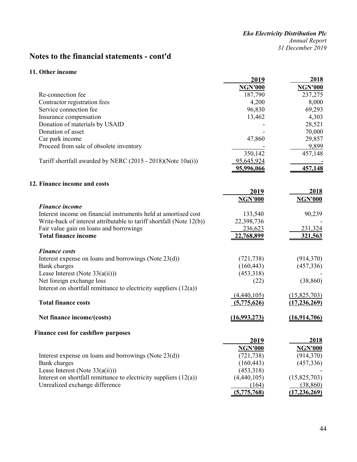## *Eko Electricity Distribution Plc Annual Report 31 December 2019*

# **Notes to the financial statements - cont'd**

## **11. Other income**

|                                                                      | 2019           | 2018           |
|----------------------------------------------------------------------|----------------|----------------|
|                                                                      | <b>NGN'000</b> | <b>NGN'000</b> |
| Re-connection fee                                                    | 187,790        | 237,275        |
| Contractor registration fees                                         | 4,200          | 8,000          |
| Service connection fee                                               | 96,830         | 69,293         |
| Insurance compensation                                               | 13,462         | 4,303          |
| Donation of materials by USAID                                       |                | 28,521         |
| Donation of asset                                                    |                | 70,000         |
| Car park income                                                      | 47,860         | 29,857         |
| Proceed from sale of obsolete inventory                              |                | 9,899          |
|                                                                      | 350,142        | 457,148        |
| Tariff shortfall awarded by NERC (2015 - 2018)(Note 10a(i))          | 95,645,924     |                |
|                                                                      | 95,996,066     | 457,148        |
| 12. Finance income and costs                                         |                |                |
|                                                                      | 2019           | 2018           |
|                                                                      | <b>NGN'000</b> | <b>NGN'000</b> |
| <b>Finance income</b>                                                |                |                |
| Interest income on financial instruments held at amortised cost      | 133,540        | 90,239         |
| Write-back of interest attributable to tariff shortfall (Note 12(b)) | 22,398,736     |                |
| Fair value gain on loans and borrowings                              | 236,623        | 231,324        |
| <b>Total finance income</b>                                          | 22,768,899     | 321,563        |
| <b>Finance costs</b>                                                 |                |                |
| Interest expense on loans and borrowings (Note 23(d))                | (721, 738)     | (914,370)      |
| Bank charges                                                         | (160, 443)     | (457, 336)     |
| Lease Interest (Note $33(a(ii))$ )                                   | (453,318)      |                |
| Net foreign exchange loss                                            | (22)           | (38, 860)      |
| Interest on shortfall remittance to electricity suppliers $(12(a))$  |                |                |
|                                                                      | (4,440,105)    | (15,825,703)   |
| <b>Total finance costs</b>                                           | (5,775,626)    | (17, 236, 269) |
| Net finance income/(costs)                                           | (16,993,273)   | (16,914,706)   |
| <b>Finance cost for cashflow purposes</b>                            |                |                |
|                                                                      | 2019           | <b>2018</b>    |
|                                                                      | <b>NGN'000</b> | <b>NGN'000</b> |
| Interest expense on loans and borrowings (Note 23(d))                | (721, 738)     | (914, 370)     |
| Bank charges                                                         | (160, 443)     | (457, 336)     |
| Lease Interest (Note $33(a(ii))$ )                                   | (453,318)      |                |
| Interest on shortfall remittance to electricity suppliers $(12(a))$  | (4,440,105)    | (15,825,703)   |
| Unrealized exchange difference                                       | (164)          | (38, 860)      |
|                                                                      | (5,775,768)    | (17, 236, 269) |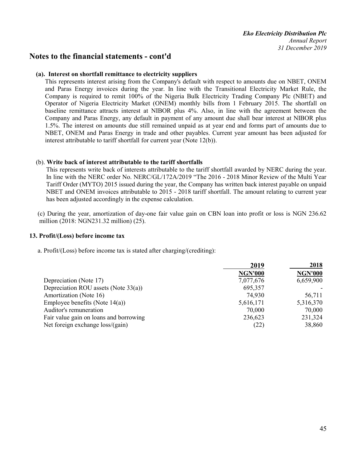### **(a). Interest on shortfall remittance to electricity suppliers**

This represents interest arising from the Company's default with respect to amounts due on NBET, ONEM and Paras Energy invoices during the year. In line with the Transitional Electricity Market Rule, the Company is required to remit 100% of the Nigeria Bulk Electricity Trading Company Plc (NBET) and Operator of Nigeria Electricity Market (ONEM) monthly bills from 1 February 2015. The shortfall on baseline remittance attracts interest at NIBOR plus 4%. Also, in line with the agreement between the Company and Paras Energy, any default in payment of any amount due shall bear interest at NIBOR plus 1.5%. The interest on amounts due still remained unpaid as at year end and forms part of amounts due to NBET, ONEM and Paras Energy in trade and other payables. Current year amount has been adjusted for interest attributable to tariff shortfall for current year (Note 12(b)).

## (b). **Write back of interest attributable to the tariff shortfalls**

This represents write back of interests attributable to the tariff shortfall awarded by NERC during the year. In line with the NERC order No. NERC/GL/172A/2019 "The 2016 - 2018 Minor Review of the Multi Year Tariff Order (MYTO) 2015 issued during the year, the Company has written back interest payable on unpaid NBET and ONEM invoices attributable to 2015 - 2018 tariff shortfall. The amount relating to current year has been adjusted accordingly in the expense calculation.

(c) During the year, amortization of day-one fair value gain on CBN loan into profit or loss is NGN 236.62 million (2018: NGN231.32 million) (25).

#### **13. Profit/(Loss) before income tax**

a. Profit/(Loss) before income tax is stated after charging/(crediting):

|                                         | 2019           | 2018           |
|-----------------------------------------|----------------|----------------|
|                                         | <b>NGN'000</b> | <b>NGN'000</b> |
| Depreciation (Note 17)                  | 7,077,676      | 6,659,900      |
| Depreciation ROU assets (Note $33(a)$ ) | 695,357        |                |
| Amortization (Note 16)                  | 74,930         | 56,711         |
| Employee benefits (Note $14(a)$ )       | 5,616,171      | 5,316,370      |
| Auditor's remuneration                  | 70,000         | 70,000         |
| Fair value gain on loans and borrowing  | 236,623        | 231,324        |
| Net foreign exchange loss/(gain)        | (22)           | 38,860         |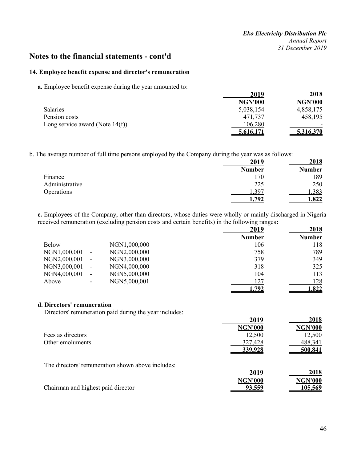#### **14. Employee benefit expense and director's remuneration**

**a.** Employee benefit expense during the year amounted to:

|                                    | 2019           | 2018           |
|------------------------------------|----------------|----------------|
|                                    | <b>NGN'000</b> | <b>NGN'000</b> |
| <b>Salaries</b>                    | 5,038,154      | 4,858,175      |
| Pension costs                      | 471,737        | 458,195        |
| Long service award (Note $14(f)$ ) | 106,280        |                |
|                                    | 5,616,171      | 5,316,370      |

b. The average number of full time persons employed by the Company during the year was as follows:

|                | 2019          | 2018          |
|----------------|---------------|---------------|
|                | <b>Number</b> | <b>Number</b> |
| Finance        | 170           | 189           |
| Administrative | 225           | 250           |
| Operations     | 397           | ,383          |
|                | -702          | 1,822         |

**c.** Employees of the Company, other than directors, whose duties were wholly or mainly discharged in Nigeria received remuneration (excluding pension costs and certain benefits) in the following ranges**:**

|              |                          |              | 2019          | 2018          |
|--------------|--------------------------|--------------|---------------|---------------|
|              |                          |              | <b>Number</b> | <b>Number</b> |
| <b>Below</b> |                          | NGN1,000,000 | 106           | 118           |
| NGN1,000,001 | $\overline{\phantom{a}}$ | NGN2,000,000 | 758           | 789           |
| NGN2,000,001 | $\overline{\phantom{a}}$ | NGN3,000,000 | 379           | 349           |
| NGN3,000,001 | $\overline{\phantom{a}}$ | NGN4,000,000 | 318           | 325           |
| NGN4,000,001 | $\overline{\phantom{a}}$ | NGN5,000,000 | 104           | 113           |
| Above        | -                        | NGN5,000,001 | 127           | 128           |
|              |                          |              | <u>1,792</u>  | 1,822         |

## **d. Directors' remuneration**

Directors' remuneration paid during the year includes:

|                                                   | 2019           | 2018           |
|---------------------------------------------------|----------------|----------------|
|                                                   | <b>NGN'000</b> | <b>NGN'000</b> |
| Fees as directors                                 | 12,500         | 12,500         |
| Other emoluments                                  | 327,428        | 488,341        |
|                                                   | 339,928        | 500,841        |
| The directors' remuneration shown above includes: |                |                |
|                                                   | 2019           | 2018           |
|                                                   | <b>NGN'000</b> | <b>NGN'000</b> |
| Chairman and highest paid director                | 93,559         | 105,569        |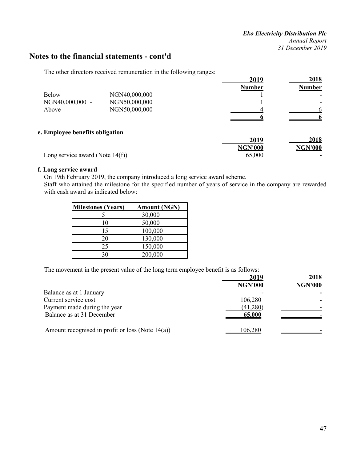The other directors received remuneration in the following ranges:

|                                    |               | 2019           | 2018           |
|------------------------------------|---------------|----------------|----------------|
|                                    |               | <b>Number</b>  | <b>Number</b>  |
| <b>Below</b>                       | NGN40,000,000 |                |                |
| NGN40,000,000 -                    | NGN50,000,000 |                |                |
| Above                              | NGN50,000,000 |                |                |
|                                    |               |                |                |
| e. Employee benefits obligation    |               |                |                |
|                                    |               | 2019           | 2018           |
|                                    |               | <b>NGN'000</b> | <b>NGN'000</b> |
| Long service award (Note $14(f)$ ) |               | 65,000         |                |

#### **f. Long service award**

On 19th February 2019, the company introduced a long service award scheme.

Staff who attained the milestone for the specified number of years of service in the company are rewarded with cash award as indicated below:

| <b>Milestones (Years)</b> | <b>Amount (NGN)</b> |
|---------------------------|---------------------|
|                           | 30,000              |
| 10                        | 50,000              |
| 15                        | 100,000             |
| 20                        | 130,000             |
| 25                        | 150,000             |
|                           | 200,000             |

The movement in the present value of the long term employee benefit is as follows:

|                                                     | 2019           | 2018           |
|-----------------------------------------------------|----------------|----------------|
|                                                     | <b>NGN'000</b> | <b>NGN'000</b> |
| Balance as at 1 January                             |                |                |
| Current service cost                                | 106,280        |                |
| Payment made during the year                        | (41,280)       |                |
| Balance as at 31 December                           | 65,000         |                |
| Amount recognised in profit or loss (Note $14(a)$ ) | 106,280        |                |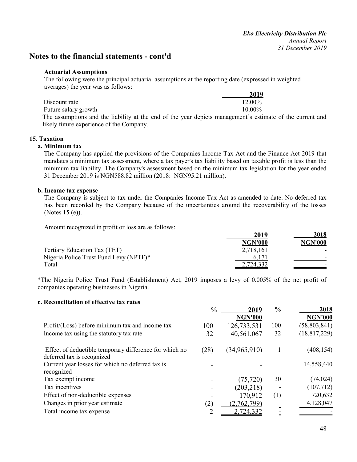#### **Actuarial Assumptions**

The following were the principal actuarial assumptions at the reporting date (expressed in weighted averages) the year was as follows:

| $\sim$ $\sim$ $\sim$ | 2019      |
|----------------------|-----------|
| Discount rate        | 12.00%    |
| Future salary growth | $10.00\%$ |

The assumptions and the liability at the end of the year depicts management's estimate of the current and likely future experience of the Company.

#### **15. Taxation**

#### **a. Minimum tax**

The Company has applied the provisions of the Companies Income Tax Act and the Finance Act 2019 that mandates a minimum tax assessment, where a tax payer's tax liability based on taxable profit is less than the minimum tax liability. The Company's assessment based on the minimum tax legislation for the year ended 31 December 2019 is NGN588.82 million (2018: NGN95.21 million).

#### **b. Income tax expense**

The Company is subject to tax under the Companies Income Tax Act as amended to date. No deferred tax has been recorded by the Company because of the uncertainties around the recoverability of the losses (Notes 15 (e)).

Amount recognized in profit or loss are as follows:

|                                        | 2019           | 2018           |
|----------------------------------------|----------------|----------------|
|                                        | <b>NGN'000</b> | <b>NGN'000</b> |
| Tertiary Education Tax (TET)           | 2,718,161      |                |
| Nigeria Police Trust Fund Levy (NPTF)* |                | -              |
| Total                                  | 2,724,332      |                |

\*The Nigeria Police Trust Fund (Establishment) Act, 2019 imposes a levy of 0.005% of the net profit of companies operating businesses in Nigeria.

## **c. Reconciliation of effective tax rates**

|                                                                                      | $\frac{0}{0}$ | 2019           | $\frac{0}{0}$ | 2018           |
|--------------------------------------------------------------------------------------|---------------|----------------|---------------|----------------|
|                                                                                      |               | <b>NGN'000</b> |               | <b>NGN'000</b> |
| Profit/(Loss) before minimum tax and income tax                                      | 100           | 126,733,531    | 100           | (58, 803, 841) |
| Income tax using the statutory tax rate                                              | 32            | 40,561,067     | 32            | (18, 817, 229) |
| Effect of deductible temporary difference for which no<br>deferred tax is recognized | (28)          | (34, 965, 910) |               | (408, 154)     |
| Current year losses for which no deferred tax is<br>recognized                       |               |                |               | 14,558,440     |
| Tax exempt income                                                                    |               | (75, 720)      | 30            | (74, 024)      |
| Tax incentives                                                                       |               | (203, 218)     |               | (107,712)      |
| Effect of non-deductible expenses                                                    |               | 170,912        | (1)           | 720,632        |
| Changes in prior year estimate                                                       | (2)           | (2,762,799)    |               | 4,128,047      |
| Total income tax expense                                                             |               | 2,724,332      |               |                |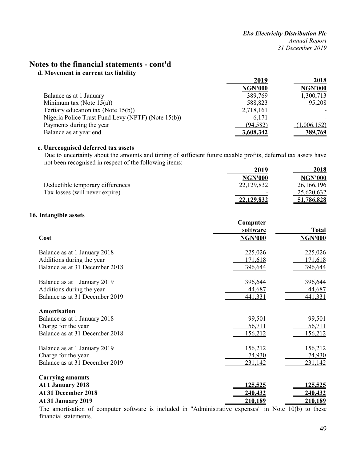### *Eko Electricity Distribution Plc Annual Report 31 December 2019*

**2019 2018 2018** *NGN'000* 

#### **Notes to the financial statements - cont'd d. Movement in current tax liability**

| d. Movement in current tax hability |  |
|-------------------------------------|--|
|                                     |  |
| Balance as at 1 Ianuary             |  |

|                                                    | <b>NGN'000</b> | <b>NGN'000</b> |
|----------------------------------------------------|----------------|----------------|
| Balance as at 1 January                            | 389,769        | 1,300,713      |
| Minimum tax (Note $15(a)$ )                        | 588,823        | 95,208         |
| Tertiary education tax (Note $15(b)$ )             | 2,718,161      |                |
| Nigeria Police Trust Fund Levy (NPTF) (Note 15(b)) | 6,171          |                |
| Payments during the year                           | (94, 582)      | (1,006,152)    |
| Balance as at year end                             | 3,608,342      | 389,769        |

### **e. Unrecognised deferred tax assets**

Due to uncertainty about the amounts and timing of sufficient future taxable profits, deferred tax assets have not been recognised in respect of the following items:

|                                  | 2019           | 2018           |
|----------------------------------|----------------|----------------|
|                                  | <b>NGN'000</b> | <b>NGN'000</b> |
| Deductible temporary differences | 22,129,832     | 26,166,196     |
| Tax losses (will never expire)   | -              | 25,620,632     |
|                                  | 22,129,832     | 51,786,828     |

## **16. Intangible assets**

|                                                                                                                      | Computer<br>software                   | <b>Total</b>   |
|----------------------------------------------------------------------------------------------------------------------|----------------------------------------|----------------|
| Cost                                                                                                                 | <b>NGN'000</b>                         | <b>NGN'000</b> |
| Balance as at 1 January 2018                                                                                         | 225,026                                | 225,026        |
| Additions during the year                                                                                            | 171,618                                | 171,618        |
| Balance as at 31 December 2018                                                                                       | 396,644                                | 396,644        |
| Balance as at 1 January 2019                                                                                         | 396,644                                | 396,644        |
| Additions during the year                                                                                            | 44,687                                 | 44,687         |
| Balance as at 31 December 2019                                                                                       | 441,331                                | 441,331        |
| Amortisation                                                                                                         |                                        |                |
| Balance as at 1 January 2018                                                                                         | 99,501                                 | 99,501         |
| Charge for the year                                                                                                  | 56,711                                 | 56,711         |
| Balance as at 31 December 2018                                                                                       | 156,212                                | 156,212        |
| Balance as at 1 January 2019                                                                                         | 156,212                                | 156,212        |
| Charge for the year                                                                                                  | 74,930                                 | 74,930         |
| Balance as at 31 December 2019                                                                                       | 231,142                                | 231,142        |
| <b>Carrying amounts</b>                                                                                              |                                        |                |
| At 1 January 2018                                                                                                    | 125,525                                | <u>125,525</u> |
| At 31 December 2018                                                                                                  | 240,432                                | 240,432        |
| At 31 January 2019                                                                                                   | <u>210,189</u>                         | <u>210,189</u> |
| $\mathbf{r}$ and $\mathbf{r}$ and $\mathbf{r}$<br>$\begin{array}{ccccccccccccccccc}\n1 & 1 & 1 & 1 & 1\n\end{array}$ | $\mathbf{H}$ $\mathbf{A}$ $\mathbf{I}$ | 10(1)          |

The amortisation of computer software is included in "Administrative expenses" in Note 10(b) to these financial statements.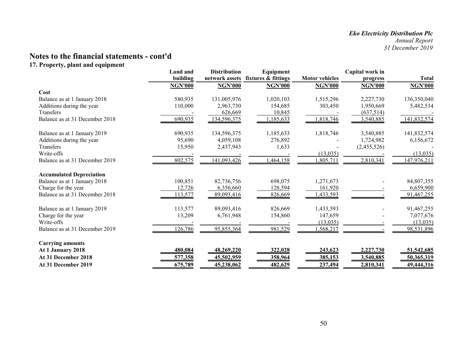## **17. Property, plant and equipment**

|                                 | Land and       | <b>Distribution</b> | Equipment                          |                       | Capital work in |                |
|---------------------------------|----------------|---------------------|------------------------------------|-----------------------|-----------------|----------------|
|                                 | building       |                     | network assets fixtures & fittings | <b>Motor vehicles</b> | progress        | <b>Total</b>   |
|                                 | <b>NGN'000</b> | <b>NGN'000</b>      | <b>NGN'000</b>                     | <b>NGN'000</b>        | <b>NGN'000</b>  | <b>NGN'000</b> |
| Cost                            |                |                     |                                    |                       |                 |                |
| Balance as at 1 January 2018    | 580,935        | 131,005,976         | 1,020,103                          | 1,515,296             | 2,227,730       | 136,350,040    |
| Additions during the year       | 110,000        | 2,963,730           | 154,685                            | 303,450               | 1,950,669       | 5,482,534      |
| Transfers                       |                | 626,669             | 10,845                             |                       | (637,514)       |                |
| Balance as at 31 December 2018  | 690,935        | 134,596,375         | 1,185,633                          | 1,818,746             | 3,540,885       | 141,832,574    |
| Balance as at 1 January 2019    | 690,935        | 134,596,375         | 1,185,633                          | 1,818,746             | 3,540,885       | 141,832,574    |
| Additions during the year       | 95,690         | 4,059,108           | 276,892                            |                       | 1,724,982       | 6,156,672      |
| Transfers                       | 15,950         | 2,437,943           | 1,633                              |                       | (2,455,526)     |                |
| Write-offs                      |                |                     |                                    | (13,035)              |                 | (13, 035)      |
| Balance as at 31 December 2019  | 802,575        | 141,093,426         | 1,464,158                          | 1,805,711             | 2,810,341       | 147,976,211    |
| <b>Accumulated Depreciation</b> |                |                     |                                    |                       |                 |                |
| Balance as at 1 January 2018    | 100,851        | 82,736,756          | 698,075                            | 1,271,673             |                 | 84,807,355     |
| Charge for the year             | 12,726         | 6,356,660           | 128,594                            | 161,920               |                 | 6,659,900      |
| Balance as at 31 December 2018  | 113,577        | 89,093,416          | 826,669                            | 1,433,593             |                 | 91,467,255     |
| Balance as at 1 January 2019    | 113,577        | 89,093,416          | 826,669                            | 1,433,593             |                 | 91,467,255     |
| Charge for the year             | 13,209         | 6,761,948           | 154,860                            | 147,659               |                 | 7,077,676      |
| Write-offs                      |                |                     |                                    | (13,035)              |                 | (13, 035)      |
| Balance as at 31 December 2019  | 126,786        | 95,855,364          | 981,529                            | 1,568,217             |                 | 98,531,896     |
| <b>Carrying amounts</b>         |                |                     |                                    |                       |                 |                |
| At 1 January 2018               | 480,084        | 48,269,220          | 322,028                            | 243,623               | 2,227,730       | 51,542,685     |
| At 31 December 2018             | 577,358        | 45,502,959          | 358,964                            | 385,153               | 3,540,885       | 50,365,319     |
| At 31 December 2019             | 675,789        | 45,238,062          | 482,629                            | 237,494               | 2,810,341       | 49,444,316     |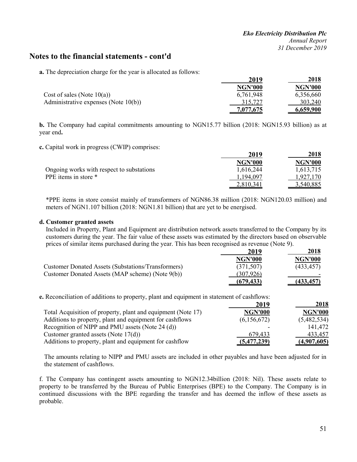**a.** The depreciation charge for the year is allocated as follows:

|                                         | 2019           | 2018           |
|-----------------------------------------|----------------|----------------|
|                                         | <b>NGN'000</b> | <b>NGN'000</b> |
| Cost of sales (Note $10(a)$ )           | 6,761,948      | 6,356,660      |
| Administrative expenses (Note $10(b)$ ) | 315,727        | <u>303,240</u> |
|                                         | 7,077,675      | 6,659,900      |

**b.** The Company had capital commitments amounting to NGN15.77 billion (2018: NGN15.93 billion) as at year end**.**

**c.** Capital work in progress (CWIP) comprises:

|                                           | 2019           | 2018           |
|-------------------------------------------|----------------|----------------|
|                                           | <b>NGN'000</b> | <b>NGN'000</b> |
| Ongoing works with respect to substations | 1.616.244      | 1,613,715      |
| PPE items in store *                      | 1.194.097      | 1.927.170      |
|                                           | 2,810,341      | 3,540,885      |

\*PPE items in store consist mainly of transformers of NGN86.38 million (2018: NGN120.03 million) and meters of NGN1.107 billion (2018: NGN1.81 billion) that are yet to be energised.

#### **d. Customer granted assets**

Included in Property, Plant and Equipment are distribution network assets transferred to the Company by its customers during the year. The fair value of these assets was estimated by the directors based on observable prices of similar items purchased during the year. This has been recognised as revenue (Note 9).

|                                                           | 2019           | 2018           |
|-----------------------------------------------------------|----------------|----------------|
|                                                           | <b>NGN'000</b> | <b>NGN'000</b> |
| <b>Customer Donated Assets (Substations/Transformers)</b> | (371,507)      | (433, 457)     |
| Customer Donated Assets (MAP scheme) (Note 9(b))          | (307, 926)     |                |
|                                                           | (679, 433)     | (433, 457)     |

**e.** Reconciliation of additions to property, plant and equipment in statement of cashflows:

|                                                              | 2019           | 2018           |
|--------------------------------------------------------------|----------------|----------------|
| Total Acquisition of property, plant and equipment (Note 17) | <b>NGN'000</b> | <b>NGN'000</b> |
| Additions to property, plant and equipment for cashflows     | (6,156,672)    | (5,482,534)    |
| Recognition of NIPP and PMU assets (Note 24 (d))             |                | 141,472        |
| Customer granted assets (Note $17(d)$ )                      | 679,433        | 433,457        |
| Additions to property, plant and equipment for cashflow      | (5,477,239)    | (4,907,605)    |

The amounts relating to NIPP and PMU assets are included in other payables and have been adjusted for in the statement of cashflows.

f. The Company has contingent assets amounting to NGN12.34billion (2018: Nil). These assets relate to property to be transferred by the Bureau of Public Enterprises (BPE) to the Company. The Company is in continued discussions with the BPE regarding the transfer and has deemed the inflow of these assets as probable.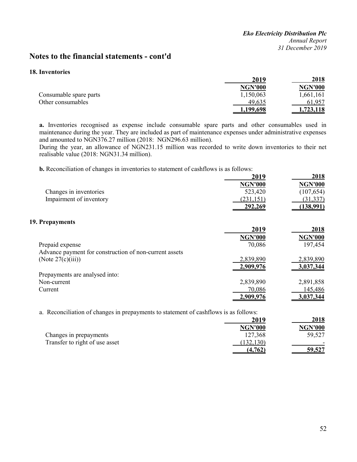### *Eko Electricity Distribution Plc Annual Report 31 December 2019*

# **Notes to the financial statements - cont'd**

#### **18. Inventories**

**19.** 

|                        | 2019           | 2018           |
|------------------------|----------------|----------------|
|                        | <b>NGN'000</b> | <b>NGN'000</b> |
| Consumable spare parts | 1,150,063      | 1,661,161      |
| Other consumables      | 49,635         | 0.957          |
|                        | 1,199,698      | 1,723,118      |

**a.** Inventories recognised as expense include consumable spare parts and other consumables used in maintenance during the year. They are included as part of maintenance expenses under administrative expenses and amounted to NGN376.27 million (2018: NGN296.63 million).

During the year, an allowance of NGN231.15 million was recorded to write down inventories to their net realisable value (2018: NGN31.34 million).

**b.** Reconciliation of changes in inventories to statement of cashflows is as follows:

|                                                        | 2019           | 2018             |
|--------------------------------------------------------|----------------|------------------|
|                                                        | <b>NGN'000</b> | <b>NGN'000</b>   |
| Changes in inventories                                 | 523,420        | (107, 654)       |
| Impairment of inventory                                | (231, 151)     | (31, 337)        |
|                                                        | 292,269        | <u>(138,991)</u> |
| <b>Prepayments</b>                                     |                |                  |
|                                                        | 2019           | 2018             |
|                                                        | <b>NGN'000</b> | <b>NGN'000</b>   |
| Prepaid expense                                        | 70,086         | 197,454          |
| Advance payment for construction of non-current assets |                |                  |
| (Note $27(c)(iii)$ )                                   | 2,839,890      | 2,839,890        |
|                                                        | 2,909,976      | 3,037,344        |
| Prepayments are analysed into:                         |                |                  |
| Non-current                                            | 2,839,890      | 2,891,858        |
| Current                                                | 70,086         | 145,486          |
|                                                        | 2,909,976      | 3,037,344        |

a. Reconciliation of changes in prepayments to statement of cashflows is as follows:

|                                | 2019           | 2018           |
|--------------------------------|----------------|----------------|
|                                | <b>NGN'000</b> | <b>NGN'000</b> |
| Changes in prepayments         | 127,368        | 59,527         |
| Transfer to right of use asset | (132, 130)     | -              |
|                                | (4,762)        | 59,527         |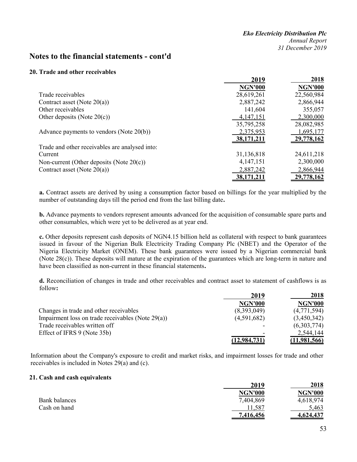#### **20. Trade and other receivables**

|                                                | 2019           | 2018           |
|------------------------------------------------|----------------|----------------|
|                                                | <b>NGN'000</b> | <b>NGN'000</b> |
| Trade receivables                              | 28,619,261     | 22,560,984     |
| Contract asset (Note $20(a)$ )                 | 2,887,242      | 2,866,944      |
| Other receivables                              | 141,604        | 355,057        |
| Other deposits (Note $20(c)$ )                 | 4,147,151      | 2,300,000      |
|                                                | 35,795,258     | 28,082,985     |
| Advance payments to vendors (Note $20(b)$ )    | 2,375,953      | 1,695,177      |
|                                                | 38, 171, 211   | 29,778,162     |
| Trade and other receivables are analysed into: |                |                |
| Current                                        | 31,136,818     | 24,611,218     |
| Non-current (Other deposits (Note $20(c)$ )    | 4,147,151      | 2,300,000      |
| Contract asset (Note $20(a)$ )                 | 2,887,242      | 2,866,944      |
|                                                | 38, 171, 211   | 29,778,162     |

**a.** Contract assets are derived by using a consumption factor based on billings for the year multiplied by the number of outstanding days till the period end from the last billing date**.**

**b.** Advance payments to vendors represent amounts advanced for the acquisition of consumable spare parts and other consumables, which were yet to be delivered as at year end.

**c.** Other deposits represent cash deposits of NGN4.15 billion held as collateral with respect to bank guarantees issued in favour of the Nigerian Bulk Electricity Trading Company Plc (NBET) and the Operator of the Nigeria Electricity Market (ONEM). These bank guarantees were issued by a Nigerian commercial bank (Note 28(c)). These deposits will mature at the expiration of the guarantees which are long-term in nature and have been classified as non-current in these financial statements**.**

**d.** Reconciliation of changes in trade and other receivables and contract asset to statement of cashflows is as follow**:**

|                                                      | 2019           | 2018           |
|------------------------------------------------------|----------------|----------------|
|                                                      | <b>NGN'000</b> | <b>NGN'000</b> |
| Changes in trade and other receivables               | (8,393,049)    | (4,771,594)    |
| Impairment loss on trade receivables (Note $29(a)$ ) | (4,591,682)    | (3,450,342)    |
| Trade receivables written off                        |                | (6,303,774)    |
| Effect of IFRS 9 (Note 35b)                          |                | 2,544,144      |
|                                                      | (12,984,731)   | (11,981,566)   |

Information about the Company's exposure to credit and market risks, and impairment losses for trade and other receivables is included in Notes 29(a) and (c).

#### **21. Cash and cash equivalents**

|               | 2019           | 2018           |
|---------------|----------------|----------------|
|               | <b>NGN'000</b> | <b>NGN'000</b> |
| Bank balances | 7,404,869      | 4,618,974      |
| Cash on hand  | 11,587         | 5,463          |
|               | 7,416,456      | 4,624,437      |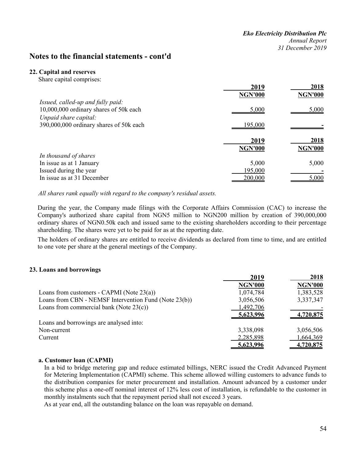#### **22. Capital and reserves**

Share capital comprises:

|                                                                                                      | 2019                   | 2018                   |
|------------------------------------------------------------------------------------------------------|------------------------|------------------------|
|                                                                                                      | <b>NGN'000</b>         | <b>NGN'000</b>         |
| Issued, called-up and fully paid:<br>10,000,000 ordinary shares of 50k each<br>Unpaid share capital: | 5,000                  | 5,000                  |
| 390,000,000 ordinary shares of 50k each                                                              | 195,000                |                        |
|                                                                                                      | 2019<br><b>NGN'000</b> | 2018<br><b>NGN'000</b> |
| In thousand of shares                                                                                |                        |                        |
| In issue as at 1 January                                                                             | 5,000                  | 5,000                  |
| Issued during the year                                                                               | 195,000                |                        |
| In issue as at 31 December                                                                           | 200,000                | 5,000                  |

*All shares rank equally with regard to the company's residual assets.*

During the year, the Company made filings with the Corporate Affairs Commission (CAC) to increase the Company's authorized share capital from NGN5 million to NGN200 million by creation of 390,000,000 ordinary shares of NGN0.50k each and issued same to the existing shareholders according to their percentage shareholding. The shares were yet to be paid for as at the reporting date.

The holders of ordinary shares are entitled to receive dividends as declared from time to time, and are entitled to one vote per share at the general meetings of the Company.

#### **23. Loans and borrowings**

|                                                       | 2019           | 2018           |
|-------------------------------------------------------|----------------|----------------|
|                                                       | <b>NGN'000</b> | <b>NGN'000</b> |
| Loans from customers - CAPMI (Note $23(a)$ )          | 1,074,784      | 1,383,528      |
| Loans from CBN - NEMSF Intervention Fund (Note 23(b)) | 3,056,506      | 3,337,347      |
| Loans from commercial bank (Note $23(c)$ )            | 1,492,706      |                |
|                                                       | 5,623,996      | 4,720,875      |
| Loans and borrowings are analysed into:               |                |                |
| Non-current                                           | 3,338,098      | 3,056,506      |
| Current                                               | 2,285,898      | 1,664,369      |
|                                                       | 5,623,996      | 4,720,875      |

#### **a. Customer loan (CAPMI)**

In a bid to bridge metering gap and reduce estimated billings, NERC issued the Credit Advanced Payment for Metering Implementation (CAPMI) scheme. This scheme allowed willing customers to advance funds to the distribution companies for meter procurement and installation. Amount advanced by a customer under this scheme plus a one-off nominal interest of 12% less cost of installation, is refundable to the customer in monthly instalments such that the repayment period shall not exceed 3 years.

As at year end, all the outstanding balance on the loan was repayable on demand.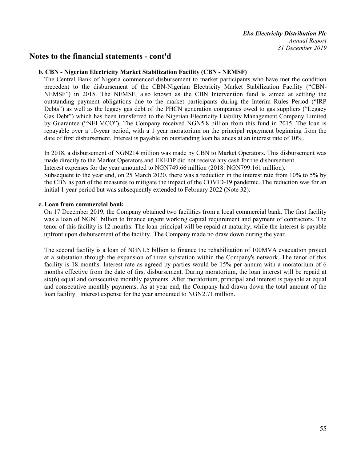### **b. CBN - Nigerian Electricity Market Stabilization Facility (CBN - NEMSF)**

The Central Bank of Nigeria commenced disbursement to market participants who have met the condition precedent to the disbursement of the CBN-Nigerian Electricity Market Stabilization Facility ("CBN-NEMSF") in 2015. The NEMSF, also known as the CBN Intervention fund is aimed at settling the outstanding payment obligations due to the market participants during the Interim Rules Period ("IRP Debts") as well as the legacy gas debt of the PHCN generation companies owed to gas suppliers ("Legacy Gas Debt") which has been transferred to the Nigerian Electricity Liability Management Company Limited by Guarantee ("NELMCO"). The Company received NGN5.8 billion from this fund in 2015. The loan is repayable over a 10-year period, with a 1 year moratorium on the principal repayment beginning from the date of first disbursement. Interest is payable on outstanding loan balances at an interest rate of 10%.

In 2018, a disbursement of NGN214 million was made by CBN to Market Operators. This disbursement was made directly to the Market Operators and EKEDP did not receive any cash for the disbursement.

Interest expenses for the year amounted to NGN749.66 million (2018: NGN799.161 million).

Subsequent to the year end, on 25 March 2020, there was a reduction in the interest rate from 10% to 5% by the CBN as part of the measures to mitigate the impact of the COVID-19 pandemic. The reduction was for an initial 1 year period but was subsequently extended to February 2022 (Note 32).

#### **c. Loan from commercial bank**

On 17 December 2019, the Company obtained two facilities from a local commercial bank. The first facility was a loan of NGN1 billion to finance urgent working capital requirement and payment of contractors. The tenor of this facility is 12 months. The loan principal will be repaid at maturity, while the interest is payable upfront upon disbursement of the facility. The Company made no draw down during the year.

The second facility is a loan of NGN1.5 billion to finance the rehabilitation of 100MVA evacuation project at a substation through the expansion of three substation within the Company's network. The tenor of this facility is 18 months. Interest rate as agreed by parties would be 15% per annum with a moratorium of 6 months effective from the date of first disbursement. During moratorium, the loan interest will be repaid at six(6) equal and consecutive monthly payments. After moratorium, principal and interest is payable at equal and consecutive monthly payments. As at year end, the Company had drawn down the total amount of the loan facility. Interest expense for the year amounted to NGN2.71 million.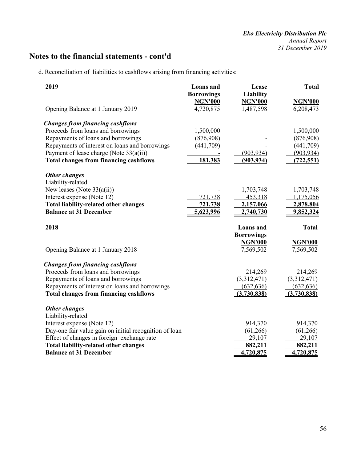d. Reconciliation of liabilities to cashflows arising from financing activities:

| 2019                                                   | <b>Loans</b> and<br><b>Borrowings</b> | Lease<br>Liability          | <b>Total</b>                |
|--------------------------------------------------------|---------------------------------------|-----------------------------|-----------------------------|
| Opening Balance at 1 January 2019                      | <b>NGN'000</b><br>4,720,875           | <b>NGN'000</b><br>1,487,598 | <b>NGN'000</b><br>6,208,473 |
| <b>Changes from financing cashflows</b>                |                                       |                             |                             |
| Proceeds from loans and borrowings                     | 1,500,000                             |                             | 1,500,000                   |
| Repayments of loans and borrowings                     | (876,908)                             |                             | (876,908)                   |
| Repayments of interest on loans and borrowings         | (441,709)                             |                             | (441,709)                   |
| Payment of lease charge (Note $33(a(ii))$ )            |                                       | (903, 934)                  | (903, 934)                  |
| <b>Total changes from financing cashflows</b>          | 181,383                               | (903, 934)                  | (722, 551)                  |
| Other changes                                          |                                       |                             |                             |
| Liability-related                                      |                                       |                             |                             |
| New leases (Note $33(a(ii))$ )                         |                                       | 1,703,748                   | 1,703,748                   |
| Interest expense (Note 12)                             | 721,738                               | 453,318                     | 1,175,056                   |
| <b>Total liability-related other changes</b>           | 721,738                               | 2,157,066                   | 2,878,804                   |
| <b>Balance at 31 December</b>                          | 5,623,996                             | 2,740,730                   | 9,852,324                   |
| 2018                                                   |                                       | <b>Loans</b> and            | <b>Total</b>                |
|                                                        |                                       | <b>Borrowings</b>           |                             |
|                                                        |                                       | <b>NGN'000</b>              | <b>NGN'000</b>              |
| Opening Balance at 1 January 2018                      |                                       | 7,569,502                   | 7,569,502                   |
| <b>Changes from financing cashflows</b>                |                                       |                             |                             |
| Proceeds from loans and borrowings                     |                                       | 214,269                     | 214,269                     |
| Repayments of loans and borrowings                     |                                       | (3,312,471)                 | (3,312,471)                 |
| Repayments of interest on loans and borrowings         |                                       | (632, 636)                  | (632, 636)                  |
| <b>Total changes from financing cashflows</b>          |                                       | (3,730,838)                 | (3,730,838)                 |
| Other changes                                          |                                       |                             |                             |
| Liability-related                                      |                                       |                             |                             |
| Interest expense (Note 12)                             |                                       | 914,370                     | 914,370                     |
| Day-one fair value gain on initial recognition of loan |                                       | (61,266)                    | (61,266)                    |
| Effect of changes in foreign exchange rate             |                                       | 29,107                      | 29,107                      |
| <b>Total liability-related other changes</b>           |                                       | 882,211                     | 882,211                     |
| <b>Balance at 31 December</b>                          |                                       | 4,720,875                   | 4,720,875                   |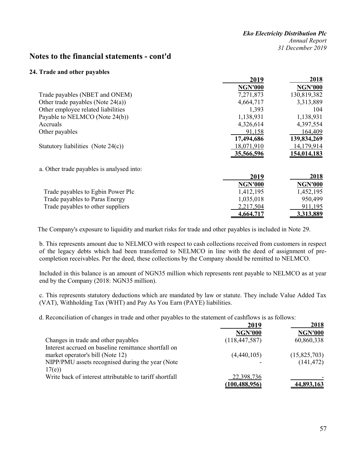#### **24. Trade and other payables**

|                                           | 2019           | 2018           |
|-------------------------------------------|----------------|----------------|
|                                           | <b>NGN'000</b> | <b>NGN'000</b> |
| Trade payables (NBET and ONEM)            | 7,271,873      | 130,819,382    |
| Other trade payables (Note $24(a)$ )      | 4,664,717      | 3,313,889      |
| Other employee related liabilities        | 1,393          | 104            |
| Payable to NELMCO (Note 24(b))            | 1,138,931      | 1,138,931      |
| Accruals                                  | 4,326,614      | 4,397,554      |
| Other payables                            | 91,158         | 164,409        |
|                                           | 17,494,686     | 139,834,269    |
| Statutory liabilities (Note $24(c)$ )     | 18,071,910     | 14,179,914     |
|                                           | 35,566,596     | 154,014,183    |
| a. Other trade payables is analysed into: |                |                |
|                                           | 2019           | 2018           |
|                                           | <b>NGN'000</b> | <b>NGN'000</b> |
| Trade payables to Egbin Power Plc         | 1,412,195      | 1,452,195      |
| Trade payables to Paras Energy            | 1,035,018      | 950,499        |
| Trade payables to other suppliers         | 2,217,504      | 911,195        |
|                                           | 4,664,717      | 3,313,889      |

The Company's exposure to liquidity and market risks for trade and other payables is included in Note 29.

b. This represents amount due to NELMCO with respect to cash collections received from customers in respect of the legacy debts which had been transferred to NELMCO in line with the deed of assignment of precompletion receivables. Per the deed, these collections by the Company should be remitted to NELMCO.

Included in this balance is an amount of NGN35 million which represents rent payable to NELMCO as at year end by the Company (2018: NGN35 million).

c. This represents statutory deductions which are mandated by law or statute. They include Value Added Tax (VAT), Withholding Tax (WHT) and Pay As You Earn (PAYE) liabilities.

d. Reconciliation of changes in trade and other payables to the statement of cashflows is as follows:

|                                                         | 2019            | 2018           |
|---------------------------------------------------------|-----------------|----------------|
|                                                         | <b>NGN'000</b>  | <b>NGN'000</b> |
| Changes in trade and other payables                     | (118, 447, 587) | 60,860,338     |
| Interest accrued on baseline remittance shortfall on    |                 |                |
| market operator's bill (Note 12)                        | (4,440,105)     | (15,825,703)   |
| NIPP/PMU assets recognised during the year (Note)       |                 | (141, 472)     |
| 17(e)                                                   |                 |                |
| Write back of interest attributable to tariff shortfall | 22,398,736      |                |
|                                                         | (100, 488, 956) | 44,893,163     |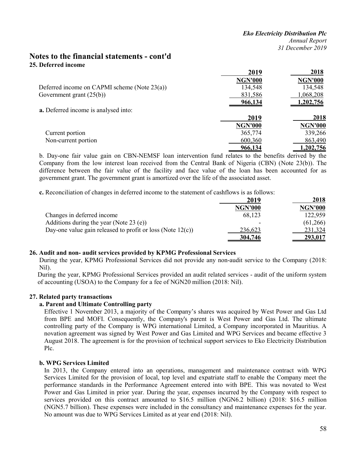|  | 25. Deferred income |  |  |
|--|---------------------|--|--|
|--|---------------------|--|--|

|                                                 | 2019           | 2018           |
|-------------------------------------------------|----------------|----------------|
|                                                 | <b>NGN'000</b> | <b>NGN'000</b> |
| Deferred income on CAPMI scheme (Note $23(a)$ ) | 134,548        | 134,548        |
| Government grant $(25(b))$                      | 831,586        | 1,068,208      |
|                                                 | 966,134        | 1,202,756      |
| a. Deferred income is analysed into:            |                |                |
|                                                 | 2019           | 2018           |
|                                                 | <b>NGN'000</b> | <b>NGN'000</b> |
| Current portion                                 | 365,774        | 339,266        |
| Non-current portion                             | 600,360        | 863,490        |
|                                                 | 966,134        | 1,202,756      |

b. Day-one fair value gain on CBN-NEMSF loan intervention fund relates to the benefits derived by the Company from the low interest loan received from the Central Bank of Nigeria (CBN) (Note 23(b)). The difference between the fair value of the facility and face value of the loan has been accounted for as government grant. The government grant is amortized over the life of the associated asset.

**c.** Reconciliation of changes in deferred income to the statement of cashflows is as follows:

|                                                               | 2019           | 2018           |
|---------------------------------------------------------------|----------------|----------------|
|                                                               | <b>NGN'000</b> | <b>NGN'000</b> |
| Changes in deferred income                                    | 68.123         | 122,959        |
| Additions during the year (Note 23 (e))                       |                | (61,266)       |
| Day-one value gain released to profit or loss (Note $12(c)$ ) | 236,623        | 231,324        |
|                                                               | 304,746        | 293,017        |

#### **26. Audit and non- audit services provided by KPMG Professional Services**

During the year, KPMG Professional Services did not provide any non-audit service to the Company (2018: Nil).

During the year, KPMG Professional Services provided an audit related services - audit of the uniform system of accounting (USOA) to the Company for a fee of NGN20 million (2018: Nil).

## **27. Related party transactions**

#### **a. Parent and Ultimate Controlling party**

Effective 1 November 2013, a majority of the Company's shares was acquired by West Power and Gas Ltd from BPE and MOFI. Consequently, the Company's parent is West Power and Gas Ltd. The ultimate controlling party of the Company is WPG international Limited, a Company incorporated in Mauritius. A novation agreement was signed by West Power and Gas Limited and WPG Services and became effective 3 August 2018. The agreement is for the provision of technical support services to Eko Electricity Distribution Plc.

#### **b. WPG Services Limited**

In 2013, the Company entered into an operations, management and maintenance contract with WPG Services Limited for the provision of local, top level and expatriate staff to enable the Company meet the performance standards in the Performance Agreement entered into with BPE. This was novated to West Power and Gas Limited in prior year. During the year, expenses incurred by the Company with respect to services provided on this contract amounted to \$16.5 million (NGN6.2 billion) (2018: \$16.5 million (NGN5.7 billion). These expenses were included in the consultancy and maintenance expenses for the year. No amount was due to WPG Services Limited as at year end (2018: Nil).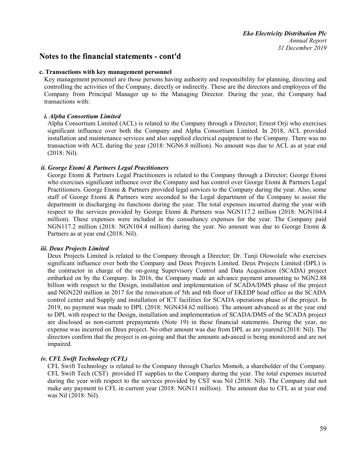#### **c. Transactions with key management personnel**

Key management personnel are those persons having authority and responsibility for planning, directing and controlling the activities of the Company, directly or indirectly. These are the directors and employees of the Company from Principal Manager up to the Managing Director. During the year, the Company had transactions with:

#### *i. Alpha Consortium Limited*

Alpha Consortium Limited (ACL) is related to the Company through a Director; Ernest Orji who exercises significant influence over both the Company and Alpha Consortium Limited. In 2018, ACL provided installation and maintenance services and also supplied electrical equipment to the Company. There was no transaction with ACL during the year (2018: NGN6.8 million). No amount was due to ACL as at year end (2018: Nil).

#### *ii. George Etomi & Partners Legal Practitioners*

George Etomi & Partners Legal Practitioners is related to the Company through a Director; George Etomi who exercises significant influence over the Company and has control over George Etomi & Partners Legal Practitioners. George Etomi & Partners provided legal services to the Company during the year. Also, some staff of George Etomi & Partners were seconded to the Legal department of the Company to assist the department in discharging its functions during the year. The total expenses incurred during the year with respect to the services provided by George Etomi & Partners was NGN117.2 million (2018: NGN104.4 million). These expenses were included in the consultancy expenses for the year. The Company paid NGN117.2 million (2018: NGN104.4 million) during the year. No amount was due to George Etomi & Partners as at year end (2018: Nil).

#### *iii. Deux Projects Limited*

Deux Projects Limited is related to the Company through a Director; Dr. Tunji Olowolafe who exercises significant influence over both the Company and Deux Projects Limited. Deux Projects Limited (DPL) is the contractor in charge of the on-going Supervisory Control and Data Acquisition (SCADA) project embarked on by the Company. In 2016, the Company made an advance payment amounting to NGN2.88 billion with respect to the Design, installation and implementation of SCADA/DMS phase of the project and NGN220 million in 2017 for the renovation of 5th and 6th floor of EKEDP head office as the SCADA control center and Supply and installation of ICT facilities for SCADA operations phase of the project. In 2019, no payment was made to DPL (2018: NGN434.62 million). The amount advanced as at the year end to DPL with respect to the Design, installation and implementation of SCADA/DMS of the SCADA project are disclosed as non-current prepayments (Note 19) in these financial statements. During the year, no expense was incurred on Deux project. No other amount was due from DPL as are yearend (2018: Nil). The directors confirm that the project is on-going and that the amounts advanced is being monitored and are not impaired.

#### *iv. CFL Swift Technology (CFL)*

CFL Swift Technology is related to the Company through Charles Momoh, a shareholder of the Company. CFL Swift Tech (CST) provided IT supplies to the Company during the year. The total expenses incurred during the year with respect to the services provided by CST was Nil (2018: Nil). The Company did not make any payment to CFL in current year (2018: NGN11 million). The amount due to CFL as at year end was Nil (2018: Nil).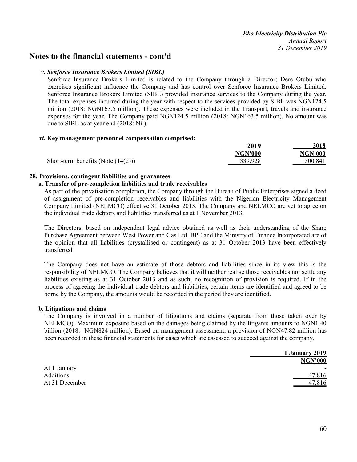#### *v. Senforce Insurance Brokers Limited (SIBL)*

Senforce Insurance Brokers Limited is related to the Company through a Director; Dere Otubu who exercises significant influence the Company and has control over Senforce Insurance Brokers Limited. Senforce Insurance Brokers Limited (SIBL) provided insurance services to the Company during the year. The total expenses incurred during the year with respect to the services provided by SIBL was NGN124.5 million (2018: NGN163.5 million). These expenses were included in the Transport, travels and insurance expenses for the year. The Company paid NGN124.5 million (2018: NGN163.5 million). No amount was due to SIBL as at year end (2018: Nil).

#### *vi.* **Key management personnel compensation comprised:**

|                                       | 2019           | 2018           |
|---------------------------------------|----------------|----------------|
|                                       | <b>NGN'000</b> | <b>NGN'000</b> |
| Short-term benefits (Note $(14(d))$ ) | 339,928        | 500,841        |

## **28. Provisions, contingent liabilities and guarantees**

#### **a. Transfer of pre-completion liabilities and trade receivables**

As part of the privatisation completion, the Company through the Bureau of Public Enterprises signed a deed of assignment of pre-completion receivables and liabilities with the Nigerian Electricity Management Company Limited (NELMCO) effective 31 October 2013. The Company and NELMCO are yet to agree on the individual trade debtors and liabilities transferred as at 1 November 2013.

The Directors, based on independent legal advice obtained as well as their understanding of the Share Purchase Agreement between West Power and Gas Ltd, BPE and the Ministry of Finance Incorporated are of the opinion that all liabilities (crystallised or contingent) as at 31 October 2013 have been effectively transferred.

The Company does not have an estimate of those debtors and liabilities since in its view this is the responsibility of NELMCO. The Company believes that it will neither realise those receivables nor settle any liabilities existing as at 31 October 2013 and as such, no recognition of provision is required. If in the process of agreeing the individual trade debtors and liabilities, certain items are identified and agreed to be borne by the Company, the amounts would be recorded in the period they are identified.

#### **b. Litigations and claims**

The Company is involved in a number of litigations and claims (separate from those taken over by NELMCO). Maximum exposure based on the damages being claimed by the litigants amounts to NGN1.40 billion (2018: NGN824 million). Based on management assessment, a provision of NGN47.82 million has been recorded in these financial statements for cases which are assessed to succeed against the company.

|                | 1 January 2019 |
|----------------|----------------|
|                | <b>NGN'000</b> |
| At 1 January   | -              |
| Additions      | 316<br>47      |
| At 31 December | ,816           |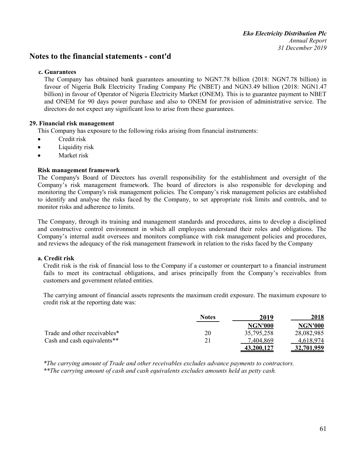## **c. Guarantees**

The Company has obtained bank guarantees amounting to NGN7.78 billion (2018: NGN7.78 billion) in favour of Nigeria Bulk Electricity Trading Company Plc (NBET) and NGN3.49 billion (2018: NGN1.47 billion) in favour of Operator of Nigeria Electricity Market (ONEM). This is to guarantee payment to NBET and ONEM for 90 days power purchase and also to ONEM for provision of administrative service. The directors do not expect any significant loss to arise from these guarantees.

## **29. Financial risk management**

This Company has exposure to the following risks arising from financial instruments:

- $\bullet$  Credit risk
- $\bullet$  Liquidity risk
- Market risk

## **Risk management framework**

The Company's Board of Directors has overall responsibility for the establishment and oversight of the Company's risk management framework. The board of directors is also responsible for developing and monitoring the Company's risk management policies. The Company's risk management policies are established to identify and analyse the risks faced by the Company, to set appropriate risk limits and controls, and to monitor risks and adherence to limits.

The Company, through its training and management standards and procedures, aims to develop a disciplined and constructive control environment in which all employees understand their roles and obligations. The Company's internal audit oversees and monitors compliance with risk management policies and procedures, and reviews the adequacy of the risk management framework in relation to the risks faced by the Company

#### **a. Credit risk**

Credit risk is the risk of financial loss to the Company if a customer or counterpart to a financial instrument fails to meet its contractual obligations, and arises principally from the Company's receivables from customers and government related entities.

The carrying amount of financial assets represents the maximum credit exposure. The maximum exposure to credit risk at the reporting date was:

|                              | <b>Notes</b> | 2019           | 2018           |
|------------------------------|--------------|----------------|----------------|
|                              |              | <b>NGN'000</b> | <b>NGN'000</b> |
| Trade and other receivables* | 20           | 35,795,258     | 28,082,985     |
| Cash and cash equivalents**  | 21           | 7,404,869      | 4,618,974      |
|                              |              | 43,200,127     | 32,701,959     |

*\*The carrying amount of Trade and other receivables excludes advance payments to contractors. \*\*The carrying amount of cash and cash equivalents excludes amounts held as petty cash.*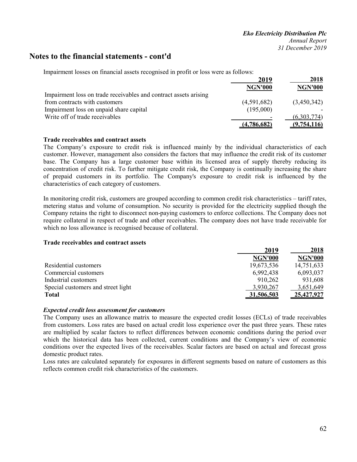Impairment losses on financial assets recognised in profit or loss were as follows:

|                                                                  | 2019           | 2018           |
|------------------------------------------------------------------|----------------|----------------|
|                                                                  | <b>NGN'000</b> | <b>NGN'000</b> |
| Impairment loss on trade receivables and contract assets arising |                |                |
| from contracts with customers                                    | (4,591,682)    | (3,450,342)    |
| Impairment loss on unpaid share capital                          | (195,000)      |                |
| Write off of trade receivables                                   |                | (6,303,774)    |
|                                                                  | (4,786,682)    | (9,754,116)    |

#### **Trade receivables and contract assets**

The Company's exposure to credit risk is influenced mainly by the individual characteristics of each customer. However, management also considers the factors that may influence the credit risk of its customer base. The Company has a large customer base within its licensed area of supply thereby reducing its concentration of credit risk. To further mitigate credit risk, the Company is continually increasing the share of prepaid customers in its portfolio. The Company's exposure to credit risk is influenced by the characteristics of each category of customers.

In monitoring credit risk, customers are grouped according to common credit risk characteristics – tariff rates, metering status and volume of consumption. No security is provided for the electricity supplied though the Company retains the right to disconnect non-paying customers to enforce collections. The Company does not require collateral in respect of trade and other receivables. The company does not have trade receivable for which no loss allowance is recognised because of collateral.

#### **Trade receivables and contract assets**

|                                    | 2019           | 2018           |
|------------------------------------|----------------|----------------|
|                                    | <b>NGN'000</b> | <b>NGN'000</b> |
| Residential customers              | 19,673,536     | 14,751,633     |
| Commercial customers               | 6,992,438      | 6,093,037      |
| Industrial customers               | 910,262        | 931,608        |
| Special customers and street light | 3,930,267      | 3,651,649      |
| <b>Total</b>                       | 31,506,503     | 25,427,927     |

#### *Expected credit loss assessment for customers*

The Company uses an allowance matrix to measure the expected credit losses (ECLs) of trade receivables from customers. Loss rates are based on actual credit loss experience over the past three years. These rates are multiplied by scalar factors to reflect differences between economic conditions during the period over which the historical data has been collected, current conditions and the Company's view of economic conditions over the expected lives of the receivables. Scalar factors are based on actual and forecast gross domestic product rates.

Loss rates are calculated separately for exposures in different segments based on nature of customers as this reflects common credit risk characteristics of the customers.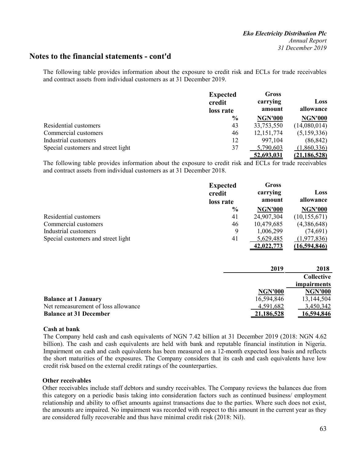The following table provides information about the exposure to credit risk and ECLs for trade receivables and contract assets from individual customers as at 31 December 2019.

|                                    | <b>Expected</b><br>credit<br>loss rate | Gross<br>carrying<br>amount | Loss<br>allowance   |
|------------------------------------|----------------------------------------|-----------------------------|---------------------|
|                                    | $\frac{6}{9}$                          | <b>NGN'000</b>              | <b>NGN'000</b>      |
| Residential customers              | 43                                     | 33,753,550                  | (14,080,014)        |
| Commercial customers               | 46                                     | 12, 151, 774                | (5,159,336)         |
| Industrial customers               | 12                                     | 997,104                     | (86, 842)           |
| Special customers and street light | 37                                     | 5,790,603                   | (1,860,336)         |
|                                    |                                        | 52,693,031                  | <u>(21,186,528)</u> |

The following table provides information about the exposure to credit risk and ECLs for trade receivables and contract assets from individual customers as at 31 December 2018.

|                                    | <b>Expected</b><br>credit<br>loss rate | Gross<br>carrying<br>amount | <b>Loss</b><br>allowance |
|------------------------------------|----------------------------------------|-----------------------------|--------------------------|
|                                    | $\frac{6}{9}$                          | <b>NGN'000</b>              | <b>NGN'000</b>           |
| Residential customers              | 41                                     | 24,907,304                  | (10, 155, 671)           |
| Commercial customers               | 46                                     | 10,479,685                  | (4,386,648)              |
| Industrial customers               | 9                                      | 1,006,299                   | (74,691)                 |
| Special customers and street light | 41                                     | 5,629,485                   | (1,977,836)              |
|                                    |                                        | 42,022,773                  | (16,594,846)             |

|                                     | 2019           | 2018               |
|-------------------------------------|----------------|--------------------|
|                                     |                | <b>Collective</b>  |
|                                     |                | <i>impairments</i> |
|                                     | <b>NGN'000</b> | <b>NGN'000</b>     |
| <b>Balance at 1 January</b>         | 16,594,846     | 13,144,504         |
| Net remeasurement of loss allowance | 4,591,682      | 3,450,342          |
| <b>Balance at 31 December</b>       | 21,186,528     | 16,594,846         |

#### **Cash at bank**

The Company held cash and cash equivalents of NGN 7.42 billion at 31 December 2019 (2018: NGN 4.62 billion). The cash and cash equivalents are held with bank and reputable financial institution in Nigeria. Impairment on cash and cash equivalents has been measured on a 12-month expected loss basis and reflects the short maturities of the exposures. The Company considers that its cash and cash equivalents have low credit risk based on the external credit ratings of the counterparties.

#### **Other receivables**

Other receivables include staff debtors and sundry receivables. The Company reviews the balances due from this category on a periodic basis taking into consideration factors such as continued business/ employment relationship and ability to offset amounts against transactions due to the parties. Where such does not exist, the amounts are impaired. No impairment was recorded with respect to this amount in the current year as they are considered fully recoverable and thus have minimal credit risk (2018: Nil).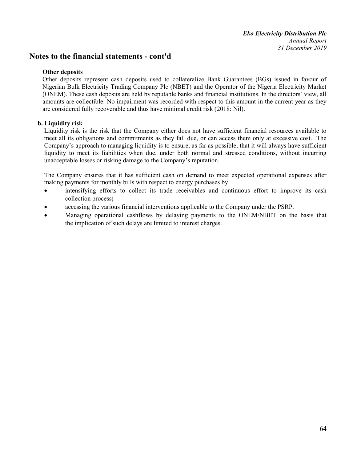## **Other deposits**

Other deposits represent cash deposits used to collateralize Bank Guarantees (BGs) issued in favour of Nigerian Bulk Electricity Trading Company Plc (NBET) and the Operator of the Nigeria Electricity Market (ONEM). These cash deposits are held by reputable banks and financial institutions. In the directors' view, all amounts are collectible. No impairment was recorded with respect to this amount in the current year as they are considered fully recoverable and thus have minimal credit risk (2018: Nil).

## **b. Liquidity risk**

Liquidity risk is the risk that the Company either does not have sufficient financial resources available to meet all its obligations and commitments as they fall due, or can access them only at excessive cost. The Company's approach to managing liquidity is to ensure, as far as possible, that it will always have sufficient liquidity to meet its liabilities when due, under both normal and stressed conditions, without incurring unacceptable losses or risking damage to the Company's reputation.

The Company ensures that it has sufficient cash on demand to meet expected operational expenses after making payments for monthly bills with respect to energy purchases by

- intensifying efforts to collect its trade receivables and continuous effort to improve its cash collection process**;**
- accessing the various financial interventions applicable to the Company under the PSRP.
- Managing operational cashflows by delaying payments to the ONEM/NBET on the basis that the implication of such delays are limited to interest charges.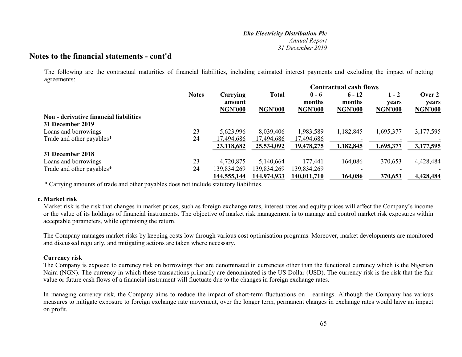## *Eko Electricity Distribution Plc Annual Report 31 December 2019*

## **Notes to the financial statements - cont'd**

The following are the contractual maturities of financial liabilities, including estimated interest payments and excluding the impact of netting agreements:

|                                        |              |                                      | <b>Contractual cash flows</b>  |                                     |                                      |                                    |                                          |
|----------------------------------------|--------------|--------------------------------------|--------------------------------|-------------------------------------|--------------------------------------|------------------------------------|------------------------------------------|
|                                        | <b>Notes</b> | Carrying<br>amount<br><b>NGN'000</b> | <b>Total</b><br><b>NGN'000</b> | $0 - 6$<br>months<br><b>NGN'000</b> | $6 - 12$<br>months<br><b>NGN'000</b> | $1 - 2$<br>years<br><b>NGN'000</b> | Over 2<br><b>vears</b><br><b>NGN'000</b> |
| Non - derivative financial liabilities |              |                                      |                                |                                     |                                      |                                    |                                          |
| 31 December 2019                       |              |                                      |                                |                                     |                                      |                                    |                                          |
| Loans and borrowings                   | 23           | 5,623,996                            | 8,039,406                      | 1,983,589                           | 1,182,845                            | 1,695,377                          | 3,177,595                                |
| Trade and other payables*              | 24           | 17,494,686                           | 17,494,686                     | 17,494,686                          |                                      |                                    |                                          |
|                                        |              | 23,118,682                           | 25,534,092                     | 19,478,275                          | 1,182,845                            | 1,695,377                          | 3,177,595                                |
| 31 December 2018                       |              |                                      |                                |                                     |                                      |                                    |                                          |
| Loans and borrowings                   | 23           | 4,720,875                            | 5,140,664                      | 177,441                             | 164,086                              | 370,653                            | 4,428,484                                |
| Trade and other payables*              | 24           | 139,834,269                          | 139,834,269                    | 139,834,269                         |                                      |                                    |                                          |
|                                        |              | 144,555,144                          | 144,974,933                    | 140,011,710                         | 164,086                              | 370,653                            | 4,428,484                                |

\* Carrying amounts of trade and other payables does not include statutory liabilities.

#### **c. Market risk**

Market risk is the risk that changes in market prices, such as foreign exchange rates, interest rates and equity prices will affect the Company's income or the value of its holdings of financial instruments. The objective of market risk management is to manage and control market risk exposures within acceptable parameters, while optimising the return.

The Company manages market risks by keeping costs low through various cost optimisation programs. Moreover, market developments are monitored and discussed regularly, and mitigating actions are taken where necessary.

### **Currency risk**

The Company is exposed to currency risk on borrowings that are denominated in currencies other than the functional currency which is the Nigerian Naira (NGN). The currency in which these transactions primarily are denominated is the US Dollar (USD). The currency risk is the risk that the fair value or future cash flows of a financial instrument will fluctuate due to the changes in foreign exchange rates.

In managing currency risk, the Company aims to reduce the impact of short-term fluctuations on earnings. Although the Company has various measures to mitigate exposure to foreign exchange rate movement, over the longer term, permanent changes in exchange rates would have an impact on profit.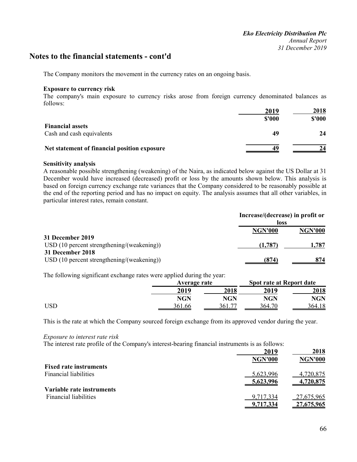The Company monitors the movement in the currency rates on an ongoing basis.

#### **Exposure to currency risk**

The company's main exposure to currency risks arose from foreign currency denominated balances as follows:

|                                                      | 2019   | 2018   |
|------------------------------------------------------|--------|--------|
|                                                      | \$'000 | \$'000 |
| <b>Financial assets</b><br>Cash and cash equivalents | 49     | 24     |
| Net statement of financial position exposure         |        | 24     |

#### **Sensitivity analysis**

A reasonable possible strengthening (weakening) of the Naira, as indicated below against the US Dollar at 31 December would have increased (decreased) profit or loss by the amounts shown below. This analysis is based on foreign currency exchange rate variances that the Company considered to be reasonably possible at the end of the reporting period and has no impact on equity. The analysis assumes that all other variables, in particular interest rates, remain constant.

|                                                     | Increase/(decrease) in profit or<br>loss |                |
|-----------------------------------------------------|------------------------------------------|----------------|
|                                                     | <b>NGN'000</b>                           | <b>NGN'000</b> |
| 31 December 2019                                    |                                          |                |
| $\text{USD}$ (10 percent strengthening/(weakening)) | (1,787)                                  | 1,787          |
| 31 December 2018                                    |                                          |                |
| $\text{USD}$ (10 percent strengthening/(weakening)) | (874)                                    | 874            |

The following significant exchange rates were applied during the year:

|            |        | Average rate |        | <b>Spot rate at Report date</b> |  |
|------------|--------|--------------|--------|---------------------------------|--|
|            | 2019   | 2018         | 2019   | 2018                            |  |
|            | NGN    | NGN          | NGN    | NGN                             |  |
| <b>USD</b> | 361.66 | 361.7        | 364.70 | 364.18                          |  |

This is the rate at which the Company sourced foreign exchange from its approved vendor during the year.

#### *Exposure to interest rate risk*

The interest rate profile of the Company's interest-bearing financial instruments is as follows:

|                               | 2019           | 2018           |
|-------------------------------|----------------|----------------|
|                               | <b>NGN'000</b> | <b>NGN'000</b> |
| <b>Fixed rate instruments</b> |                |                |
| <b>Financial liabilities</b>  | 5,623,996      | 4,720,875      |
|                               | 5,623,996      | 4,720,875      |
| Variable rate instruments     |                |                |
| <b>Financial liabilities</b>  | 9.717.334      | 27,675,965     |
|                               | 9,717,334      | 27,675,965     |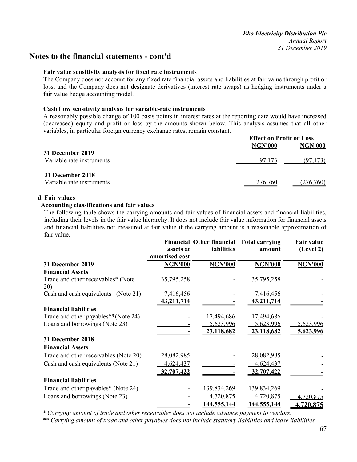#### **Fair value sensitivity analysis for fixed rate instruments**

The Company does not account for any fixed rate financial assets and liabilities at fair value through profit or loss, and the Company does not designate derivatives (interest rate swaps) as hedging instruments under a fair value hedge accounting model.

#### **Cash flow sensitivity analysis for variable-rate instruments**

A reasonably possible change of 100 basis points in interest rates at the reporting date would have increased (decreased) equity and profit or loss by the amounts shown below. This analysis assumes that all other variables, in particular foreign currency exchange rates, remain constant.

|                                               | <b>Effect on Profit or Loss</b> |                |
|-----------------------------------------------|---------------------------------|----------------|
| 31 December 2019                              | NGN'000                         | <b>NGN'000</b> |
| Variable rate instruments                     | 97.173                          | (97, 173)      |
| 31 December 2018<br>Variable rate instruments | 276,760                         | (276, 760)     |

#### **d. Fair values**

### **Accounting classifications and fair values**

The following table shows the carrying amounts and fair values of financial assets and financial liabilities, including their levels in the fair value hierarchy. It does not include fair value information for financial assets and financial liabilities not measured at fair value if the carrying amount is a reasonable approximation of fair value.

|                                           | assets at<br>amortised cost | Financial Other financial Total carrying<br>liabilities | amount           | Fair value<br>(Level 2) |
|-------------------------------------------|-----------------------------|---------------------------------------------------------|------------------|-------------------------|
| 31 December 2019                          | <b>NGN'000</b>              | <b>NGN'000</b>                                          | <b>NGN'000</b>   | <b>NGN'000</b>          |
| <b>Financial Assets</b>                   |                             |                                                         |                  |                         |
| Trade and other receivables* (Note<br>20) | 35,795,258                  |                                                         | 35,795,258       |                         |
| Cash and cash equivalents (Note 21)       | <u>7,416,456</u>            |                                                         | <u>7,416,456</u> |                         |
|                                           | 43,211,714                  |                                                         | 43,211,714       |                         |
| <b>Financial liabilities</b>              |                             |                                                         |                  |                         |
| Trade and other payables**(Note 24)       |                             | 17,494,686                                              | 17,494,686       |                         |
| Loans and borrowings (Note 23)            |                             | 5,623,996                                               | 5,623,996        | 5,623,996               |
|                                           |                             | 23,118,682                                              | 23,118,682       | 5,623,996               |
| 31 December 2018                          |                             |                                                         |                  |                         |
| <b>Financial Assets</b>                   |                             |                                                         |                  |                         |
| Trade and other receivables (Note 20)     | 28,082,985                  |                                                         | 28,082,985       |                         |
| Cash and cash equivalents (Note 21)       | 4,624,437                   |                                                         | 4,624,437        |                         |
|                                           | 32,707,422                  |                                                         | 32,707,422       |                         |
| <b>Financial liabilities</b>              |                             |                                                         |                  |                         |
| Trade and other payables* (Note 24)       |                             | 139,834,269                                             | 139,834,269      |                         |
| Loans and borrowings (Note 23)            |                             | 4,720,875                                               | 4,720,875        | 4,720,875               |
|                                           |                             | 144,555,144                                             | 144,555,144      | 4,720,875               |

*\* Carrying amount of trade and other receivables does not include advance payment to vendors.*

*\*\* Carrying amount of trade and other payables does not include statutory liabilities and lease liabilities.*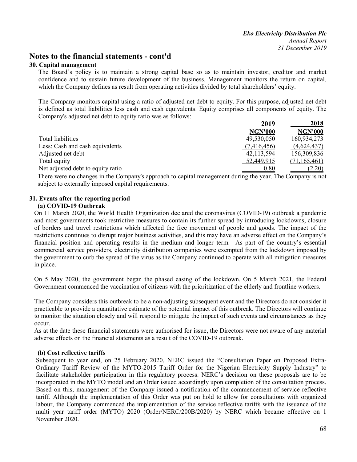### **30. Capital management**

The Board's policy is to maintain a strong capital base so as to maintain investor, creditor and market confidence and to sustain future development of the business. Management monitors the return on capital, which the Company defines as result from operating activities divided by total shareholders' equity.

The Company monitors capital using a ratio of adjusted net debt to equity. For this purpose, adjusted net debt is defined as total liabilities less cash and cash equivalents. Equity comprises all components of equity. The Company's adjusted net debt to equity ratio was as follows:

|                                   | 2019           | 2018           |
|-----------------------------------|----------------|----------------|
|                                   | <b>NGN'000</b> | <b>NGN'000</b> |
| Total liabilities                 | 49,530,050     | 160,934,273    |
| Less: Cash and cash equivalents   | (7,416,456)    | (4,624,437)    |
| Adjusted net debt                 | 42,113,594     | 156,309,836    |
| Total equity                      | 52,449,915     | (71, 165, 461) |
| Net adjusted debt to equity ratio | 0.80           | (2.20)         |

There were no changes in the Company's approach to capital management during the year. The Company is not subject to externally imposed capital requirements.

## **31. Events after the reporting period**

### **(a) COVID-19 Outbreak**

On 11 March 2020, the World Health Organization declared the coronavirus (COVID-19) outbreak a pandemic and most governments took restrictive measures to contain its further spread by introducing lockdowns, closure of borders and travel restrictions which affected the free movement of people and goods. The impact of the restrictions continues to disrupt major business activities, and this may have an adverse effect on the Company's financial position and operating results in the medium and longer term. As part of the country's essential commercial service providers, electricity distribution companies were exempted from the lockdown imposed by the government to curb the spread of the virus as the Company continued to operate with all mitigation measures in place.

On 5 May 2020, the government began the phased easing of the lockdown. On 5 March 2021, the Federal Government commenced the vaccination of citizens with the prioritization of the elderly and frontline workers.

The Company considers this outbreak to be a non-adjusting subsequent event and the Directors do not consider it practicable to provide a quantitative estimate of the potential impact of this outbreak. The Directors will continue to monitor the situation closely and will respond to mitigate the impact of such events and circumstances as they occur.

As at the date these financial statements were authorised for issue, the Directors were not aware of any material adverse effects on the financial statements as a result of the COVID-19 outbreak.

#### **(b) Cost reflective tariffs**

Subsequent to year end, on 25 February 2020, NERC issued the "Consultation Paper on Proposed Extra-Ordinary Tariff Review of the MYTO-2015 Tariff Order for the Nigerian Electricity Supply Industry" to facilitate stakeholder participation in this regulatory process. NERC's decision on these proposals are to be incorporated in the MYTO model and an Order issued accordingly upon completion of the consultation process. Based on this, management of the Company issued a notification of the commencement of service reflective tariff. Although the implementation of this Order was put on hold to allow for consultations with organized labour, the Company commenced the implementation of the service reflective tariffs with the issuance of the multi year tariff order (MYTO) 2020 (Order/NERC/200B/2020) by NERC which became effective on 1 November 2020.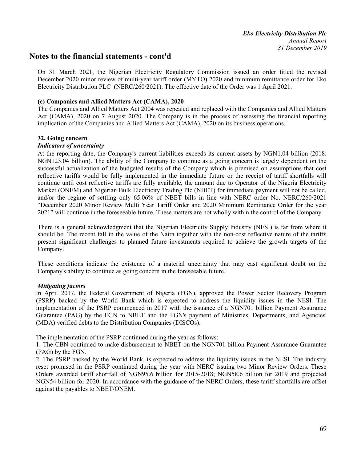On 31 March 2021, the Nigerian Electricity Regulatory Commission issued an order titled the revised December 2020 minor review of multi-year tariff order (MYTO) 2020 and minimum remittance order for Eko Electricity Distribution PLC (NERC/260/2021). The effective date of the Order was 1 April 2021.

### **(c) Companies and Allied Matters Act (CAMA), 2020**

The Companies and Allied Matters Act 2004 was repealed and replaced with the Companies and Allied Matters Act (CAMA), 2020 on 7 August 2020. The Company is in the process of assessing the financial reporting implication of the Companies and Allied Matters Act (CAMA), 2020 on its business operations.

#### **32. Going concern**

#### *Indicators of uncertainty*

At the reporting date, the Company's current liabilities exceeds its current assets by NGN1.04 billion (2018: NGN123.04 billion). The ability of the Company to continue as a going concern is largely dependent on the successful actualization of the budgeted results of the Company which is premised on assumptions that cost reflective tariffs would be fully implemented in the immediate future or the receipt of tariff shortfalls will continue until cost reflective tariffs are fully available, the amount due to Operator of the Nigeria Electricity Market (ONEM) and Nigerian Bulk Electricity Trading Plc (NBET) for immediate payment will not be called, and/or the regime of settling only 65.06% of NBET bills in line with NERC order No. NERC/260/2021 "December 2020 Minor Review Multi Year Tariff Order and 2020 Minimum Remittance Order for the year 2021" will continue in the foreseeable future. These matters are not wholly within the control of the Company.

There is a general acknowledgment that the Nigerian Electricity Supply Industry (NESI) is far from where it should be. The recent fall in the value of the Naira together with the non-cost reflective nature of the tariffs present significant challenges to planned future investments required to achieve the growth targets of the Company.

These conditions indicate the existence of a material uncertainty that may cast significant doubt on the Company's ability to continue as going concern in the foreseeable future.

#### *Mitigating factors*

In April 2017, the Federal Government of Nigeria (FGN), approved the Power Sector Recovery Program (PSRP) backed by the World Bank which is expected to address the liquidity issues in the NESI. The implementation of the PSRP commenced in 2017 with the issuance of a NGN701 billion Payment Assurance Guarantee (PAG) by the FGN to NBET and the FGN's payment of Ministries, Departments, and Agencies' (MDA) verified debts to the Distribution Companies (DISCOs).

The implementation of the PSRP continued during the year as follows:

1. The CBN continued to make disbursement to NBET on the NGN701 billion Payment Assurance Guarantee (PAG) by the FGN.

2. The PSRP backed by the World Bank, is expected to address the liquidity issues in the NESI. The industry reset promised in the PSRP continued during the year with NERC issuing two Minor Review Orders. These Orders awarded tariff shortfall of NGN95.6 billion for 2015-2018; NGN58.6 billion for 2019 and projected NGN54 billion for 2020. In accordance with the guidance of the NERC Orders, these tariff shortfalls are offset against the payables to NBET/ONEM.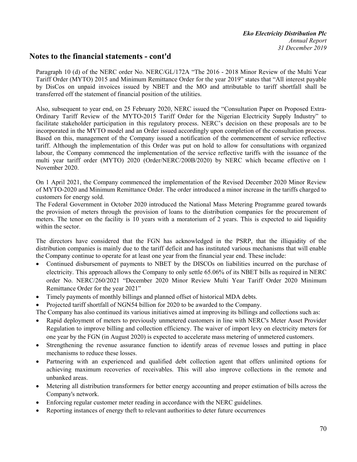Paragraph 10 (d) of the NERC order No. NERC/GL/172A "The 2016 - 2018 Minor Review of the Multi Year Tariff Order (MYTO) 2015 and Minimum Remittance Order for the year 2019" states that "All interest payable by DisCos on unpaid invoices issued by NBET and the MO and attributable to tariff shortfall shall be transferred off the statement of financial position of the utilities.

Also, subsequent to year end, on 25 February 2020, NERC issued the "Consultation Paper on Proposed Extra-Ordinary Tariff Review of the MYTO-2015 Tariff Order for the Nigerian Electricity Supply Industry" to facilitate stakeholder participation in this regulatory process. NERC's decision on these proposals are to be incorporated in the MYTO model and an Order issued accordingly upon completion of the consultation process. Based on this, management of the Company issued a notification of the commencement of service reflective tariff. Although the implementation of this Order was put on hold to allow for consultations with organized labour, the Company commenced the implementation of the service reflective tariffs with the issuance of the multi year tariff order (MYTO) 2020 (Order/NERC/200B/2020) by NERC which became effective on 1 November 2020.

On 1 April 2021, the Company commenced the implementation of the Revised December 2020 Minor Review of MYTO-2020 and Minimum Remittance Order. The order introduced a minor increase in the tariffs charged to customers for energy sold.

The Federal Government in October 2020 introduced the National Mass Metering Programme geared towards the provision of meters through the provision of loans to the distribution companies for the procurement of meters. The tenor on the facility is 10 years with a moratorium of 2 years. This is expected to aid liquidity within the sector.

The directors have considered that the FGN has acknowledged in the PSRP, that the illiquidity of the distribution companies is mainly due to the tariff deficit and has instituted various mechanisms that will enable the Company continue to operate for at least one year from the financial year end. These include:

- Continued disbursement of payments to NBET by the DISCOs on liabilities incurred on the purchase of electricity. This approach allows the Company to only settle 65.06% of its NBET bills as required in NERC order No. NERC/260/2021 "December 2020 Minor Review Multi Year Tariff Order 2020 Minimum Remittance Order for the year 2021"
- Timely payments of monthly billings and planned offset of historical MDA debts.

Projected tariff shortfall of NGN54 billion for 2020 to be awarded to the Company.

The Company has also continued its various initiatives aimed at improving its billings and collections such as:

- Rapid deployment of meters to previously unmetered customers in line with NERC's Meter Asset Provider Regulation to improve billing and collection efficiency. The waiver of import levy on electricity meters for one year by the FGN (in August 2020) is expected to accelerate mass metering of unmetered customers.
- Strengthening the revenue assurance function to identify areas of revenue losses and putting in place mechanisms to reduce these losses.
- Partnering with an experienced and qualified debt collection agent that offers unlimited options for achieving maximum recoveries of receivables. This will also improve collections in the remote and unbanked areas.
- Metering all distribution transformers for better energy accounting and proper estimation of bills across the Company's network.
- Enforcing regular customer meter reading in accordance with the NERC guidelines.
- Reporting instances of energy theft to relevant authorities to deter future occurrences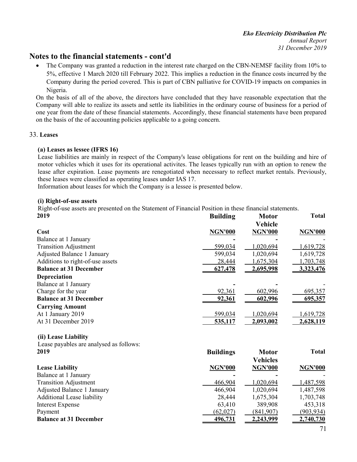*Eko Electricity Distribution Plc Annual Report 31 December 2019*

## **Notes to the financial statements - cont'd**

• The Company was granted a reduction in the interest rate charged on the CBN-NEMSF facility from 10% to 5%, effective 1 March 2020 till February 2022. This implies a reduction in the finance costs incurred by the Company during the period covered. This is part of CBN palliative for COVID-19 impacts on companies in Nigeria.

On the basis of all of the above, the directors have concluded that they have reasonable expectation that the Company will able to realize its assets and settle its liabilities in the ordinary course of business for a period of one year from the date of these financial statements. Accordingly, these financial statements have been prepared on the basis of the of accounting policies applicable to a going concern.

#### 33. **Leases**

#### **(a) Leases as lessee (IFRS 16)**

Lease liabilities are mainly in respect of the Company's lease obligations for rent on the building and hire of motor vehicles which it uses for its operational activites. The leases typically run with an option to renew the lease after expiration. Lease payments are renegotiated when necessary to reflect market rentals. Previously, these leases were classified as operating leases under IAS 17.

Information about leases for which the Company is a lessee is presented below.

#### **(i) Right-of-use assets**

Right-of-use assets are presented on the Statement of Financial Position in these financial statements.<br>2019 **Puilding Motor** 

| <b>Building</b>  | <b>Motor</b>                     | <b>Total</b>                                                    |
|------------------|----------------------------------|-----------------------------------------------------------------|
|                  |                                  | <b>NGN'000</b>                                                  |
|                  |                                  |                                                                 |
| 599,034          | 1,020,694                        | 1,619,728                                                       |
| 599,034          | 1,020,694                        | 1,619,728                                                       |
| 28,444           | 1,675,304                        | 1,703,748                                                       |
| 627,478          | 2,695,998                        | 3,323,476                                                       |
|                  |                                  |                                                                 |
|                  |                                  |                                                                 |
| 92,361           | 602,996                          | 695,357                                                         |
| 92,361           | 602,996                          | 695,357                                                         |
|                  |                                  |                                                                 |
| 599,034          | 1,020,694                        | 1,619,728                                                       |
| 535,117          | 2,093,002                        | 2,628,119                                                       |
|                  |                                  |                                                                 |
|                  |                                  |                                                                 |
| <b>Buildings</b> | <b>Motor</b>                     | <b>Total</b>                                                    |
|                  | <b>Vehicles</b>                  |                                                                 |
|                  |                                  | <b>NGN'000</b>                                                  |
|                  |                                  |                                                                 |
| 466,904          |                                  | 1,487,598                                                       |
| 466,904          | 1,020,694                        | 1,487,598                                                       |
| 28,444           | 1,675,304                        | 1,703,748                                                       |
| 63,410           | 389,908                          | 453,318                                                         |
| (62, 027)        | (841,907)                        | (903, 934)                                                      |
| 496,731          | <u>2,243,999</u>                 | 2,740,730                                                       |
|                  | <b>NGN'000</b><br><b>NGN'000</b> | <b>Vehicle</b><br><b>NGN'000</b><br><b>NGN'000</b><br>1,020,694 |

**Total**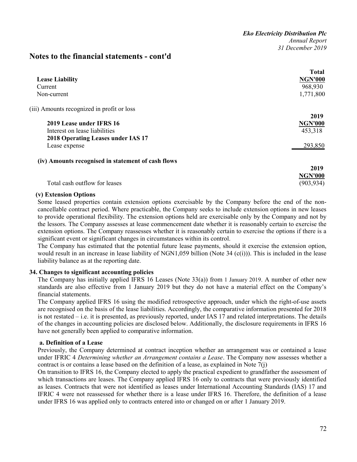### **Notes to the financial statements - cont'd**

|                                                    | <b>Total</b>   |
|----------------------------------------------------|----------------|
| <b>Lease Liability</b>                             | <b>NGN'000</b> |
| Current                                            | 968,930        |
| Non-current                                        | 1,771,800      |
| (iii) Amounts recognized in profit or loss         |                |
|                                                    | 2019           |
| 2019 Lease under IFRS 16                           | <b>NGN'000</b> |
| Interest on lease liabilities                      | 453,318        |
| <b>2018 Operating Leases under IAS 17</b>          |                |
| Lease expense                                      | 293,850        |
| (iv) Amounts recognised in statement of cash flows |                |
|                                                    | 2019           |
|                                                    | <b>NGN'000</b> |
| Total cash outflow for leases                      | (903, 934)     |

#### **(v) Extension Options**

Some leased properties contain extension options exercisable by the Company before the end of the noncancellable contract period. Where practicable, the Company seeks to include extension options in new leases to provide operational flexibility. The extension options held are exercisable only by the Company and not by the lessors. The Company assesses at lease commencement date whether it is reasonably certain to exercise the extension options. The Company reassesses whether it is reasonably certain to exercise the options if there is a significant event or significant changes in circumstances within its control.

The Company has estimated that the potential future lease payments, should it exercise the extension option, would result in an increase in lease liability of NGN1,059 billion (Note 34 (c(i))). This is included in the lease liability balance as at the reporting date.

#### **34. Changes to significant accounting policies**

The Company has initially applied IFRS 16 Leases (Note 33(a)) from 1 January 2019. A number of other new standards are also effective from 1 January 2019 but they do not have a material effect on the Company's financial statements.

The Company applied IFRS 16 using the modified retrospective approach, under which the right-of-use assets are recognised on the basis of the lease liabilities. Accordingly, the comparative information presented for 2018 is not restated – i.e. it is presented, as previously reported, under IAS 17 and related interpretations. The details of the changes in accounting policies are disclosed below. Additionally, the disclosure requirements in IFRS 16 have not generally been applied to comparative information.

#### **a. Definition of a Lease**

Previously, the Company determined at contract inception whether an arrangement was or contained a lease under IFRIC 4 *Determining whether an Arrangement contains a Lease*. The Company now assesses whether a contract is or contains a lease based on the definition of a lease, as explained in Note 7(j)

On transition to IFRS 16, the Company elected to apply the practical expedient to grandfather the assessment of which transactions are leases. The Company applied IFRS 16 only to contracts that were previously identified as leases. Contracts that were not identified as leases under International Accounting Standards (IAS) 17 and IFRIC 4 were not reassessed for whether there is a lease under IFRS 16. Therefore, the definition of a lease under IFRS 16 was applied only to contracts entered into or changed on or after 1 January 2019.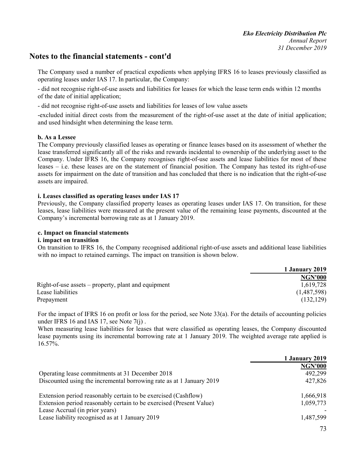## **Notes to the financial statements - cont'd**

The Company used a number of practical expedients when applying IFRS 16 to leases previously classified as operating leases under IAS 17. In particular, the Company:

- did not recognise right-of-use assets and liabilities for leases for which the lease term ends within 12 months of the date of initial application;

- did not recognise right-of-use assets and liabilities for leases of low value assets

-excluded initial direct costs from the measurement of the right-of-use asset at the date of initial application; and used hindsight when determining the lease term.

#### **b. As a Lessee**

The Company previously classified leases as operating or finance leases based on its assessment of whether the lease transferred significantly all of the risks and rewards incidental to ownership of the underlying asset to the Company. Under IFRS 16, the Company recognises right-of-use assets and lease liabilities for most of these leases – i.e. these leases are on the statement of financial position. The Company has tested its right-of-use assets for impairment on the date of transition and has concluded that there is no indication that the right-of-use assets are impaired.

#### **i. Leases classified as operating leases under IAS 17**

Previously, the Company classified property leases as operating leases under IAS 17. On transition, for these leases, lease liabilities were measured at the present value of the remaining lease payments, discounted at the Company's incremental borrowing rate as at 1 January 2019.

#### **c. Impact on financial statements**

#### **i. impact on transition**

On transition to IFRS 16, the Company recognised additional right-of-use assets and additional lease liabilities with no impact to retained earnings. The impact on transition is shown below.

|                                                       | 1 January 2019 |
|-------------------------------------------------------|----------------|
|                                                       | <b>NGN'000</b> |
| $Right-of-use$ assets – property, plant and equipment | 1,619,728      |
| Lease liabilities                                     | (1,487,598)    |
| Prepayment                                            | (132, 129)     |

For the impact of IFRS 16 on profit or loss for the period, see Note 33(a). For the details of accounting policies under IFRS 16 and IAS 17, see Note 7(j).

When measuring lease liabilities for leases that were classified as operating leases, the Company discounted lease payments using its incremental borrowing rate at 1 January 2019. The weighted average rate applied is 16.57%.

|                                                                      | 1 January 2019 |
|----------------------------------------------------------------------|----------------|
|                                                                      | <b>NGN'000</b> |
| Operating lease commitments at 31 December 2018                      | 492,299        |
| Discounted using the incremental borrowing rate as at 1 January 2019 | 427,826        |
| Extension period reasonably certain to be exercised (Cashflow)       | 1,666,918      |
| Extension period reasonably certain to be exercised (Present Value)  | 1,059,773      |
| Lease Accrual (in prior years)                                       |                |
| Lease liability recognised as at 1 January 2019                      | 1,487,599      |
|                                                                      |                |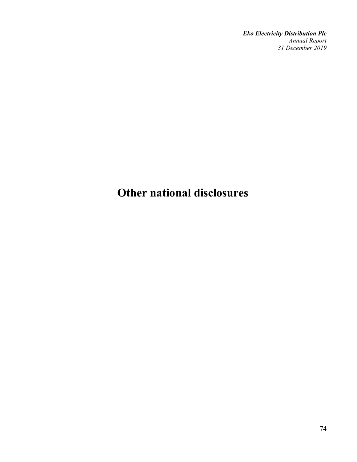*Eko Electricity Distribution Plc Annual Report 31 December 2019*

# **Other national disclosures**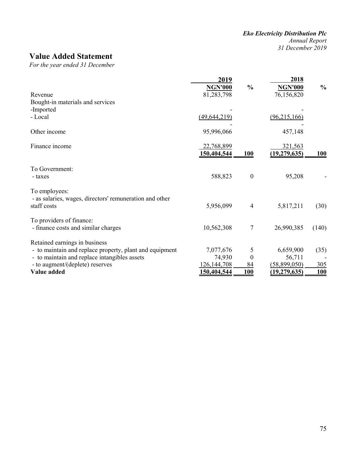# **Value Added Statement**

*For the year ended 31 December*

|                                                         | 2019           |                  | 2018           |               |
|---------------------------------------------------------|----------------|------------------|----------------|---------------|
|                                                         | <b>NGN'000</b> | $\frac{0}{0}$    | <b>NGN'000</b> | $\frac{0}{0}$ |
| Revenue                                                 | 81,283,798     |                  | 76,156,820     |               |
| Bought-in materials and services                        |                |                  |                |               |
| -Imported                                               |                |                  |                |               |
| - Local                                                 | (49, 644, 219) |                  | (96,215,166)   |               |
| Other income                                            | 95,996,066     |                  | 457,148        |               |
| Finance income                                          | 22,768,899     |                  | 321,563        |               |
|                                                         | 150,404,544    | <b>100</b>       | (19, 279, 635) | 100           |
| To Government:                                          |                |                  |                |               |
| - taxes                                                 | 588,823        | $\boldsymbol{0}$ | 95,208         |               |
| To employees:                                           |                |                  |                |               |
| - as salaries, wages, directors' remuneration and other |                |                  |                |               |
| staff costs                                             | 5,956,099      | 4                | 5,817,211      | (30)          |
|                                                         |                |                  |                |               |
| To providers of finance:                                |                |                  |                |               |
| - finance costs and similar charges                     | 10,562,308     | $\overline{7}$   | 26,990,385     | (140)         |
| Retained earnings in business                           |                |                  |                |               |
| - to maintain and replace property, plant and equipment | 7,077,676      | 5                | 6,659,900      | (35)          |
| - to maintain and replace intangibles assets            | 74,930         | $\Omega$         | 56,711         |               |
| - to augment/(deplete) reserves                         | 126, 144, 708  | 84               | (58,899,050)   | 305           |
| Value added                                             | 150,404,544    | 100              | (19,279,635)   | 100           |